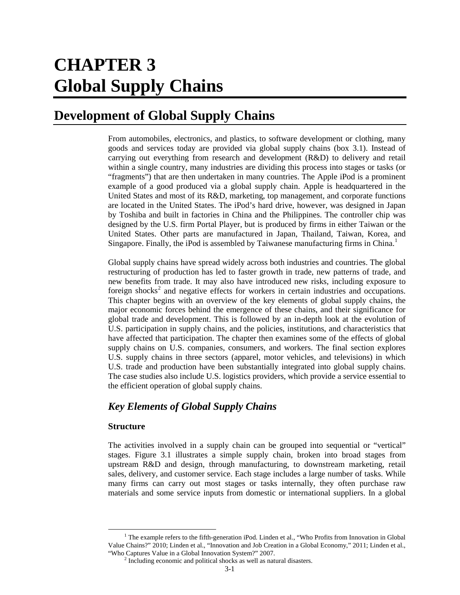# **CHAPTER 3 Global Supply Chains**

# **Development of Global Supply Chains**

From automobiles, electronics, and plastics, to software development or clothing, many goods and services today are provided via global supply chains (box 3.1). Instead of carrying out everything from research and development (R&D) to delivery and retail within a single country, many industries are dividing this process into stages or tasks (or "fragments") that are then undertaken in many countries. The Apple iPod is a prominent example of a good produced via a global supply chain. Apple is headquartered in the United States and most of its R&D, marketing, top management, and corporate functions are located in the United States. The iPod's hard drive, however, was designed in Japan by Toshiba and built in factories in China and the Philippines. The controller chip was designed by the U.S. firm Portal Player, but is produced by firms in either Taiwan or the United States. Other parts are manufactured in Japan, Thailand, Taiwan, Korea, and Singapore. Finally, the iPod is assembled by Taiwanese manufacturing firms in China.<sup>[1](#page-0-0)</sup>

Global supply chains have spread widely across both industries and countries. The global restructuring of production has led to faster growth in trade, new patterns of trade, and new benefits from trade. It may also have introduced new risks, including exposure to foreign shocks<sup>[2](#page-0-1)</sup> and negative effects for workers in certain industries and occupations. This chapter begins with an overview of the key elements of global supply chains, the major economic forces behind the emergence of these chains, and their significance for global trade and development. This is followed by an in-depth look at the evolution of U.S. participation in supply chains, and the policies, institutions, and characteristics that have affected that participation. The chapter then examines some of the effects of global supply chains on U.S. companies, consumers, and workers. The final section explores U.S. supply chains in three sectors (apparel, motor vehicles, and televisions) in which U.S. trade and production have been substantially integrated into global supply chains. The case studies also include U.S. logistics providers, which provide a service essential to the efficient operation of global supply chains.

### *Key Elements of Global Supply Chains*

### **Structure**

The activities involved in a supply chain can be grouped into sequential or "vertical" stages. Figure 3.1 illustrates a simple supply chain, broken into broad stages from upstream R&D and design, through manufacturing, to downstream marketing, retail sales, delivery, and customer service. Each stage includes a large number of tasks. While many firms can carry out most stages or tasks internally, they often purchase raw materials and some service inputs from domestic or international suppliers. In a global

<span id="page-0-1"></span><span id="page-0-0"></span><sup>&</sup>lt;sup>1</sup> The example refers to the fifth-generation iPod. Linden et al., "Who Profits from Innovation in Global Value Chains?" 2010; Linden et al., "Innovation and Job Creation in a Global Economy," 2011; Linden et al., "Who Captures Value in a Global Innovation System?" 2007. <sup>2</sup> Including economic and political shocks as well as natural disasters.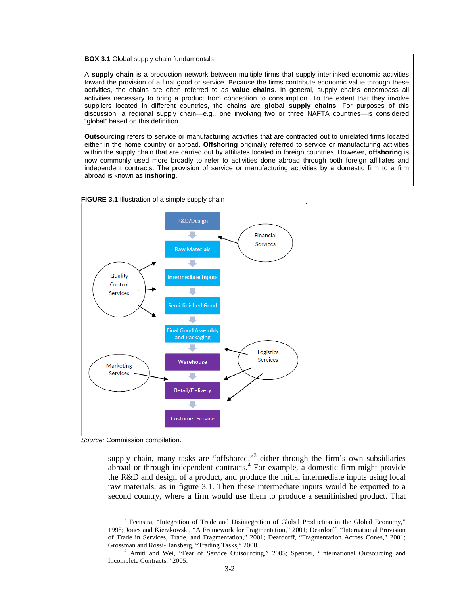#### **BOX 3.1** Global supply chain fundamentals

A **supply chain** is a production network between multiple firms that supply interlinked economic activities toward the provision of a final good or service. Because the firms contribute economic value through these activities, the chains are often referred to as **value chains**. In general, supply chains encompass all activities necessary to bring a product from conception to consumption. To the extent that they involve suppliers located in different countries, the chains are **global supply chains**. For purposes of this discussion, a regional supply chain—e.g., one involving two or three NAFTA countries—is considered "global" based on this definition.

**Outsourcing** refers to service or manufacturing activities that are contracted out to unrelated firms located either in the home country or abroad. **Offshoring** originally referred to service or manufacturing activities within the supply chain that are carried out by affiliates located in foreign countries. However, **offshoring** is now commonly used more broadly to refer to activities done abroad through both foreign affiliates and independent contracts. The provision of service or manufacturing activities by a domestic firm to a firm abroad is known as **inshoring**.





*Source:* Commission compilation.

supply chain, many tasks are "offshored,"<sup>[3](#page-1-0)</sup> either through the firm's own subsidiaries abroad or through independent contracts.[4](#page-1-1) For example, a domestic firm might provide the R&D and design of a product, and produce the initial intermediate inputs using local raw materials, as in figure 3.1. Then these intermediate inputs would be exported to a second country, where a firm would use them to produce a semifinished product. That

<span id="page-1-0"></span><sup>&</sup>lt;sup>3</sup> Feenstra, "Integration of Trade and Disintegration of Global Production in the Global Economy," 1998; Jones and Kierzkowski, "A Framework for Fragmentation," 2001; Deardorff, "International Provision of Trade in Services, Trade, and Fragmentation," 2001; Deardorff, "Fragmentation Across Cones," 2001; Grossman and Rossi-Hansberg, "Trading Tasks," 2008.<br><sup>4</sup> Amiti and Wei, "Fear of Service Outsourcing," 2005; Spencer, "International Outsourcing and

<span id="page-1-1"></span>Incomplete Contracts," 2005.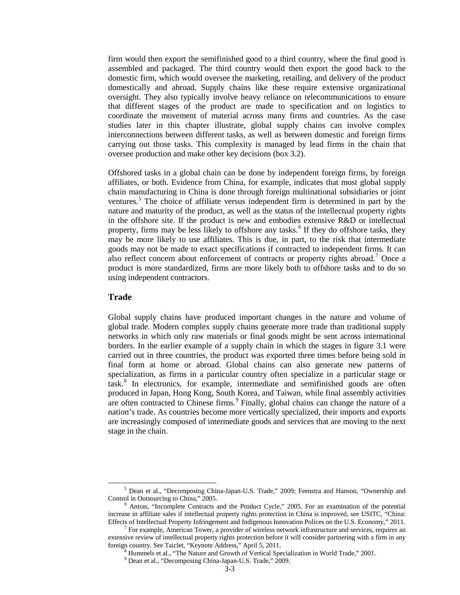firm would then export the semifinished good to a third country, where the final good is assembled and packaged. The third country would then export the good back to the domestic firm, which would oversee the marketing, retailing, and delivery of the product domestically and abroad. Supply chains like these require extensive organizational oversight. They also typically involve heavy reliance on telecommunications to ensure that different stages of the product are made to specification and on logistics to coordinate the movement of material across many firms and countries. As the case studies later in this chapter illustrate, global supply chains can involve complex interconnections between different tasks, as well as between domestic and foreign firms carrying out those tasks. This complexity is managed by lead firms in the chain that oversee production and make other key decisions (box 3.2).

Offshored tasks in a global chain can be done by independent foreign firms, by foreign affiliates, or both. Evidence from China, for example, indicates that most global supply chain manufacturing in China is done through foreign multinational subsidiaries or joint ventures.<sup>[5](#page-2-0)</sup> The choice of affiliate versus independent firm is determined in part by the nature and maturity of the product, as well as the status of the intellectual property rights in the offshore site. If the product is new and embodies extensive R&D or intellectual property, firms may be less likely to offshore any tasks.<sup>[6](#page-2-1)</sup> If they do offshore tasks, they may be more likely to use affiliates. This is due, in part, to the risk that intermediate goods may not be made to exact specifications if contracted to independent firms. It can also reflect concern about enforcement of contracts or property rights abroad.<sup>[7](#page-2-2)</sup> Once a product is more standardized, firms are more likely both to offshore tasks and to do so using independent contractors.

#### **Trade**

Global supply chains have produced important changes in the nature and volume of global trade. Modern complex supply chains generate more trade than traditional supply networks in which only raw materials or final goods might be sent across international borders. In the earlier example of a supply chain in which the stages in figure 3.1 were carried out in three countries, the product was exported three times before being sold in final form at home or abroad. Global chains can also generate new patterns of specialization, as firms in a particular country often specialize in a particular stage or task.[8](#page-2-3) In electronics, for example, intermediate and semifinished goods are often produced in Japan, Hong Kong, South Korea, and Taiwan, while final assembly activities are often contracted to Chinese firms.<sup>[9](#page-2-4)</sup> Finally, global chains can change the nature of a nation's trade. As countries become more vertically specialized, their imports and exports are increasingly composed of intermediate goods and services that are moving to the next stage in the chain.

<span id="page-2-0"></span><sup>5</sup> Dean et al., "Decomposing China-Japan-U.S. Trade," 2009; Feenstra and Hanson, "Ownership and Control in Outsourcing to China," 2005. <sup>6</sup> Antras, "Incomplete Contracts and the Product Cycle," 2005. For an examination of the potential

<span id="page-2-1"></span>increase in affiliate sales if intellectual property rights protection in China is improved, see USITC, "China: Effects of Intellectual Property Infringement and Indigenous Innovation Polices on the U.S. Economy," 2011. 7 For example, American Tower, a provider of wireless network infrastructure and services, requires an

<span id="page-2-4"></span><span id="page-2-3"></span><span id="page-2-2"></span>extensive review of intellectual property rights protection before it will consider partnering with a firm in any foreign country. See Taiclet, "Keynote Address," April 5, 2011.<br><sup>8</sup> Hummels et al., "The Nature and Growth of Vertical Specialization in World Trade," 2001.<br><sup>9</sup> Dean et al., "Decomposing China-Japan-U.S. Trade," 2009.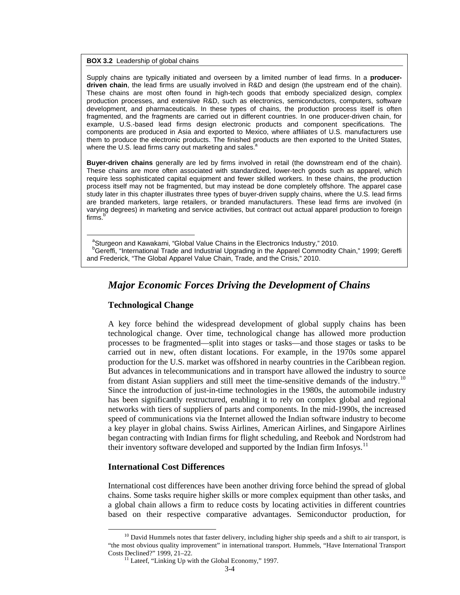**BOX 3.2** Leadership of global chains

Supply chains are typically initiated and overseen by a limited number of lead firms. In a **producerdriven chain**, the lead firms are usually involved in R&D and design (the upstream end of the chain). These chains are most often found in high-tech goods that embody specialized design, complex production processes, and extensive R&D, such as electronics, semiconductors, computers, software development, and pharmaceuticals. In these types of chains, the production process itself is often fragmented, and the fragments are carried out in different countries. In one producer-driven chain, for example, U.S.-based lead firms design electronic products and component specifications. The components are produced in Asia and exported to Mexico, where affiliates of U.S. manufacturers use them to produce the electronic products. The finished products are then exported to the United States, where the U.S. lead firms carry out marketing and sales. $3$ 

**Buyer-driven chains** generally are led by firms involved in retail (the downstream end of the chain). These chains are more often associated with standardized, lower-tech goods such as apparel, which require less sophisticated capital equipment and fewer skilled workers. In these chains, the production process itself may not be fragmented, but may instead be done completely offshore. The apparel case study later in this chapter illustrates three types of buyer-driven supply chains, where the U.S. lead firms are branded marketers, large retailers, or branded manufacturers. These lead firms are involved (in varying degrees) in marketing and service activities, but contract out actual apparel production to foreign firms.<sup>b</sup>

<sup>a</sup>Sturgeon and Kawakami, "Global Value Chains in the Electronics Industry," 2010. <sup>b</sup>Gereffi, "International Trade and Industrial Upgrading in the Apparel Commodity Chain," 1999; Gereffi and Frederick, "The Global Apparel Value Chain, Trade, and the Crisis," 2010.

### *Major Economic Forces Driving the Development of Chains*

### **Technological Change**

A key force behind the widespread development of global supply chains has been technological change. Over time, technological change has allowed more production processes to be fragmented—split into stages or tasks—and those stages or tasks to be carried out in new, often distant locations. For example, in the 1970s some apparel production for the U.S. market was offshored in nearby countries in the Caribbean region. But advances in telecommunications and in transport have allowed the industry to source from distant Asian suppliers and still meet the time-sensitive demands of the industry.[10](#page-3-0) Since the introduction of just-in-time technologies in the 1980s, the automobile industry has been significantly restructured, enabling it to rely on complex global and regional networks with tiers of suppliers of parts and components. In the mid-1990s, the increased speed of communications via the Internet allowed the Indian software industry to become a key player in global chains. Swiss Airlines, American Airlines, and Singapore Airlines began contracting with Indian firms for flight scheduling, and Reebok and Nordstrom had their inventory software developed and supported by the Indian firm Infosys.<sup>[11](#page-3-1)</sup>

### **International Cost Differences**

International cost differences have been another driving force behind the spread of global chains. Some tasks require higher skills or more complex equipment than other tasks, and a global chain allows a firm to reduce costs by locating activities in different countries based on their respective comparative advantages. Semiconductor production, for

<span id="page-3-1"></span><span id="page-3-0"></span> $10$  David Hummels notes that faster delivery, including higher ship speeds and a shift to air transport, is "the most obvious quality improvement" in international transport. Hummels, "Have International Transport Costs Declined?" 1999, 21–22.

 $11$  Lateef, "Linking Up with the Global Economy," 1997.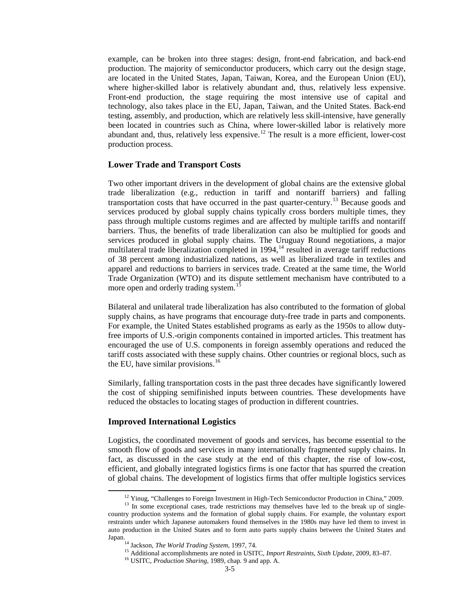example, can be broken into three stages: design, front-end fabrication, and back-end production. The majority of semiconductor producers, which carry out the design stage, are located in the United States, Japan, Taiwan, Korea, and the European Union (EU), where higher-skilled labor is relatively abundant and, thus, relatively less expensive. Front-end production, the stage requiring the most intensive use of capital and technology, also takes place in the EU, Japan, Taiwan, and the United States. Back-end testing, assembly, and production, which are relatively less skill-intensive, have generally been located in countries such as China, where lower-skilled labor is relatively more abundant and, thus, relatively less expensive.<sup>[12](#page-4-0)</sup> The result is a more efficient, lower-cost production process.

#### **Lower Trade and Transport Costs**

Two other important drivers in the development of global chains are the extensive global trade liberalization (e.g., reduction in tariff and nontariff barriers) and falling transportation costs that have occurred in the past quarter-century.<sup>[13](#page-4-1)</sup> Because goods and services produced by global supply chains typically cross borders multiple times, they pass through multiple customs regimes and are affected by multiple tariffs and nontariff barriers. Thus, the benefits of trade liberalization can also be multiplied for goods and services produced in global supply chains. The Uruguay Round negotiations, a major multilateral trade liberalization completed in 1994,<sup>[14](#page-4-2)</sup> resulted in average tariff reductions of 38 percent among industrialized nations, as well as liberalized trade in textiles and apparel and reductions to barriers in services trade. Created at the same time, the World Trade Organization (WTO) and its dispute settlement mechanism have contributed to a more open and orderly trading system.<sup>[15](#page-4-3)</sup>

Bilateral and unilateral trade liberalization has also contributed to the formation of global supply chains, as have programs that encourage duty-free trade in parts and components. For example, the United States established programs as early as the 1950s to allow dutyfree imports of U.S.-origin components contained in imported articles. This treatment has encouraged the use of U.S. components in foreign assembly operations and reduced the tariff costs associated with these supply chains. Other countries or regional blocs, such as the EU, have similar provisions. $16$ 

Similarly, falling transportation costs in the past three decades have significantly lowered the cost of shipping semifinished inputs between countries. These developments have reduced the obstacles to locating stages of production in different countries.

### **Improved International Logistics**

Logistics, the coordinated movement of goods and services, has become essential to the smooth flow of goods and services in many internationally fragmented supply chains. In fact, as discussed in the case study at the end of this chapter, the rise of low-cost, efficient, and globally integrated logistics firms is one factor that has spurred the creation of global chains. The development of logistics firms that offer multiple logistics services

<span id="page-4-2"></span><span id="page-4-1"></span><span id="page-4-0"></span><sup>&</sup>lt;sup>12</sup> Yinug, "Challenges to Foreign Investment in High-Tech Semiconductor Production in China," 2009.<br><sup>13</sup> In some exceptional cases, trade restrictions may themselves have led to the break up of singlecountry production systems and the formation of global supply chains. For example, the voluntary export restraints under which Japanese automakers found themselves in the 1980s may have led them to invest in auto production in the United States and to form auto parts supply chains between the United States and Japan.<br><sup>14</sup> Jackson, *The World Trading System*, 1997, 74.<br><sup>15</sup> Additional accomplishments are noted in USITC, *Import Restraints, Sixth Update*, 2009, 83–87.<br><sup>16</sup> USITC, *Production Sharing*, 1989, chap. 9 and app. A.

<span id="page-4-4"></span><span id="page-4-3"></span>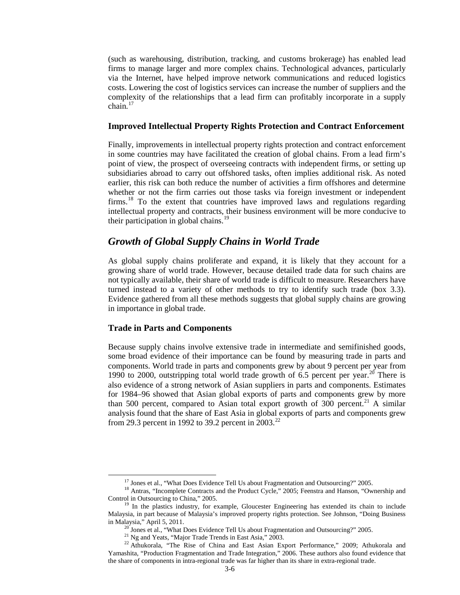(such as warehousing, distribution, tracking, and customs brokerage) has enabled lead firms to manage larger and more complex chains. Technological advances, particularly via the Internet, have helped improve network communications and reduced logistics costs. Lowering the cost of logistics services can increase the number of suppliers and the complexity of the relationships that a lead firm can profitably incorporate in a supply chain. $17$ 

### **Improved Intellectual Property Rights Protection and Contract Enforcement**

Finally, improvements in intellectual property rights protection and contract enforcement in some countries may have facilitated the creation of global chains. From a lead firm's point of view, the prospect of overseeing contracts with independent firms, or setting up subsidiaries abroad to carry out offshored tasks, often implies additional risk. As noted earlier, this risk can both reduce the number of activities a firm offshores and determine whether or not the firm carries out those tasks via foreign investment or independent firms.[18](#page-5-1) To the extent that countries have improved laws and regulations regarding intellectual property and contracts, their business environment will be more conducive to their participation in global chains.<sup>[19](#page-5-2)</sup>

### *Growth of Global Supply Chains in World Trade*

As global supply chains proliferate and expand, it is likely that they account for a growing share of world trade. However, because detailed trade data for such chains are not typically available, their share of world trade is difficult to measure. Researchers have turned instead to a variety of other methods to try to identify such trade (box 3.3). Evidence gathered from all these methods suggests that global supply chains are growing in importance in global trade.

### **Trade in Parts and Components**

Because supply chains involve extensive trade in intermediate and semifinished goods, some broad evidence of their importance can be found by measuring trade in parts and components. World trade in parts and components grew by about 9 percent per year from 1990 to [20](#page-5-3)00, outstripping total world trade growth of 6.5 percent per year.<sup>20</sup> There is also evidence of a strong network of Asian suppliers in parts and components. Estimates for 1984–96 showed that Asian global exports of parts and components grew by more than 500 percent, compared to Asian total export growth of 300 percent.<sup>[21](#page-5-4)</sup> A similar analysis found that the share of East Asia in global exports of parts and components grew from 29.3 percent in 1992 to 39.2 percent in  $2003.<sup>22</sup>$  $2003.<sup>22</sup>$  $2003.<sup>22</sup>$ 

<span id="page-5-1"></span><span id="page-5-0"></span><sup>&</sup>lt;sup>17</sup> Jones et al., "What Does Evidence Tell Us about Fragmentation and Outsourcing?" 2005.<br><sup>18</sup> Antras, "Incomplete Contracts and the Product Cycle," 2005; Feenstra and Hanson, "Ownership and<br>Control in Outsourcing to Chin

<span id="page-5-2"></span> $<sup>19</sup>$  In the plastics industry, for example, Gloucester Engineering has extended its chain to include</sup> Malaysia, in part because of Malaysia's improved property rights protection. See Johnson, "Doing Business in Malaysia," April 5, 2011.<br>
<sup>20</sup> Jones et al., "What Does Evidence Tell Us about Fragmentation and Outsourcing?" 2005.<br>
<sup>21</sup> Ng and Yeats, "Major Trade Trends in East Asia," 2003.<br>
<sup>22</sup> Athukorala, "The Rise of China an

<span id="page-5-5"></span><span id="page-5-4"></span><span id="page-5-3"></span>Yamashita, "Production Fragmentation and Trade Integration," 2006. These authors also found evidence that the share of components in intra-regional trade was far higher than its share in extra-regional trade.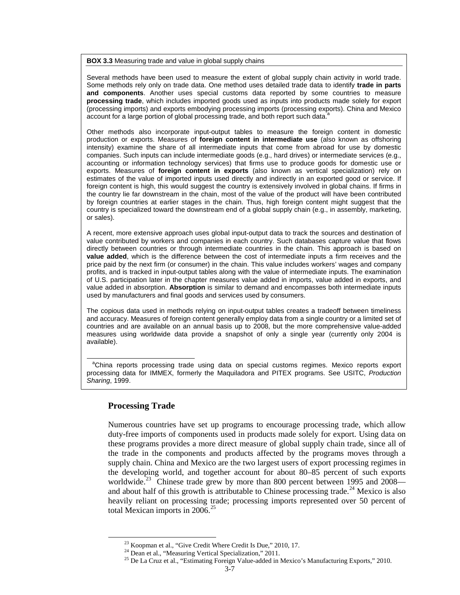**BOX 3.3** Measuring trade and value in global supply chains

Several methods have been used to measure the extent of global supply chain activity in world trade. Some methods rely only on trade data. One method uses detailed trade data to identify **trade in parts and components**. Another uses special customs data reported by some countries to measure **processing trade**, which includes imported goods used as inputs into products made solely for export (processing imports) and exports embodying processing imports (processing exports). China and Mexico account for a large portion of global processing trade, and both report such data.

Other methods also incorporate input-output tables to measure the foreign content in domestic production or exports. Measures of **foreign content in intermediate use** (also known as offshoring intensity) examine the share of all intermediate inputs that come from abroad for use by domestic companies. Such inputs can include intermediate goods (e.g., hard drives) or intermediate services (e.g., accounting or information technology services) that firms use to produce goods for domestic use or exports. Measures of **foreign content in exports** (also known as vertical specialization) rely on estimates of the value of imported inputs used directly and indirectly in an exported good or service. If foreign content is high, this would suggest the country is extensively involved in global chains. If firms in the country lie far downstream in the chain, most of the value of the product will have been contributed by foreign countries at earlier stages in the chain. Thus, high foreign content might suggest that the country is specialized toward the downstream end of a global supply chain (e.g., in assembly, marketing, or sales).

A recent, more extensive approach uses global input-output data to track the sources and destination of value contributed by workers and companies in each country. Such databases capture value that flows directly between countries or through intermediate countries in the chain. This approach is based on **value added**, which is the difference between the cost of intermediate inputs a firm receives and the price paid by the next firm (or consumer) in the chain. This value includes workers' wages and company profits, and is tracked in input-output tables along with the value of intermediate inputs. The examination of U.S. participation later in the chapter measures value added in imports, value added in exports, and value added in absorption. **Absorption** is similar to demand and encompasses both intermediate inputs used by manufacturers and final goods and services used by consumers.

The copious data used in methods relying on input-output tables creates a tradeoff between timeliness and accuracy. Measures of foreign content generally employ data from a single country or a limited set of countries and are available on an annual basis up to 2008, but the more comprehensive value-added measures using worldwide data provide a snapshot of only a single year (currently only 2004 is available).

<sup>a</sup>China reports processing trade using data on special customs regimes. Mexico reports export processing data for IMMEX, formerly the Maquiladora and PITEX programs. See USITC, *Production Sharing*, 1999.

### **Processing Trade**

Numerous countries have set up programs to encourage processing trade, which allow duty-free imports of components used in products made solely for export. Using data on these programs provides a more direct measure of global supply chain trade, since all of the trade in the components and products affected by the programs moves through a supply chain. China and Mexico are the two largest users of export processing regimes in the developing world, and together account for about 80–85 percent of such exports worldwide.<sup>[23](#page-6-0)</sup> Chinese trade grew by more than 800 percent between 1995 and 2008— and about half of this growth is attributable to Chinese processing trade.<sup>[24](#page-6-1)</sup> Mexico is also heavily reliant on processing trade; processing imports represented over 50 percent of total Mexican imports in 2006.<sup>[25](#page-6-2)</sup>

<span id="page-6-2"></span><span id="page-6-1"></span><span id="page-6-0"></span>

<sup>&</sup>lt;sup>23</sup> Koopman et al., "Give Credit Where Credit Is Due," 2010, 17.<br><sup>24</sup> Dean et al., "Measuring Vertical Specialization," 2011.<br><sup>25</sup> De La Cruz et al., "Estimating Foreign Value-added in Mexico's Manufacturing Exports," 20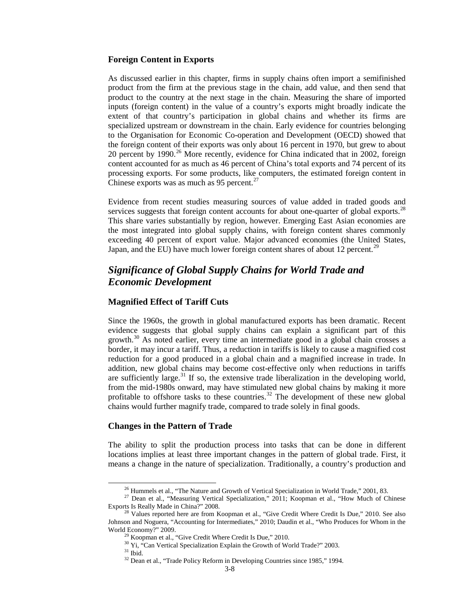### **Foreign Content in Exports**

As discussed earlier in this chapter, firms in supply chains often import a semifinished product from the firm at the previous stage in the chain, add value, and then send that product to the country at the next stage in the chain. Measuring the share of imported inputs (foreign content) in the value of a country's exports might broadly indicate the extent of that country's participation in global chains and whether its firms are specialized upstream or downstream in the chain. Early evidence for countries belonging to the Organisation for Economic Co-operation and Development (OECD) showed that the foreign content of their exports was only about 16 percent in 1970, but grew to about 20 percent by 1990. [26](#page-7-0) More recently, evidence for China indicated that in 2002, foreign content accounted for as much as 46 percent of China's total exports and 74 percent of its processing exports. For some products, like computers, the estimated foreign content in Chinese exports was as much as 95 percent. $27$ 

Evidence from recent studies measuring sources of value added in traded goods and services suggests that foreign content accounts for about one-quarter of global exports.<sup>[28](#page-7-2)</sup> This share varies substantially by region, however. Emerging East Asian economies are the most integrated into global supply chains, with foreign content shares commonly exceeding 40 percent of export value. Major advanced economies (the United States, Japan, and the EU) have much lower foreign content shares of about 12 percent.<sup>[29](#page-7-3)</sup>

### *Significance of Global Supply Chains for World Trade and Economic Development*

### **Magnified Effect of Tariff Cuts**

Since the 1960s, the growth in global manufactured exports has been dramatic. Recent evidence suggests that global supply chains can explain a significant part of this growth.[30](#page-7-4) As noted earlier, every time an intermediate good in a global chain crosses a border, it may incur a tariff. Thus, a reduction in tariffs is likely to cause a magnified cost reduction for a good produced in a global chain and a magnified increase in trade. In addition, new global chains may become cost-effective only when reductions in tariffs are sufficiently large.<sup>[31](#page-7-5)</sup> If so, the extensive trade liberalization in the developing world, from the mid-1980s onward, may have stimulated new global chains by making it more profitable to offshore tasks to these countries.<sup>[32](#page-7-6)</sup> The development of these new global chains would further magnify trade, compared to trade solely in final goods.

### **Changes in the Pattern of Trade**

The ability to split the production process into tasks that can be done in different locations implies at least three important changes in the pattern of global trade. First, it means a change in the nature of specialization. Traditionally, a country's production and

<span id="page-7-1"></span><span id="page-7-0"></span><sup>&</sup>lt;sup>26</sup> Hummels et al., "The Nature and Growth of Vertical Specialization in World Trade," 2001, 83.<br><sup>27</sup> Dean et al., "Measuring Vertical Specialization," 2011; Koopman et al., "How Much of Chinese Exports Is Really Made in

<span id="page-7-6"></span><span id="page-7-5"></span><span id="page-7-4"></span><span id="page-7-3"></span><span id="page-7-2"></span><sup>&</sup>lt;sup>28</sup> Values reported here are from Koopman et al., "Give Credit Where Credit Is Due," 2010. See also Johnson and Noguera, "Accounting for Intermediates," 2010; Daudin et al., "Who Produces for Whom in the World Economy?" 2009.<br><sup>29</sup> Koopman et al., "Give Credit Where Credit Is Due," 2010.<br><sup>30</sup> Yi, "Can Vertical Specialization Explain the Growth of World Trade?" 2003.<br><sup>31</sup> Ibid.<br><sup>32</sup> Dean et al., "Trade Policy Reform in Devel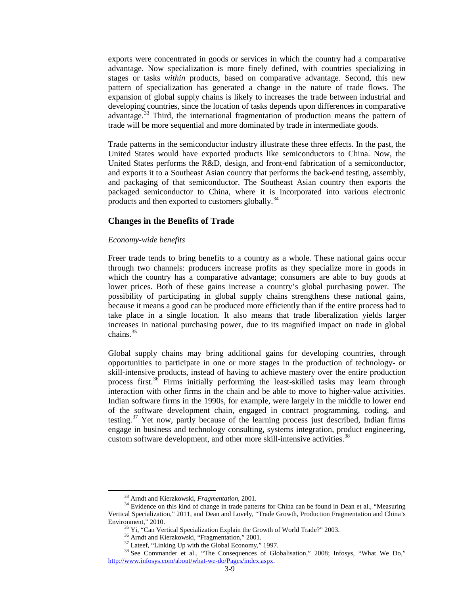exports were concentrated in goods or services in which the country had a comparative advantage. Now specialization is more finely defined, with countries specializing in stages or tasks *within* products, based on comparative advantage. Second, this new pattern of specialization has generated a change in the nature of trade flows. The expansion of global supply chains is likely to increases the trade between industrial and developing countries, since the location of tasks depends upon differences in comparative advantage.<sup>[33](#page-8-0)</sup> Third, the international fragmentation of production means the pattern of trade will be more sequential and more dominated by trade in intermediate goods.

Trade patterns in the semiconductor industry illustrate these three effects. In the past, the United States would have exported products like semiconductors to China. Now, the United States performs the R&D, design, and front-end fabrication of a semiconductor, and exports it to a Southeast Asian country that performs the back-end testing, assembly, and packaging of that semiconductor. The Southeast Asian country then exports the packaged semiconductor to China, where it is incorporated into various electronic products and then exported to customers globally.<sup>[34](#page-8-1)</sup>

### **Changes in the Benefits of Trade**

### *Economy-wide benefits*

Freer trade tends to bring benefits to a country as a whole. These national gains occur through two channels: producers increase profits as they specialize more in goods in which the country has a comparative advantage; consumers are able to buy goods at lower prices. Both of these gains increase a country's global purchasing power. The possibility of participating in global supply chains strengthens these national gains, because it means a good can be produced more efficiently than if the entire process had to take place in a single location. It also means that trade liberalization yields larger increases in national purchasing power, due to its magnified impact on trade in global chains. [35](#page-8-2)

Global supply chains may bring additional gains for developing countries, through opportunities to participate in one or more stages in the production of technology- or skill-intensive products, instead of having to achieve mastery over the entire production process first.<sup>[36](#page-8-3)</sup> Firms initially performing the least-skilled tasks may learn through interaction with other firms in the chain and be able to move to higher-value activities. Indian software firms in the 1990s, for example, were largely in the middle to lower end of the software development chain, engaged in contract programming, coding, and testing.<sup>[37](#page-8-4)</sup> Yet now, partly because of the learning process just described, Indian firms engage in business and technology consulting, systems integration, product engineering, custom software development, and other more skill-intensive activities.<sup>[38](#page-8-5)</sup>

<span id="page-8-1"></span><span id="page-8-0"></span><sup>&</sup>lt;sup>33</sup> Arndt and Kierzkowski, *Fragmentation*, 2001.<br><sup>34</sup> Evidence on this kind of change in trade patterns for China can be found in Dean et al., "Measuring Vertical Specialization," 2011, and Dean and Lovely, "Trade Growth, Production Fragmentation and China's Environment," 2010.<br>
<sup>35</sup> Yi, "Can Vertical Specialization Explain the Growth of World Trade?" 2003.<br>
<sup>36</sup> Arndt and Kierzkowski, "Fragmentation," 2001.<br>
<sup>37</sup> Lateef, "Linking Up with the Global Economy," 1997.<br>
<sup>38</sup> See C

<span id="page-8-5"></span><span id="page-8-4"></span><span id="page-8-3"></span><span id="page-8-2"></span>[http://www.infosys.com/about/what-we-do/Pages/index.aspx.](http://www.infosys.com/about/what-we-do/Pages/index.aspx)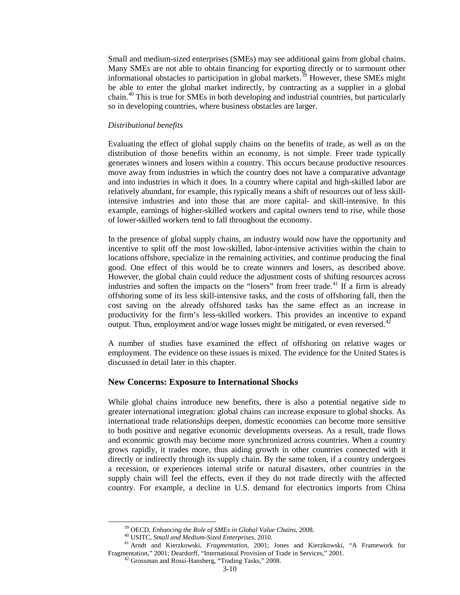Small and medium-sized enterprises (SMEs) may see additional gains from global chains. Many SMEs are not able to obtain financing for exporting directly or to surmount other informational obstacles to participation in global markets.<sup>[39](#page-9-0)</sup> However, these SMEs might be able to enter the global market indirectly, by contracting as a supplier in a global chain.[40](#page-9-1) This is true for SMEs in both developing and industrial countries, but particularly so in developing countries, where business obstacles are larger.

#### *Distributional benefits*

Evaluating the effect of global supply chains on the benefits of trade, as well as on the distribution of those benefits within an economy, is not simple. Freer trade typically generates winners and losers within a country. This occurs because productive resources move away from industries in which the country does not have a comparative advantage and into industries in which it does. In a country where capital and high-skilled labor are relatively abundant, for example, this typically means a shift of resources out of less skillintensive industries and into those that are more capital- and skill-intensive. In this example, earnings of higher-skilled workers and capital owners tend to rise, while those of lower-skilled workers tend to fall throughout the economy.

In the presence of global supply chains, an industry would now have the opportunity and incentive to split off the most low-skilled, labor-intensive activities within the chain to locations offshore, specialize in the remaining activities, and continue producing the final good. One effect of this would be to create winners and losers, as described above. However, the global chain could reduce the adjustment costs of shifting resources across industries and soften the impacts on the "losers" from freer trade.<sup>[41](#page-9-2)</sup> If a firm is already offshoring some of its less skill-intensive tasks, and the costs of offshoring fall, then the cost saving on the already offshored tasks has the same effect as an increase in productivity for the firm's less-skilled workers. This provides an incentive to expand output. Thus, employment and/or wage losses might be mitigated, or even reversed.<sup>4</sup>

A number of studies have examined the effect of offshoring on relative wages or employment. The evidence on these issues is mixed. The evidence for the United States is discussed in detail later in this chapter.

### **New Concerns: Exposure to International Shocks**

While global chains introduce new benefits, there is also a potential negative side to greater international integration: global chains can increase exposure to global shocks. As international trade relationships deepen, domestic economies can become more sensitive to both positive and negative economic developments overseas. As a result, trade flows and economic growth may become more synchronized across countries. When a country grows rapidly, it trades more, thus aiding growth in other countries connected with it directly or indirectly through its supply chain. By the same token, if a country undergoes a recession, or experiences internal strife or natural disasters, other countries in the supply chain will feel the effects, even if they do not trade directly with the affected country. For example, a decline in U.S. demand for electronics imports from China

<span id="page-9-3"></span><span id="page-9-2"></span><span id="page-9-1"></span><span id="page-9-0"></span><sup>&</sup>lt;sup>39</sup> OECD, *Enhancing the Role of SMEs in Global Value Chains*, 2008.<br><sup>40</sup> USITC, *Small and Medium-Sized Enterprises*, 2010.<br><sup>41</sup> Arndt and Kierzkowski, *Fragmentation*, 2001; Jones and Kierzkowski, "A Framework for Fragmentation," 2001; Deardorff, "International Provision of Trade in Services," 2001. <sup>42</sup> Grossman and Rossi-Hansberg, "Trading Tasks," 2008.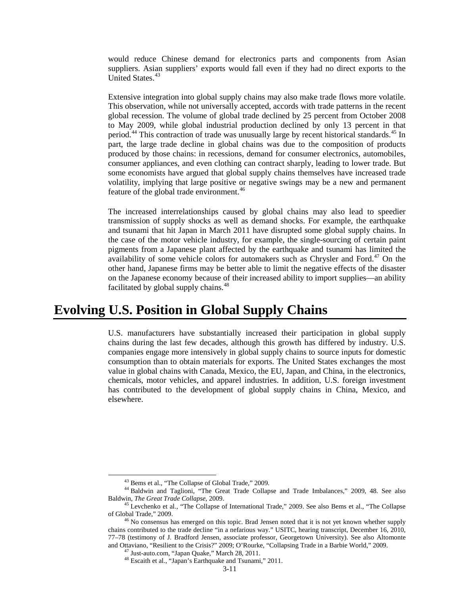would reduce Chinese demand for electronics parts and components from Asian suppliers. Asian suppliers' exports would fall even if they had no direct exports to the United States.<sup>[43](#page-10-0)</sup>

Extensive integration into global supply chains may also make trade flows more volatile. This observation, while not universally accepted, accords with trade patterns in the recent global recession. The volume of global trade declined by 25 percent from October 2008 to May 2009, while global industrial production declined by only 13 percent in that period.<sup>[44](#page-10-1)</sup> This contraction of trade was unusually large by recent historical standards.<sup>[45](#page-10-2)</sup> In part, the large trade decline in global chains was due to the composition of products produced by those chains: in recessions, demand for consumer electronics, automobiles, consumer appliances, and even clothing can contract sharply, leading to lower trade. But some economists have argued that global supply chains themselves have increased trade volatility, implying that large positive or negative swings may be a new and permanent feature of the global trade environment.<sup>[46](#page-10-3)</sup>

The increased interrelationships caused by global chains may also lead to speedier transmission of supply shocks as well as demand shocks. For example, the earthquake and tsunami that hit Japan in March 2011 have disrupted some global supply chains. In the case of the motor vehicle industry, for example, the single-sourcing of certain paint pigments from a Japanese plant affected by the earthquake and tsunami has limited the availability of some vehicle colors for automakers such as Chrysler and Ford.<sup>[47](#page-10-4)</sup> On the other hand, Japanese firms may be better able to limit the negative effects of the disaster on the Japanese economy because of their increased ability to import supplies—an ability facilitated by global supply chains.<sup>[48](#page-10-5)</sup>

## **Evolving U.S. Position in Global Supply Chains**

U.S. manufacturers have substantially increased their participation in global supply chains during the last few decades, although this growth has differed by industry. U.S. companies engage more intensively in global supply chains to source inputs for domestic consumption than to obtain materials for exports. The United States exchanges the most value in global chains with Canada, Mexico, the EU, Japan, and China, in the electronics, chemicals, motor vehicles, and apparel industries. In addition, U.S. foreign investment has contributed to the development of global supply chains in China, Mexico, and elsewhere.

<sup>&</sup>lt;sup>43</sup> Bems et al., "The Collapse of Global Trade," 2009.<br><sup>44</sup> Baldwin and Taglioni, "The Great Trade Collapse and Trade Imbalances," 2009, 48. See also

<span id="page-10-2"></span><span id="page-10-1"></span><span id="page-10-0"></span>Baldwin, *The Great Trade Collapse*, 2009. <sup>45</sup> Levchenko et al., "The Collapse of International Trade," 2009. See also Bems et al., "The Collapse of Global Trade," 2009.<br><sup>46</sup> No consensus has emerged on this topic. Brad Jensen noted that it is not yet known whether supply

<span id="page-10-5"></span><span id="page-10-4"></span><span id="page-10-3"></span>chains contributed to the trade decline "in a nefarious way." USITC, hearing transcript, December 16, 2010, 77–78 (testimony of J. Bradford Jensen, associate professor, Georgetown University). See also Altomonte and Ottaviano, "Resilient to the Crisis?" 2009; O'Rourke, "Collapsing Trade in a Barbie World," 2009.<br><sup>47</sup> Just-auto.com, "Japan Quake," March 28, 2011.<br><sup>48</sup> Escaith et al., "Japan's Earthquake and Tsunami," 2011.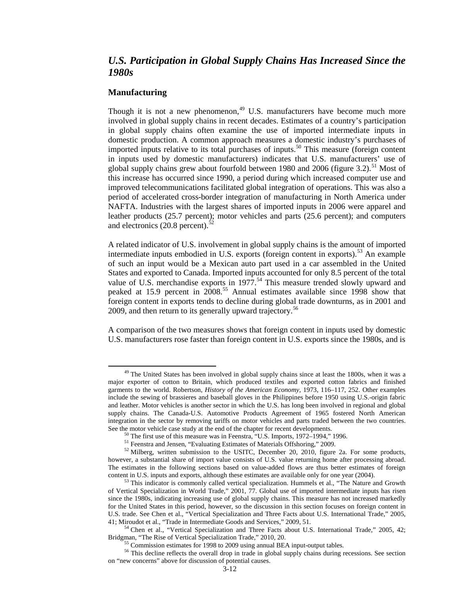### *U.S. Participation in Global Supply Chains Has Increased Since the 1980s*

### **Manufacturing**

Though it is not a new phenomenon,<sup>[49](#page-11-0)</sup> U.S. manufacturers have become much more involved in global supply chains in recent decades. Estimates of a country's participation in global supply chains often examine the use of imported intermediate inputs in domestic production. A common approach measures a domestic industry's purchases of imported inputs relative to its total purchases of inputs.<sup>[50](#page-11-1)</sup> This measure (foreign content in inputs used by domestic manufacturers) indicates that U.S. manufacturers' use of global supply chains grew about fourfold between 1980 and 2006 (figure 3.2).<sup>[51](#page-11-2)</sup> Most of this increase has occurred since 1990, a period during which increased computer use and improved telecommunications facilitated global integration of operations. This was also a period of accelerated cross-border integration of manufacturing in North America under NAFTA. Industries with the largest shares of imported inputs in 2006 were apparel and leather products (25.7 percent); motor vehicles and parts (25.6 percent); and computers and electronics  $(20.8 \text{ percent})$ .<sup>[52](#page-11-3)</sup>

A related indicator of U.S. involvement in global supply chains is the amount of imported intermediate inputs embodied in U.S. exports (foreign content in exports).<sup>[53](#page-11-4)</sup> An example of such an input would be a Mexican auto part used in a car assembled in the United States and exported to Canada. Imported inputs accounted for only 8.5 percent of the total value of U.S. merchandise exports in  $1977.^{54}$  $1977.^{54}$  $1977.^{54}$  This measure trended slowly upward and peaked at 15.9 percent in  $2008^{55}$  $2008^{55}$  $2008^{55}$  Annual estimates available since 1998 show that foreign content in exports tends to decline during global trade downturns, as in 2001 and 2009, and then return to its generally upward trajectory.<sup>[56](#page-11-7)</sup>

A comparison of the two measures shows that foreign content in inputs used by domestic U.S. manufacturers rose faster than foreign content in U.S. exports since the 1980s, and is

<span id="page-11-0"></span><sup>&</sup>lt;sup>49</sup> The United States has been involved in global supply chains since at least the 1800s, when it was a major exporter of cotton to Britain, which produced textiles and exported cotton fabrics and finished garments to the world. Robertson, *History of the American Economy,* 1973, 116–117, 252. Other examples include the sewing of brassieres and baseball gloves in the Philippines before 1950 using U.S.-origin fabric and leather. Motor vehicles is another sector in which the U.S. has long been involved in regional and global supply chains. The Canada-U.S. Automotive Products Agreement of 1965 fostered North American integration in the sector by removing tariffs on motor vehicles and parts traded between the two countries. See the motor vehicle case study at the end of the chapter for recent developments.<br><sup>50</sup> The first use of this measure was in Feenstra, "U.S. Imports, 1972–1994," 1996.<br><sup>51</sup> Feenstra and Jensen, "Evaluating Estimates of Ma

<span id="page-11-3"></span><span id="page-11-2"></span><span id="page-11-1"></span>however, a substantial share of import value consists of U.S. value returning home after processing abroad. The estimates in the following sections based on value-added flows are thus better estimates of foreign content in U.S. inputs and exports, although these estimates are available only for one year (2004). <sup>53</sup> This indicator is commonly called vertical specialization. Hummels et al., "The Nature and Growth

<span id="page-11-4"></span>of Vertical Specialization in World Trade," 2001, 77. Global use of imported intermediate inputs has risen since the 1980s, indicating increasing use of global supply chains. This measure has not increased markedly for the United States in this period, however, so the discussion in this section focuses on foreign content in U.S. trade. See Chen et al., "Vertical Specialization and Three Facts about U.S. International Trade," 2005,

<sup>41;</sup> Miroudot et al., "Trade in Intermediate Goods and Services," 2009, 51.<br><sup>54</sup> Chen et al., "Vertical Specialization and Three Facts about U.S. International Trade," 2005, 42;<br>Bridgman, "The Rise of Vertical Specializatio

<span id="page-11-7"></span><span id="page-11-6"></span><span id="page-11-5"></span> $^{55}$  Commission estimates for 1998 to 2009 using annual BEA input-output tables.<br><sup>56</sup> This decline reflects the overall drop in trade in global supply chains during recessions. See section on "new concerns" above for discussion of potential causes.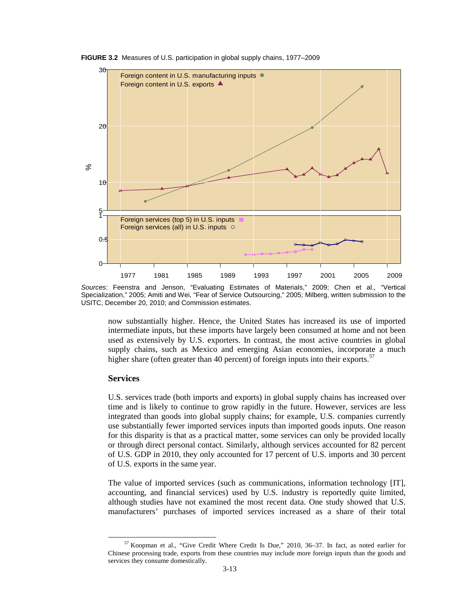

**FIGURE 3.2** Measures of U.S. participation in global supply chains, 1977–2009

now substantially higher. Hence, the United States has increased its use of imported intermediate inputs, but these imports have largely been consumed at home and not been used as extensively by U.S. exporters. In contrast, the most active countries in global supply chains, such as Mexico and emerging Asian economies, incorporate a much higher share (often greater than 40 percent) of foreign inputs into their exports.<sup>[57](#page-12-0)</sup>

#### **Services**

U.S. services trade (both imports and exports) in global supply chains has increased over time and is likely to continue to grow rapidly in the future. However, services are less integrated than goods into global supply chains; for example, U.S. companies currently use substantially fewer imported services inputs than imported goods inputs. One reason for this disparity is that as a practical matter, some services can only be provided locally or through direct personal contact. Similarly, although services accounted for 82 percent of U.S. GDP in 2010, they only accounted for 17 percent of U.S. imports and 30 percent of U.S. exports in the same year.

The value of imported services (such as communications, information technology [IT], accounting, and financial services) used by U.S. industry is reportedly quite limited, although studies have not examined the most recent data. One study showed that U.S. manufacturers' purchases of imported services increased as a share of their total

*Sources:* Feenstra and Jenson, "Evaluating Estimates of Materials," 2009; Chen et al., "Vertical Specialization," 2005; Amiti and Wei, "Fear of Service Outsourcing," 2005; Milberg, written submission to the USITC, December 20, 2010; and Commission estimates.

<span id="page-12-0"></span><sup>57</sup> Koopman et al., "Give Credit Where Credit Is Due," 2010, 36–37. In fact, as noted earlier for Chinese processing trade, exports from these countries may include more foreign inputs than the goods and services they consume domestically.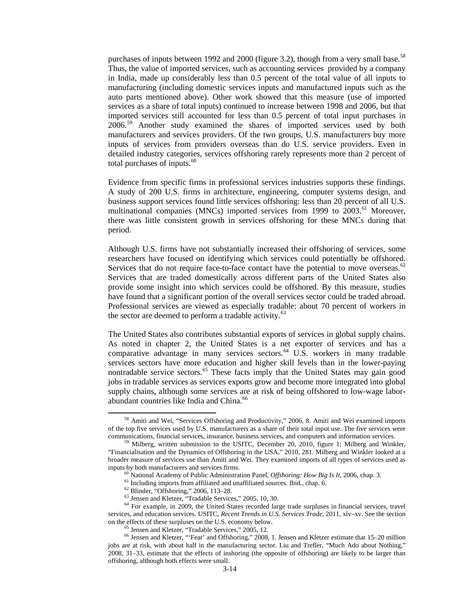purchases of inputs between 1992 and 2000 (figure 3.2), though from a very small base.<sup>[58](#page-13-0)</sup> Thus, the value of imported services, such as accounting services provided by a company in India, made up considerably less than 0.5 percent of the total value of all inputs to manufacturing (including domestic services inputs and manufactured inputs such as the auto parts mentioned above). Other work showed that this measure (use of imported services as a share of total inputs) continued to increase between 1998 and 2006, but that imported services still accounted for less than 0.5 percent of total input purchases in  $2006<sup>59</sup>$  $2006<sup>59</sup>$  $2006<sup>59</sup>$  Another study examined the shares of imported services used by both manufacturers and services providers. Of the two groups, U.S. manufacturers buy more inputs of services from providers overseas than do U.S. service providers. Even in detailed industry categories, services offshoring rarely represents more than 2 percent of total purchases of inputs. $60$ 

Evidence from specific firms in professional services industries supports these findings. A study of 200 U.S. firms in architecture, engineering, computer systems design, and business support services found little services offshoring: less than 20 percent of all U.S. multinational companies (MNCs) imported services from 1999 to 2003.<sup>[61](#page-13-3)</sup> Moreover, there was little consistent growth in services offshoring for these MNCs during that period.

Although U.S. firms have not substantially increased their offshoring of services, some researchers have focused on identifying which services could potentially be offshored. Services that do not require face-to-face contact have the potential to move overseas. $62$ Services that are traded domestically across different parts of the United States also provide some insight into which services could be offshored. By this measure, studies have found that a significant portion of the overall services sector could be traded abroad. Professional services are viewed as especially tradable: about 70 percent of workers in the sector are deemed to perform a tradable activity.<sup>[63](#page-13-5)</sup>

The United States also contributes substantial exports of services in global supply chains. As noted in chapter 2, the United States is a net exporter of services and has a comparative advantage in many services sectors.<sup>[64](#page-13-6)</sup> U.S. workers in many tradable services sectors have more education and higher skill levels than in the lower-paying nontradable service sectors.<sup>[65](#page-13-7)</sup> These facts imply that the United States may gain good jobs in tradable services as services exports grow and become more integrated into global supply chains, although some services are at risk of being offshored to low-wage labor-abundant countries like India and China.<sup>[66](#page-13-8)</sup>

<span id="page-13-0"></span><sup>58</sup> Amiti and Wei, "Services Offshoring and Productivity," 2006, 8. Amiti and Wei examined imports of the top five services used by U.S. manufacturers as a share of their total input use. The five services were communications, financial services, insurance, business services, and computers and information services. <sup>59</sup> Milberg, written submission to the USITC, December 20, 2010, figure 1; Milberg and Winkler,

<span id="page-13-1"></span><sup>&</sup>quot;Financialisation and the Dynamics of Offshoring in the USA," 2010, 281. Milberg and Winkler looked at a broader measure of services use than Amiti and Wei. They examined imports of all types of services used as

<span id="page-13-4"></span><span id="page-13-3"></span><span id="page-13-2"></span>inputs by both manufacturers and services firms.<br>
<sup>60</sup> National Academy of Public Administration Panel, *Offshoring: How Big Is It*, 2006, chap. 3.<br>
<sup>61</sup> Including imports from affiliated and unaffiliated sources. Ibid., c services, and education services. USITC, *Recent Trends in U.S. Services Trade*, 2011, xiv–xv. See the section on the effects of these surpluses on the U.S. economy below.

<span id="page-13-8"></span><span id="page-13-7"></span><span id="page-13-6"></span><span id="page-13-5"></span><sup>&</sup>lt;sup>65</sup> Jensen and Kletzer, "Tradable Services," 2005, 12.<br><sup>66</sup> Jensen and Kletzer, "'Fear' and Offshoring," 2008, 1. Jensen and Kletzer estimate that 15–20 million jobs are at risk, with about half in the manufacturing sector. Liu and Trefler, "Much Ado about Nothing," 2008, 31–33, estimate that the effects of inshoring (the opposite of offshoring) are likely to be larger than offshoring, although both effects were small.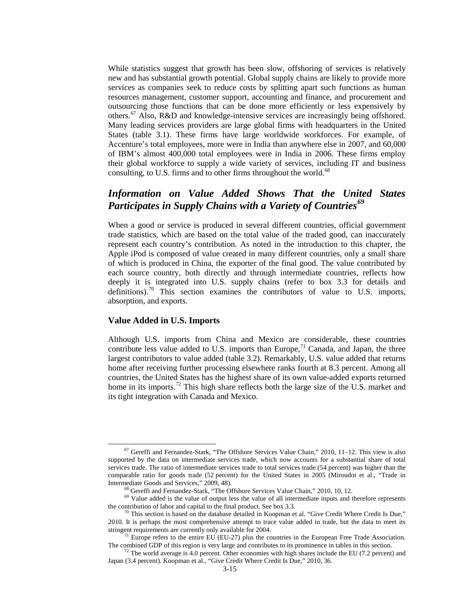While statistics suggest that growth has been slow, offshoring of services is relatively new and has substantial growth potential. Global supply chains are likely to provide more services as companies seek to reduce costs by splitting apart such functions as human resources management, customer support, accounting and finance, and procurement and outsourcing those functions that can be done more efficiently or less expensively by others.<sup>[67](#page-14-0)</sup> Also, R&D and knowledge-intensive services are increasingly being offshored. Many leading services providers are large global firms with headquarters in the United States (table 3.1). These firms have large worldwide workforces. For example, of Accenture's total employees, more were in India than anywhere else in 2007, and 60,000 of IBM's almost 400,000 total employees were in India in 2006. These firms employ their global workforce to supply a wide variety of services, including IT and business consulting, to U.S. firms and to other firms throughout the world.<sup>[68](#page-14-1)</sup>

### *Information on Value Added Shows That the United States Participates in Supply Chains with a Variety of Countries[69](#page-14-2)*

When a good or service is produced in several different countries, official government trade statistics, which are based on the total value of the traded good, can inaccurately represent each country's contribution. As noted in the introduction to this chapter, the Apple iPod is composed of value created in many different countries, only a small share of which is produced in China, the exporter of the final good. The value contributed by each source country, both directly and through intermediate countries, reflects how deeply it is integrated into U.S. supply chains (refer to box 3.3 for details and definitions).<sup>[70](#page-14-3)</sup> This section examines the contributors of value to U.S. imports, absorption, and exports.

### **Value Added in U.S. Imports**

Although U.S. imports from China and Mexico are considerable, these countries contribute less value added to U.S. imports than Europe,  $71$  Canada, and Japan, the three largest contributors to value added (table 3.2). Remarkably, U.S. value added that returns home after receiving further processing elsewhere ranks fourth at 8.3 percent. Among all countries, the United States has the highest share of its own value-added exports returned home in its imports.<sup>[72](#page-14-5)</sup> This high share reflects both the large size of the U.S. market and its tight integration with Canada and Mexico.

<span id="page-14-0"></span><sup>67</sup> Gereffi and Fernandez-Stark, "The Offshore Services Value Chain," 2010, 11–12. This view is also supported by the data on intermediate services trade, which now accounts for a substantial share of total services trade. The ratio of intermediate services trade to total services trade (54 percent) was higher than the comparable ratio for goods trade (52 percent) for the United States in 2005 (Miroudot et al., "Trade in

<span id="page-14-2"></span><span id="page-14-1"></span> $^{68}$  Gereffi and Fernandez-Stark, "The Offshore Services Value Chain," 2010, 10, 12.<br> $^{69}$  Value added is the value of output less the value of all intermediate inputs and therefore represents the contribution of labor and capital to the final product. See box 3.3.  $\frac{70}{10}$  This section is based on the database detailed in Koopman et al. "Give Credit Where Credit Is Due,"

<span id="page-14-3"></span><sup>2010.</sup> It is perhaps the most comprehensive attempt to trace value added in trade, but the data to meet its

<span id="page-14-4"></span><sup>&</sup>lt;sup>71</sup> Europe refers to the entire EU (EU-27) plus the countries in the European Free Trade Association. The combined GDP of this region is very large and contributes to its prominence in tables in this section.<br><sup>72</sup> The world average is 4.0 percent. Other economies with high shares include the EU (7.2 percent) and

<span id="page-14-5"></span>Japan (3.4 percent). Koopman et al., "Give Credit Where Credit Is Due," 2010, 36.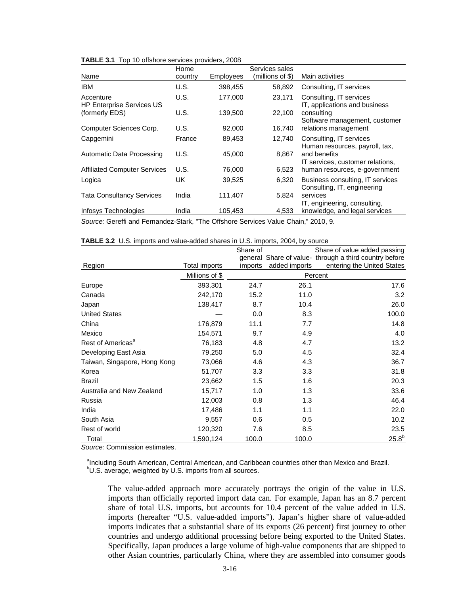|                                               | Home    |           | Services sales   |                                                                 |
|-----------------------------------------------|---------|-----------|------------------|-----------------------------------------------------------------|
| Name                                          | country | Employees | (millions of \$) | Main activities                                                 |
| <b>IBM</b>                                    | U.S.    | 398,455   | 58,892           | Consulting, IT services                                         |
| Accenture<br><b>HP Enterprise Services US</b> | U.S.    | 177.000   | 23,171           | Consulting, IT services<br>IT, applications and business        |
| (formerly EDS)                                | U.S.    | 139,500   | 22,100           | consulting<br>Software management, customer                     |
| Computer Sciences Corp.                       | U.S.    | 92,000    | 16,740           | relations management                                            |
| Capgemini                                     | France  | 89,453    | 12,740           | Consulting, IT services<br>Human resources, payroll, tax,       |
| Automatic Data Processing                     | U.S.    | 45.000    | 8.867            | and benefits<br>IT services, customer relations,                |
| <b>Affiliated Computer Services</b>           | U.S.    | 76,000    | 6,523            | human resources, e-government                                   |
| Logica                                        | UK      | 39,525    | 6,320            | Business consulting, IT services<br>Consulting, IT, engineering |
| <b>Tata Consultancy Services</b>              | India   | 111,407   | 5.824            | services<br>IT, engineering, consulting,                        |
| Infosys Technologies                          | India   | 105,453   | 4,533            | knowledge, and legal services                                   |

**TABLE 3.1** Top 10 offshore services providers, 2008

*Source:* Gereffi and Fernandez-Stark, "The Offshore Services Value Chain," 2010, 9.

|                               |                | Share of |               | Share of value added passing<br>general Share of value- through a third country before |
|-------------------------------|----------------|----------|---------------|----------------------------------------------------------------------------------------|
| Region                        | Total imports  | imports  | added imports | entering the United States                                                             |
|                               | Millions of \$ |          |               | Percent                                                                                |
| Europe                        | 393,301        | 24.7     | 26.1          | 17.6                                                                                   |
| Canada                        | 242,170        | 15.2     | 11.0          | 3.2                                                                                    |
| Japan                         | 138,417        | 8.7      | 10.4          | 26.0                                                                                   |
| <b>United States</b>          |                | 0.0      | 8.3           | 100.0                                                                                  |
| China                         | 176,879        | 11.1     | 7.7           | 14.8                                                                                   |
| Mexico                        | 154,571        | 9.7      | 4.9           | 4.0                                                                                    |
| Rest of Americas <sup>a</sup> | 76,183         | 4.8      | 4.7           | 13.2                                                                                   |
| Developing East Asia          | 79,250         | 5.0      | 4.5           | 32.4                                                                                   |
| Taiwan, Singapore, Hong Kong  | 73,066         | 4.6      | 4.3           | 36.7                                                                                   |
| Korea                         | 51,707         | 3.3      | 3.3           | 31.8                                                                                   |
| <b>Brazil</b>                 | 23,662         | 1.5      | 1.6           | 20.3                                                                                   |
| Australia and New Zealand     | 15,717         | 1.0      | 1.3           | 33.6                                                                                   |
| Russia                        | 12,003         | 0.8      | 1.3           | 46.4                                                                                   |
| India                         | 17,486         | 1.1      | 1.1           | 22.0                                                                                   |
| South Asia                    | 9,557          | 0.6      | 0.5           | 10.2                                                                                   |
| Rest of world                 | 120,320        | 7.6      | 8.5           | 23.5                                                                                   |
| Total                         | 1,590,124      | 100.0    | 100.0         | $25.8^{b}$                                                                             |

**TABLE 3.2** U.S. imports and value-added shares in U.S. imports, 2004, by source

*Source:* Commission estimates.

ancluding South American, Central American, and Caribbean countries other than Mexico and Brazil. <sup>b</sup>U.S. average, weighted by U.S. imports from all sources.

The value-added approach more accurately portrays the origin of the value in U.S. imports than officially reported import data can. For example, Japan has an 8.7 percent share of total U.S. imports, but accounts for 10.4 percent of the value added in U.S. imports (hereafter "U.S. value-added imports"). Japan's higher share of value-added imports indicates that a substantial share of its exports (26 percent) first journey to other countries and undergo additional processing before being exported to the United States. Specifically, Japan produces a large volume of high-value components that are shipped to other Asian countries, particularly China, where they are assembled into consumer goods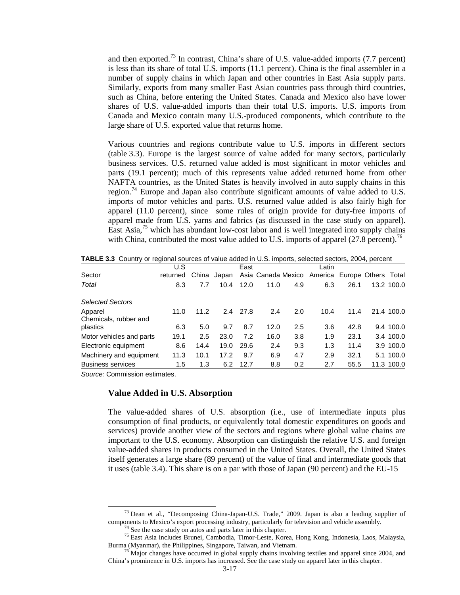and then exported.<sup>[73](#page-16-0)</sup> In contrast, China's share of U.S. value-added imports (7.7 percent) is less than its share of total U.S. imports (11.1 percent). China is the final assembler in a number of supply chains in which Japan and other countries in East Asia supply parts. Similarly, exports from many smaller East Asian countries pass through third countries, such as China, before entering the United States. Canada and Mexico also have lower shares of U.S. value-added imports than their total U.S. imports. U.S. imports from Canada and Mexico contain many U.S.-produced components, which contribute to the large share of U.S. exported value that returns home.

Various countries and regions contribute value to U.S. imports in different sectors (table 3.3). Europe is the largest source of value added for many sectors, particularly business services. U.S. returned value added is most significant in motor vehicles and parts (19.1 percent); much of this represents value added returned home from other NAFTA countries, as the United States is heavily involved in auto supply chains in this region.[74](#page-16-1) Europe and Japan also contribute significant amounts of value added to U.S. imports of motor vehicles and parts. U.S. returned value added is also fairly high for apparel (11.0 percent), since some rules of origin provide for duty-free imports of apparel made from U.S. yarns and fabrics (as discussed in the case study on apparel). East Asia, $^{75}$  $^{75}$  $^{75}$  which has abundant low-cost labor and is well integrated into supply chains with China, contributed the most value added to U.S. imports of apparel (27.8 percent).<sup>[76](#page-16-3)</sup>

|                                  | U.S      |       |       | East |      |     | Latin                                          |      |            |
|----------------------------------|----------|-------|-------|------|------|-----|------------------------------------------------|------|------------|
| Sector                           | returned | China | Japan |      |      |     | Asia Canada Mexico America Europe Others Total |      |            |
| Total                            | 8.3      | 7.7   | 10.4  | 12.0 | 11.0 | 4.9 | 6.3                                            | 26.1 | 13.2 100.0 |
| <b>Selected Sectors</b>          |          |       |       |      |      |     |                                                |      |            |
| Apparel<br>Chemicals, rubber and | 11.0     | 11.2  | 2.4   | 27.8 | 2.4  | 2.0 | 10.4                                           | 11.4 | 21.4 100.0 |
| plastics                         | 6.3      | 5.0   | 9.7   | 8.7  | 12.0 | 2.5 | 3.6                                            | 42.8 | 9.4 100.0  |
| Motor vehicles and parts         | 19.1     | 2.5   | 23.0  | 7.2  | 16.0 | 3.8 | 1.9                                            | 23.1 | 3.4 100.0  |
| Electronic equipment             | 8.6      | 14.4  | 19.0  | 29.6 | 2.4  | 9.3 | 1.3                                            | 11.4 | 3.9 100.0  |
| Machinery and equipment          | 11.3     | 10.1  | 17.2  | 9.7  | 6.9  | 4.7 | 2.9                                            | 32.1 | 5.1 100.0  |
| <b>Business services</b>         | 1.5      | 1.3   | 6.2   | 12.7 | 8.8  | 0.2 | 2.7                                            | 55.5 | 11.3 100.0 |

**TABLE 3.3** Country or regional sources of value added in U.S. imports, selected sectors, 2004, percent

*Source:* Commission estimates.

### **Value Added in U.S. Absorption**

The value-added shares of U.S. absorption (i.e., use of intermediate inputs plus consumption of final products, or equivalently total domestic expenditures on goods and services) provide another view of the sectors and regions where global value chains are important to the U.S. economy. Absorption can distinguish the relative U.S. and foreign value-added shares in products consumed in the United States. Overall, the United States itself generates a large share (89 percent) of the value of final and intermediate goods that it uses (table 3.4). This share is on a par with those of Japan (90 percent) and the EU-15

 $^{73}$  Dean et al., "Decomposing China-Japan-U.S. Trade," 2009. Japan is also a leading supplier of

<span id="page-16-2"></span><span id="page-16-1"></span><span id="page-16-0"></span>components to Mexico's export processing industry, particularly for television and vehicle assembly.<br><sup>74</sup> See the case study on autos and parts later in this chapter.<br><sup>75</sup> East Asia includes Brunei, Cambodia, Timor-Leste,

<span id="page-16-3"></span><sup>&</sup>lt;sup> $76$ </sup> Major changes have occurred in global supply chains involving textiles and apparel since 2004, and China's prominence in U.S. imports has increased. See the case study on apparel later in this chapter.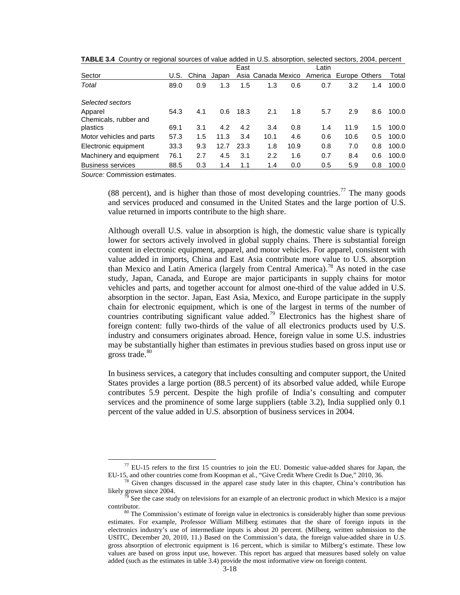|                                  |      |       |       | East |                    |      | ∟atin   |               |     |       |
|----------------------------------|------|-------|-------|------|--------------------|------|---------|---------------|-----|-------|
| Sector                           | U.S. | China | Japan |      | Asia Canada Mexico |      | America | Europe Others |     | Total |
| Total                            | 89.0 | 0.9   | 1.3   | 1.5  | 1.3                | 0.6  | 0.7     | 3.2           | 1.4 | 100.0 |
| Selected sectors                 |      |       |       |      |                    |      |         |               |     |       |
| Apparel<br>Chemicals, rubber and | 54.3 | 4.1   | 0.6   | 18.3 | 2.1                | 1.8  | 5.7     | 2.9           | 8.6 | 100.0 |
| plastics                         | 69.1 | 3.1   | 4.2   | 4.2  | 3.4                | 0.8  | 1.4     | 11.9          | 1.5 | 100.0 |
| Motor vehicles and parts         | 57.3 | 1.5   | 11.3  | 3.4  | 10.1               | 4.6  | 0.6     | 10.6          | 0.5 | 100.0 |
| Electronic equipment             | 33.3 | 9.3   | 12.7  | 23.3 | 1.8                | 10.9 | 0.8     | 7.0           | 0.8 | 100.0 |
| Machinery and equipment          | 76.1 | 2.7   | 4.5   | 3.1  | 2.2                | 1.6  | 0.7     | 8.4           | 0.6 | 100.0 |
| <b>Business services</b>         | 88.5 | 0.3   | 1.4   | 1.1  | 1.4                | 0.0  | 0.5     | 5.9           | 0.8 | 100.0 |

**TABLE 3.4** Country or regional sources of value added in U.S. absorption, selected sectors, 2004, percent

*Source:* Commission estimates.

(88 percent), and is higher than those of most developing countries.<sup>[77](#page-17-0)</sup> The many goods and services produced and consumed in the United States and the large portion of U.S. value returned in imports contribute to the high share.

Although overall U.S. value in absorption is high, the domestic value share is typically lower for sectors actively involved in global supply chains. There is substantial foreign content in electronic equipment, apparel, and motor vehicles. For apparel, consistent with value added in imports, China and East Asia contribute more value to U.S. absorption than Mexico and Latin America (largely from Central America).[78](#page-17-1) As noted in the case study, Japan, Canada, and Europe are major participants in supply chains for motor vehicles and parts, and together account for almost one-third of the value added in U.S. absorption in the sector. Japan, East Asia, Mexico, and Europe participate in the supply chain for electronic equipment, which is one of the largest in terms of the number of countries contributing significant value added.<sup>[79](#page-17-2)</sup> Electronics has the highest share of foreign content: fully two-thirds of the value of all electronics products used by U.S. industry and consumers originates abroad. Hence, foreign value in some U.S. industries may be substantially higher than estimates in previous studies based on gross input use or gross trade. $80$ 

In business services, a category that includes consulting and computer support, the United States provides a large portion (88.5 percent) of its absorbed value added, while Europe contributes 5.9 percent. Despite the high profile of India's consulting and computer services and the prominence of some large suppliers (table 3.2), India supplied only 0.1 percent of the value added in U.S. absorption of business services in 2004.

<span id="page-17-0"></span> $^{77}$  EU-15 refers to the first 15 countries to join the EU. Domestic value-added shares for Japan, the EU-15, and other countries come from Koopman et al., "Give Credit Where Credit Is Due," 2010, 36.

<span id="page-17-1"></span>Given changes discussed in the apparel case study later in this chapter, China's contribution has likely grown since 2004.<br><sup>79</sup> See the case study on televisions for an example of an electronic product in which Mexico is a major

<span id="page-17-2"></span>contributor. <sup>80</sup> The Commission's estimate of foreign value in electronics is considerably higher than some previous

<span id="page-17-3"></span>estimates. For example, Professor William Milberg estimates that the share of foreign inputs in the electronics industry's use of intermediate inputs is about 20 percent. (Milberg, written submission to the USITC, December 20, 2010, 11.) Based on the Commission's data, the foreign value-added share in U.S. gross absorption of electronic equipment is 16 percent, which is similar to Milberg's estimate. These low values are based on gross input use, however. This report has argued that measures based solely on value added (such as the estimates in table 3.4) provide the most informative view on foreign content.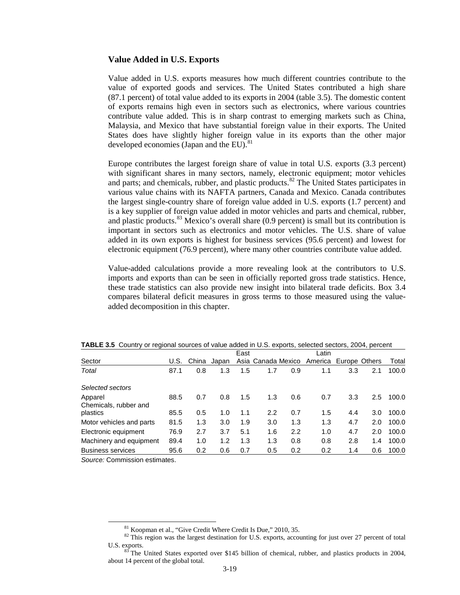#### **Value Added in U.S. Exports**

Value added in U.S. exports measures how much different countries contribute to the value of exported goods and services. The United States contributed a high share (87.1 percent) of total value added to its exports in 2004 (table 3.5). The domestic content of exports remains high even in sectors such as electronics, where various countries contribute value added. This is in sharp contrast to emerging markets such as China, Malaysia, and Mexico that have substantial foreign value in their exports. The United States does have slightly higher foreign value in its exports than the other major developed economies (Japan and the EU).<sup>81</sup>

Europe contributes the largest foreign share of value in total U.S. exports (3.3 percent) with significant shares in many sectors, namely, electronic equipment; motor vehicles and parts; and chemicals, rubber, and plastic products.<sup>[82](#page-18-1)</sup> The United States participates in various value chains with its NAFTA partners, Canada and Mexico. Canada contributes the largest single-country share of foreign value added in U.S. exports (1.7 percent) and is a key supplier of foreign value added in motor vehicles and parts and chemical, rubber, and plastic products. $83$  Mexico's overall share (0.9 percent) is small but its contribution is important in sectors such as electronics and motor vehicles. The U.S. share of value added in its own exports is highest for business services (95.6 percent) and lowest for electronic equipment (76.9 percent), where many other countries contribute value added.

Value-added calculations provide a more revealing look at the contributors to U.S. imports and exports than can be seen in officially reported gross trade statistics. Hence, these trade statistics can also provide new insight into bilateral trade deficits. Box 3.4 compares bilateral deficit measures in gross terms to those measured using the valueadded decomposition in this chapter.

|                                  |      |       |       | East |                    |     | _atin                 |     |     |       |
|----------------------------------|------|-------|-------|------|--------------------|-----|-----------------------|-----|-----|-------|
| Sector                           | U.S. | China | Japan |      | Asia Canada Mexico |     | America Europe Others |     |     | Total |
| Total                            | 87.1 | 0.8   | 1.3   | 1.5  | 1.7                | 0.9 | 1.1                   | 3.3 | 2.1 | 100.0 |
| Selected sectors                 |      |       |       |      |                    |     |                       |     |     |       |
| Apparel<br>Chemicals, rubber and | 88.5 | 0.7   | 0.8   | 1.5  | 1.3                | 0.6 | 0.7                   | 3.3 | 2.5 | 100.0 |
| plastics                         | 85.5 | 0.5   | 1.0   | 1.1  | 2.2                | 0.7 | 1.5                   | 4.4 | 3.0 | 100.0 |
| Motor vehicles and parts         | 81.5 | 1.3   | 3.0   | 1.9  | 3.0                | 1.3 | 1.3                   | 4.7 | 2.0 | 100.0 |
| Electronic equipment             | 76.9 | 2.7   | 3.7   | 5.1  | 1.6                | 2.2 | 1.0                   | 4.7 | 2.0 | 100.0 |
| Machinery and equipment          | 89.4 | 1.0   | 1.2   | 1.3  | 1.3                | 0.8 | 0.8                   | 2.8 | 1.4 | 100.0 |
| <b>Business services</b>         | 95.6 | 0.2   | 0.6   | 0.7  | 0.5                | 0.2 | 0.2                   | 1.4 | 0.6 | 100.0 |

| <b>TABLE 3.5</b> Country or regional sources of value added in U.S. exports, selected sectors, 2004, percent |  |
|--------------------------------------------------------------------------------------------------------------|--|
|--------------------------------------------------------------------------------------------------------------|--|

<span id="page-18-0"></span>*Source:* Commission estimates.

<span id="page-18-1"></span><sup>&</sup>lt;sup>81</sup> Koopman et al., "Give Credit Where Credit Is Due," 2010, 35.<br><sup>82</sup> This region was the largest destination for U.S. exports, accounting for just over 27 percent of total U.S. exports.<br><sup>83</sup> The United States exported over \$145 billion of chemical, rubber, and plastics products in 2004,

<span id="page-18-2"></span>about 14 percent of the global total.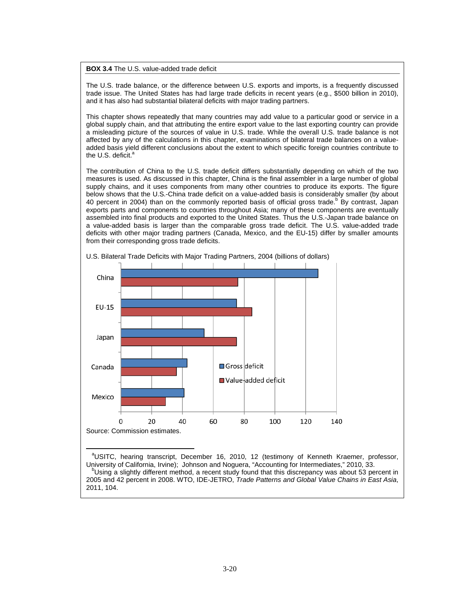**BOX 3.4** The U.S. value-added trade deficit

The U.S. trade balance, or the difference between U.S. exports and imports, is a frequently discussed trade issue. The United States has had large trade deficits in recent years (e.g., \$500 billion in 2010), and it has also had substantial bilateral deficits with major trading partners.

This chapter shows repeatedly that many countries may add value to a particular good or service in a global supply chain, and that attributing the entire export value to the last exporting country can provide a misleading picture of the sources of value in U.S. trade. While the overall U.S. trade balance is not affected by any of the calculations in this chapter, examinations of bilateral trade balances on a valueadded basis yield different conclusions about the extent to which specific foreign countries contribute to the U.S. deficit.<sup>a</sup>

The contribution of China to the U.S. trade deficit differs substantially depending on which of the two measures is used. As discussed in this chapter, China is the final assembler in a large number of global supply chains, and it uses components from many other countries to produce its exports. The figure below shows that the U.S.-China trade deficit on a value-added basis is considerably smaller (by about 40 percent in 2004) than on the commonly reported basis of official gross trade.<sup>b</sup> By contrast, Japan exports parts and components to countries throughout Asia; many of these components are eventually assembled into final products and exported to the United States. Thus the U.S.-Japan trade balance on a value-added basis is larger than the comparable gross trade deficit. The U.S. value-added trade deficits with other major trading partners (Canada, Mexico, and the EU-15) differ by smaller amounts from their corresponding gross trade deficits.



U.S. Bilateral Trade Deficits with Major Trading Partners, 2004 (billions of dollars)

<sup>a</sup>USITC, hearing transcript, December 16, 2010, 12 (testimony of Kenneth Kraemer, professor, University of California, Irvine); Johnson and Noguera, "Accounting for Intermediates," 2010, 33. <sup>b</sup>Using a slightly different method, a recent study found that this discrepancy was about 53 percent in 2005 and 42 percent in 2008. WTO, IDE-JETRO, *Trade Patterns and Global Value Chains in East Asia*, 2011, 104.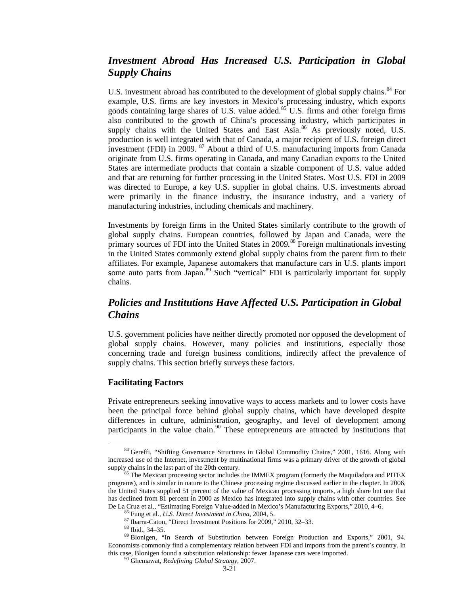### *Investment Abroad Has Increased U.S. Participation in Global Supply Chains*

U.S. investment abroad has contributed to the development of global supply chains.<sup>[84](#page-20-0)</sup> For example, U.S. firms are key investors in Mexico's processing industry, which exports goods containing large shares of U.S. value added.<sup>[85](#page-20-1)</sup> U.S. firms and other foreign firms also contributed to the growth of China's processing industry, which participates in supply chains with the United States and East Asia.<sup>[86](#page-20-2)</sup> As previously noted, U.S. production is well integrated with that of Canada, a major recipient of U.S. foreign direct investment (FDI) in 2009. [87](#page-20-3) About a third of U.S. manufacturing imports from Canada originate from U.S. firms operating in Canada, and many Canadian exports to the United States are intermediate products that contain a sizable component of U.S. value added and that are returning for further processing in the United States. Most U.S. FDI in 2009 was directed to Europe, a key U.S. supplier in global chains. U.S. investments abroad were primarily in the finance industry, the insurance industry, and a variety of manufacturing industries, including chemicals and machinery.

Investments by foreign firms in the United States similarly contribute to the growth of global supply chains. European countries, followed by Japan and Canada, were the primary sources of FDI into the United States in 2009.[88](#page-20-4) Foreign multinationals investing in the United States commonly extend global supply chains from the parent firm to their affiliates. For example, Japanese automakers that manufacture cars in U.S. plants import some auto parts from Japan.<sup>[89](#page-20-5)</sup> Such "vertical" FDI is particularly important for supply chains.

### *Policies and Institutions Have Affected U.S. Participation in Global Chains*

U.S. government policies have neither directly promoted nor opposed the development of global supply chains. However, many policies and institutions, especially those concerning trade and foreign business conditions, indirectly affect the prevalence of supply chains. This section briefly surveys these factors.

### **Facilitating Factors**

Private entrepreneurs seeking innovative ways to access markets and to lower costs have been the principal force behind global supply chains, which have developed despite differences in culture, administration, geography, and level of development among participants in the value chain.<sup>[90](#page-20-6)</sup> These entrepreneurs are attracted by institutions that

<span id="page-20-0"></span><sup>&</sup>lt;sup>84</sup> Gereffi, "Shifting Governance Structures in Global Commodity Chains," 2001, 1616. Along with increased use of the Internet, investment by multinational firms was a primary driver of the growth of global supply chains in the last part of the 20th century.<br><sup>85</sup> The Mexican processing sector includes the IMMEX program (formerly the Maquiladora and PITEX

<span id="page-20-1"></span>programs), and is similar in nature to the Chinese processing regime discussed earlier in the chapter. In 2006, the United States supplied 51 percent of the value of Mexican processing imports, a high share but one that has declined from 81 percent in 2000 as Mexico has integrated into supply chains with other countries. See De La Cruz et al., "Estimating Foreign Value-added in Mexico's Manufacturing Exports," 2010, 4–6.<br><sup>86</sup> Fung et al., *U.S. Direct Investment in China*, 2004, 5.<br><sup>87</sup> Ibarra-Caton, "Direct Investment Positions for 2009," 201

<span id="page-20-6"></span><span id="page-20-5"></span><span id="page-20-4"></span><span id="page-20-3"></span><span id="page-20-2"></span>Economists commonly find a complementary relation between FDI and imports from the parent's country. In this case, Blonigen found a substitution relationship: fewer Japanese cars were imported. <sup>90</sup> Ghemawat, *Redefining Global Strategy*, 2007.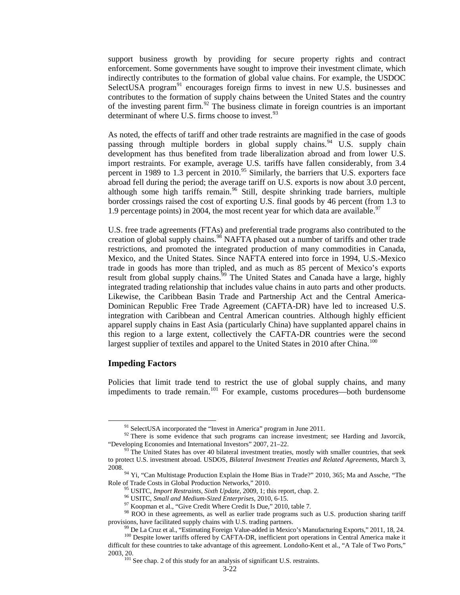support business growth by providing for secure property rights and contract enforcement. Some governments have sought to improve their investment climate, which indirectly contributes to the formation of global value chains. For example, the USDOC SelectUSA program<sup>[91](#page-21-0)</sup> encourages foreign firms to invest in new U.S. businesses and contributes to the formation of supply chains between the United States and the country of the investing parent firm.<sup>[92](#page-21-1)</sup> The business climate in foreign countries is an important determinant of where U.S. firms choose to invest.<sup>[93](#page-21-2)</sup>

As noted, the effects of tariff and other trade restraints are magnified in the case of goods passing through multiple borders in global supply chains.<sup>[94](#page-21-3)</sup> U.S. supply chain development has thus benefited from trade liberalization abroad and from lower U.S. import restraints. For example, average U.S. tariffs have fallen considerably, from 3.4 percent in 1989 to 1.3 percent in  $2010$ .<sup>[95](#page-21-4)</sup> Similarly, the barriers that U.S. exporters face abroad fell during the period; the average tariff on U.S. exports is now about 3.0 percent, although some high tariffs remain.<sup>[96](#page-21-5)</sup> Still, despite shrinking trade barriers, multiple border crossings raised the cost of exporting U.S. final goods by 46 percent (from 1.3 to 1.9 percentage points) in 2004, the most recent year for which data are available.<sup>[97](#page-21-6)</sup>

U.S. free trade agreements (FTAs) and preferential trade programs also contributed to the creation of global supply chains.<sup>[98](#page-21-7)</sup> NAFTA phased out a number of tariffs and other trade restrictions, and promoted the integrated production of many commodities in Canada, Mexico, and the United States. Since NAFTA entered into force in 1994, U.S.-Mexico trade in goods has more than tripled, and as much as 85 percent of Mexico's exports result from global supply chains.<sup>39</sup> The United States and Canada have a large, highly integrated trading relationship that includes value chains in auto parts and other products. Likewise, the Caribbean Basin Trade and Partnership Act and the Central America-Dominican Republic Free Trade Agreement (CAFTA-DR) have led to increased U.S. integration with Caribbean and Central American countries. Although highly efficient apparel supply chains in East Asia (particularly China) have supplanted apparel chains in this region to a large extent, collectively the CAFTA-DR countries were the second largest supplier of textiles and apparel to the United States in 2010 after China.<sup>[100](#page-21-9)</sup>

### **Impeding Factors**

Policies that limit trade tend to restrict the use of global supply chains, and many impediments to trade remain.<sup>[101](#page-21-10)</sup> For example, customs procedures—both burdensome

<span id="page-21-1"></span><span id="page-21-0"></span><sup>&</sup>lt;sup>91</sup> SelectUSA incorporated the "Invest in America" program in June 2011.<br><sup>92</sup> There is some evidence that such programs can increase investment; see Harding and Javorcik, "Developing Economies and International Investors

<span id="page-21-2"></span> $93$  The United States has over 40 bilateral investment treaties, mostly with smaller countries, that seek to protect U.S. investment abroad. USDOS, *Bilateral Investment Treaties and Related Agreements*, March 3,

<span id="page-21-3"></span><sup>2008.&</sup>lt;br><sup>94</sup> Yi, "Can Multistage Production Explain the Home Bias in Trade?" 2010, 365; Ma and Assche, "The Role of Trade Costs in Global Production Networks," 2010.

<span id="page-21-6"></span><span id="page-21-5"></span><span id="page-21-4"></span><sup>&</sup>lt;sup>95</sup> USITC, *Import Restraints*, *Sixth Update*, 2009, 1; this report, chap. 2.<br><sup>96</sup> USITC, *Small and Medium-Sized Enterprises*, 2010, 6-15.<br><sup>97</sup> Koopman et al., "Give Credit Where Credit Is Due," 2010, table 7.<br><sup>98</sup> ROO provisions, have facilitated supply chains with U.S. trading partners.<br><sup>99</sup> De La Cruz et al., "Estimating Foreign Value-added in Mexico's Manufacturing Exports," 2011, 18, 24.<br><sup>100</sup> Despite lower tariffs offered by CAFTA-

<span id="page-21-10"></span><span id="page-21-9"></span><span id="page-21-8"></span><span id="page-21-7"></span>difficult for these countries to take advantage of this agreement. Londoño-Kent et al., "A Tale of Two Ports," 2003, 20. <sup>101</sup> See chap. 2 of this study for an analysis of significant U.S. restraints.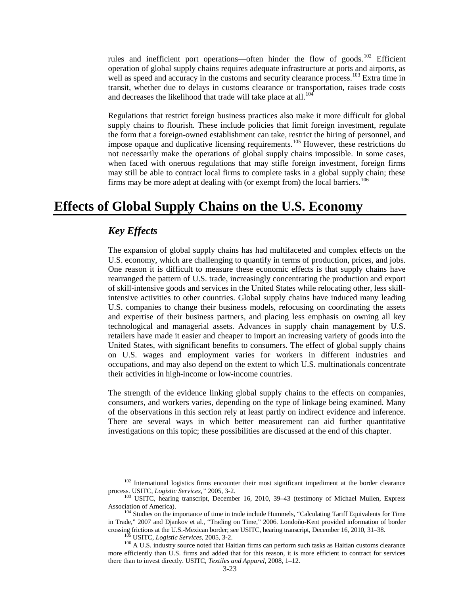rules and inefficient port operations—often hinder the flow of goods.<sup>[102](#page-22-0)</sup> Efficient operation of global supply chains requires adequate infrastructure at ports and airports, as well as speed and accuracy in the customs and security clearance process.<sup>[103](#page-22-1)</sup> Extra time in transit, whether due to delays in customs clearance or transportation, raises trade costs and decreases the likelihood that trade will take place at all.<sup>[104](#page-22-2)</sup>

Regulations that restrict foreign business practices also make it more difficult for global supply chains to flourish. These include policies that limit foreign investment, regulate the form that a foreign-owned establishment can take, restrict the hiring of personnel, and impose opaque and duplicative licensing requirements.<sup>[105](#page-22-3)</sup> However, these restrictions do not necessarily make the operations of global supply chains impossible. In some cases, when faced with onerous regulations that may stifle foreign investment, foreign firms may still be able to contract local firms to complete tasks in a global supply chain; these firms may be more adept at dealing with (or exempt from) the local barriers.<sup>[106](#page-22-4)</sup>

## **Effects of Global Supply Chains on the U.S. Economy**

### *Key Effects*

The expansion of global supply chains has had multifaceted and complex effects on the U.S. economy, which are challenging to quantify in terms of production, prices, and jobs. One reason it is difficult to measure these economic effects is that supply chains have rearranged the pattern of U.S. trade, increasingly concentrating the production and export of skill-intensive goods and services in the United States while relocating other, less skillintensive activities to other countries. Global supply chains have induced many leading U.S. companies to change their business models, refocusing on coordinating the assets and expertise of their business partners, and placing less emphasis on owning all key technological and managerial assets. Advances in supply chain management by U.S. retailers have made it easier and cheaper to import an increasing variety of goods into the United States, with significant benefits to consumers. The effect of global supply chains on U.S. wages and employment varies for workers in different industries and occupations, and may also depend on the extent to which U.S. multinationals concentrate their activities in high-income or low-income countries.

The strength of the evidence linking global supply chains to the effects on companies, consumers, and workers varies, depending on the type of linkage being examined. Many of the observations in this section rely at least partly on indirect evidence and inference. There are several ways in which better measurement can aid further quantitative investigations on this topic; these possibilities are discussed at the end of this chapter.

<sup>&</sup>lt;sup>102</sup> International logistics firms encounter their most significant impediment at the border clearance

<span id="page-22-1"></span><span id="page-22-0"></span>process. USITC, *Logistic Services*," 2005, 3-2.<br><sup>103</sup> USITC, hearing transcript, December 16, 2010, 39–43 (testimony of Michael Mullen, Express Association of America).

<span id="page-22-2"></span> $104$  Studies on the importance of time in trade include Hummels, "Calculating Tariff Equivalents for Time in Trade," 2007 and Djankov et al., "Trading on Time," 2006. Londoño-Kent provided information of border crossing frictions at the U.S.-Mexican border; see USITC, hearing transcript, December 16, 2010, 31–38.<br><sup>105</sup> USITC, *Logistic Services*, 2005, 3-2.<br><sup>106</sup> A U.S. industry source noted that Haitian firms can perform such ta

<span id="page-22-4"></span><span id="page-22-3"></span>more efficiently than U.S. firms and added that for this reason, it is more efficient to contract for services there than to invest directly. USITC, *Textiles and Apparel*, 2008, 1–12.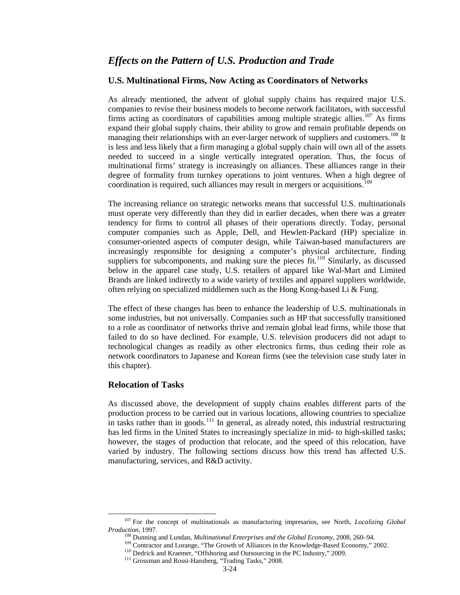### *Effects on the Pattern of U.S. Production and Trade*

### **U.S. Multinational Firms, Now Acting as Coordinators of Networks**

As already mentioned, the advent of global supply chains has required major U.S. companies to revise their business models to become network facilitators, with successful firms acting as coordinators of capabilities among multiple strategic allies.<sup>[107](#page-23-0)</sup> As firms expand their global supply chains, their ability to grow and remain profitable depends on managing their relationships with an ever-larger network of suppliers and customers.<sup>[108](#page-23-1)</sup> It is less and less likely that a firm managing a global supply chain will own all of the assets needed to succeed in a single vertically integrated operation. Thus, the focus of multinational firms' strategy is increasingly on alliances. These alliances range in their degree of formality from turnkey operations to joint ventures. When a high degree of coordination is required, such alliances may result in mergers or acquisitions. [109](#page-23-2)

The increasing reliance on strategic networks means that successful U.S. multinationals must operate very differently than they did in earlier decades, when there was a greater tendency for firms to control all phases of their operations directly. Today, personal computer companies such as Apple, Dell, and Hewlett-Packard (HP) specialize in consumer-oriented aspects of computer design, while Taiwan-based manufacturers are increasingly responsible for designing a computer's physical architecture, finding suppliers for subcomponents, and making sure the pieces fit.<sup>[110](#page-23-3)</sup> Similarly, as discussed below in the apparel case study, U.S. retailers of apparel like Wal-Mart and Limited Brands are linked indirectly to a wide variety of textiles and apparel suppliers worldwide, often relying on specialized middlemen such as the Hong Kong-based Li & Fung.

The effect of these changes has been to enhance the leadership of U.S. multinationals in some industries, but not universally. Companies such as HP that successfully transitioned to a role as coordinator of networks thrive and remain global lead firms, while those that failed to do so have declined. For example, U.S. television producers did not adapt to technological changes as readily as other electronics firms, thus ceding their role as network coordinators to Japanese and Korean firms (see the television case study later in this chapter).

### **Relocation of Tasks**

As discussed above, the development of supply chains enables different parts of the production process to be carried out in various locations, allowing countries to specialize in tasks rather than in goods.<sup>[111](#page-23-4)</sup> In general, as already noted, this industrial restructuring has led firms in the United States to increasingly specialize in mid- to high-skilled tasks; however, the stages of production that relocate, and the speed of this relocation, have varied by industry. The following sections discuss how this trend has affected U.S. manufacturing, services, and R&D activity.

<span id="page-23-4"></span><span id="page-23-3"></span><span id="page-23-2"></span><span id="page-23-1"></span><span id="page-23-0"></span><sup>107</sup> For the concept of multinationals as manufacturing impresarios, see North, *Localizing Global* 

<sup>&</sup>lt;sup>108</sup> Dunning and Lundan, *Multinational Enterprises and the Global Economy*, 2008, 260–94.<br><sup>109</sup> Contractor and Lorange, "The Growth of Alliances in the Knowledge-Based Economy," 2002.<br><sup>110</sup> Dedrick and Kraemer, "Offshor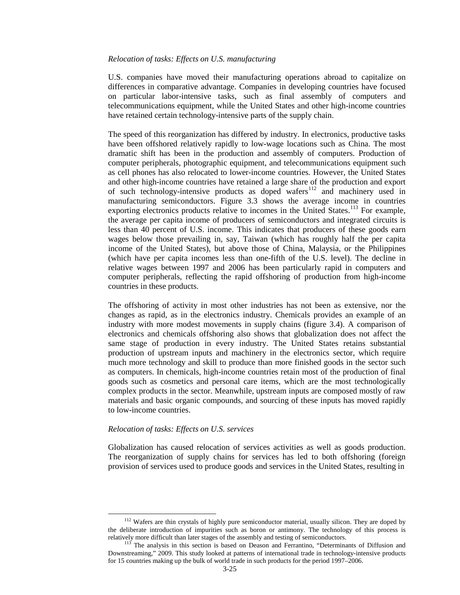#### *Relocation of tasks: Effects on U.S. manufacturing*

U.S. companies have moved their manufacturing operations abroad to capitalize on differences in comparative advantage. Companies in developing countries have focused on particular labor-intensive tasks, such as final assembly of computers and telecommunications equipment, while the United States and other high-income countries have retained certain technology-intensive parts of the supply chain.

The speed of this reorganization has differed by industry. In electronics, productive tasks have been offshored relatively rapidly to low-wage locations such as China. The most dramatic shift has been in the production and assembly of computers. Production of computer peripherals, photographic equipment, and telecommunications equipment such as cell phones has also relocated to lower-income countries. However, the United States and other high-income countries have retained a large share of the production and export of such technology-intensive products as doped wafers<sup>[112](#page-24-0)</sup> and machinery used in manufacturing semiconductors. Figure 3.3 shows the average income in countries exporting electronics products relative to incomes in the United States.<sup>[113](#page-24-1)</sup> For example, the average per capita income of producers of semiconductors and integrated circuits is less than 40 percent of U.S. income. This indicates that producers of these goods earn wages below those prevailing in, say, Taiwan (which has roughly half the per capita income of the United States), but above those of China, Malaysia, or the Philippines (which have per capita incomes less than one-fifth of the U.S. level). The decline in relative wages between 1997 and 2006 has been particularly rapid in computers and computer peripherals, reflecting the rapid offshoring of production from high-income countries in these products.

The offshoring of activity in most other industries has not been as extensive, nor the changes as rapid, as in the electronics industry. Chemicals provides an example of an industry with more modest movements in supply chains (figure 3.4). A comparison of electronics and chemicals offshoring also shows that globalization does not affect the same stage of production in every industry. The United States retains substantial production of upstream inputs and machinery in the electronics sector, which require much more technology and skill to produce than more finished goods in the sector such as computers. In chemicals, high-income countries retain most of the production of final goods such as cosmetics and personal care items, which are the most technologically complex products in the sector. Meanwhile, upstream inputs are composed mostly of raw materials and basic organic compounds, and sourcing of these inputs has moved rapidly to low-income countries.

### *Relocation of tasks: Effects on U.S. services*

Globalization has caused relocation of services activities as well as goods production. The reorganization of supply chains for services has led to both offshoring (foreign provision of services used to produce goods and services in the United States, resulting in

<span id="page-24-0"></span><sup>&</sup>lt;sup>112</sup> Wafers are thin crystals of highly pure semiconductor material, usually silicon. They are doped by the deliberate introduction of impurities such as boron or antimony. The technology of this process is

<span id="page-24-1"></span>relatively more difficult than later stages of the assembly and testing of semiconductors. 113 The analysis in this section is based on Deason and Ferrantino, "Determinants of Diffusion and Downstreaming," 2009. This study looked at patterns of international trade in technology-intensive products for 15 countries making up the bulk of world trade in such products for the period 1997–2006.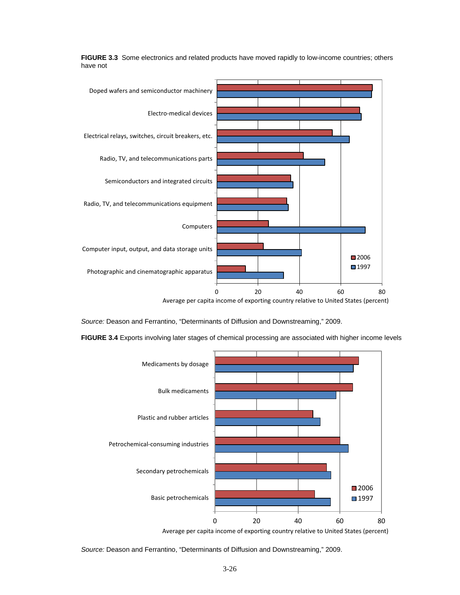

**FIGURE 3.3** Some electronics and related products have moved rapidly to low-income countries; others have not

*Source:* Deason and Ferrantino, "Determinants of Diffusion and Downstreaming," 2009.

**FIGURE 3.4** Exports involving later stages of chemical processing are associated with higher income levels



*Source:* Deason and Ferrantino, "Determinants of Diffusion and Downstreaming," 2009.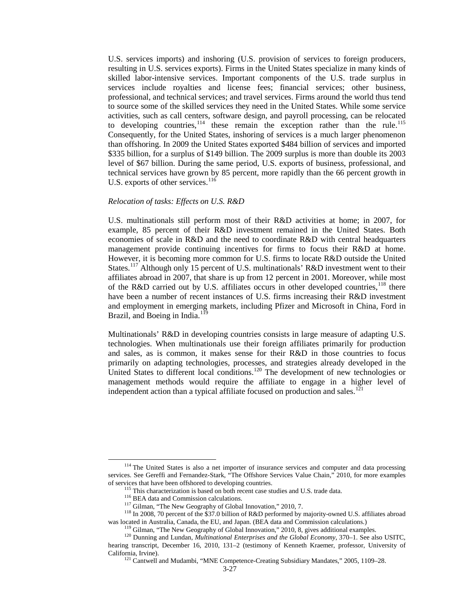U.S. services imports) and inshoring (U.S. provision of services to foreign producers, resulting in U.S. services exports). Firms in the United States specialize in many kinds of skilled labor-intensive services. Important components of the U.S. trade surplus in services include royalties and license fees; financial services; other business, professional, and technical services; and travel services. Firms around the world thus tend to source some of the skilled services they need in the United States. While some service activities, such as call centers, software design, and payroll processing, can be relocated to developing countries,  $114$  these remain the exception rather than the rule.<sup>[115](#page-26-1)</sup> Consequently, for the United States, inshoring of services is a much larger phenomenon than offshoring. In 2009 the United States exported \$484 billion of services and imported \$335 billion, for a surplus of \$149 billion. The 2009 surplus is more than double its 2003 level of \$67 billion. During the same period, U.S. exports of business, professional, and technical services have grown by 85 percent, more rapidly than the 66 percent growth in U.S. exports of other services. $116$ 

#### *Relocation of tasks: Effects on U.S. R&D*

U.S. multinationals still perform most of their R&D activities at home; in 2007, for example, 85 percent of their R&D investment remained in the United States. Both economies of scale in R&D and the need to coordinate R&D with central headquarters management provide continuing incentives for firms to focus their R&D at home. However, it is becoming more common for U.S. firms to locate R&D outside the United States.<sup>[117](#page-26-3)</sup> Although only 15 percent of U.S. multinationals' R&D investment went to their affiliates abroad in 2007, that share is up from 12 percent in 2001. Moreover, while most of the R&D carried out by U.S. affiliates occurs in other developed countries,  $^{118}$  $^{118}$  $^{118}$  there have been a number of recent instances of U.S. firms increasing their R&D investment and employment in emerging markets, including Pfizer and Microsoft in China, Ford in Brazil, and Boeing in India.<sup>[119](#page-26-5)</sup>

Multinationals' R&D in developing countries consists in large measure of adapting U.S. technologies. When multinationals use their foreign affiliates primarily for production and sales, as is common, it makes sense for their R&D in those countries to focus primarily on adapting technologies, processes, and strategies already developed in the United States to different local conditions.<sup>[120](#page-26-6)</sup> The development of new technologies or management methods would require the affiliate to engage in a higher level of independent action than a typical affiliate focused on production and sales.<sup>[121](#page-26-7)</sup>

<span id="page-26-0"></span><sup>&</sup>lt;sup>114</sup> The United States is also a net importer of insurance services and computer and data processing services. See Gereffi and Fernandez-Stark, "The Offshore Services Value Chain," 2010, for more examples

<span id="page-26-3"></span><span id="page-26-2"></span><span id="page-26-1"></span>of services that have been offshored to developing countries.<br>
<sup>115</sup> This characterization is based on both recent case studies and U.S. trade data.<br>
<sup>116</sup> BEA data and Commission calculations.<br>
<sup>117</sup> Gilman, "The New Geog

<sup>&</sup>lt;sup>119</sup> Gilman, "The New Geography of Global Innovation," 2010, 8, gives additional examples.<br><sup>120</sup> Dunning and Lundan, *Multinational Enterprises and the Global Economy*, 370–1. See also USITC,

<span id="page-26-6"></span><span id="page-26-5"></span><span id="page-26-4"></span>hearing transcript, December 16, 2010, 131–2 (testimony of Kenneth Kraemer, professor, University of

<span id="page-26-7"></span>California, Irvine). <sup>121</sup> Cantwell and Mudambi, "MNE Competence-Creating Subsidiary Mandates," 2005, 1109–28.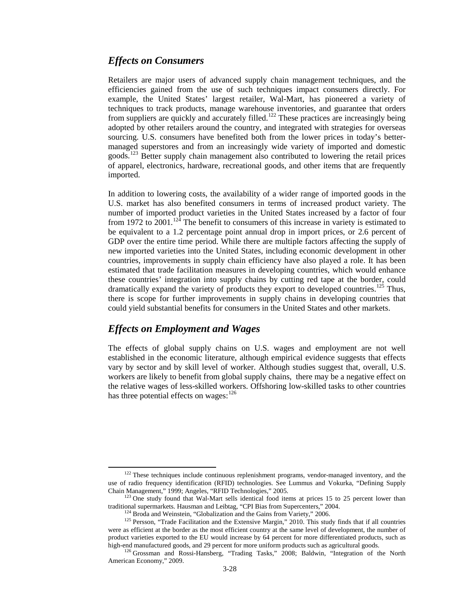### *Effects on Consumers*

Retailers are major users of advanced supply chain management techniques, and the efficiencies gained from the use of such techniques impact consumers directly. For example, the United States' largest retailer, Wal-Mart, has pioneered a variety of techniques to track products, manage warehouse inventories, and guarantee that orders from suppliers are quickly and accurately filled.<sup>[122](#page-27-0)</sup> These practices are increasingly being adopted by other retailers around the country, and integrated with strategies for overseas sourcing. U.S. consumers have benefited both from the lower prices in today's bettermanaged superstores and from an increasingly wide variety of imported and domestic goods.<sup>[123](#page-27-1)</sup> Better supply chain management also contributed to lowering the retail prices of apparel, electronics, hardware, recreational goods, and other items that are frequently imported.

In addition to lowering costs, the availability of a wider range of imported goods in the U.S. market has also benefited consumers in terms of increased product variety. The number of imported product varieties in the United States increased by a factor of four from 1972 to  $2001$ .<sup>[124](#page-27-2)</sup> The benefit to consumers of this increase in variety is estimated to be equivalent to a 1.2 percentage point annual drop in import prices, or 2.6 percent of GDP over the entire time period. While there are multiple factors affecting the supply of new imported varieties into the United States, including economic development in other countries, improvements in supply chain efficiency have also played a role. It has been estimated that trade facilitation measures in developing countries, which would enhance these countries' integration into supply chains by cutting red tape at the border, could dramatically expand the variety of products they export to developed countries.<sup>[125](#page-27-3)</sup> Thus, there is scope for further improvements in supply chains in developing countries that could yield substantial benefits for consumers in the United States and other markets.

### *Effects on Employment and Wages*

The effects of global supply chains on U.S. wages and employment are not well established in the economic literature, although empirical evidence suggests that effects vary by sector and by skill level of worker. Although studies suggest that, overall, U.S. workers are likely to benefit from global supply chains, there may be a negative effect on the relative wages of less-skilled workers. Offshoring low-skilled tasks to other countries has three potential effects on wages: <sup>[126](#page-27-4)</sup>

<span id="page-27-0"></span><sup>&</sup>lt;sup>122</sup> These techniques include continuous replenishment programs, vendor-managed inventory, and the use of radio frequency identification (RFID) technologies. See Lummus and Vokurka, "Defining Supply

<span id="page-27-1"></span>Chain Management," 1999; Angeles, "RFID Technologies," 2005.<br><sup>123</sup> One study found that Wal-Mart sells identical food items at prices 15 to 25 percent lower than traditional supermarkets. Hausman and Leibtag, "CPI Bias fro

<span id="page-27-3"></span><span id="page-27-2"></span><sup>&</sup>lt;sup>124</sup> Broda and Weinstein, "Globalization and the Gains from Variety," 2006.<br><sup>125</sup> Persson, "Trade Facilitation and the Extensive Margin," 2010. This study finds that if all countries were as efficient at the border as the most efficient country at the same level of development, the number of product varieties exported to the EU would increase by 64 percent for more differentiated products, such as high-end manufactured goods, and 29 percent for more uniform products such as agricultural goods.

<span id="page-27-4"></span><sup>126</sup> Grossman and Rossi-Hansberg, "Trading Tasks," 2008; Baldwin, "Integration of the North American Economy," 2009.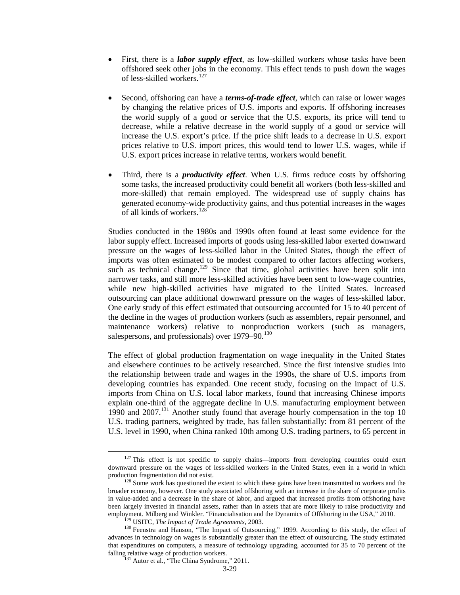- First, there is a *labor supply effect*, as low-skilled workers whose tasks have been offshored seek other jobs in the economy. This effect tends to push down the wages of less-skilled workers.<sup>[127](#page-28-0)</sup>
- Second, offshoring can have a *terms-of-trade effect*, which can raise or lower wages by changing the relative prices of U.S. imports and exports. If offshoring increases the world supply of a good or service that the U.S. exports, its price will tend to decrease, while a relative decrease in the world supply of a good or service will increase the U.S. export's price. If the price shift leads to a decrease in U.S. export prices relative to U.S. import prices, this would tend to lower U.S. wages, while if U.S. export prices increase in relative terms, workers would benefit.
- Third, there is a *productivity effect*. When U.S. firms reduce costs by offshoring some tasks, the increased productivity could benefit all workers (both less-skilled and more-skilled) that remain employed. The widespread use of supply chains has generated economy-wide productivity gains, and thus potential increases in the wages of all kinds of workers.[128](#page-28-1)

Studies conducted in the 1980s and 1990s often found at least some evidence for the labor supply effect. Increased imports of goods using less-skilled labor exerted downward pressure on the wages of less-skilled labor in the United States, though the effect of imports was often estimated to be modest compared to other factors affecting workers, such as technical change.<sup>[129](#page-28-2)</sup> Since that time, global activities have been split into narrower tasks, and still more less-skilled activities have been sent to low-wage countries, while new high-skilled activities have migrated to the United States. Increased outsourcing can place additional downward pressure on the wages of less-skilled labor. One early study of this effect estimated that outsourcing accounted for 15 to 40 percent of the decline in the wages of production workers (such as assemblers, repair personnel, and maintenance workers) relative to nonproduction workers (such as managers, salespersons, and professionals) over  $1979-90.<sup>130</sup>$  $1979-90.<sup>130</sup>$  $1979-90.<sup>130</sup>$ 

The effect of global production fragmentation on wage inequality in the United States and elsewhere continues to be actively researched. Since the first intensive studies into the relationship between trade and wages in the 1990s, the share of U.S. imports from developing countries has expanded. One recent study, focusing on the impact of U.S. imports from China on U.S. local labor markets, found that increasing Chinese imports explain one-third of the aggregate decline in U.S. manufacturing employment between 1990 and 2007.[131](#page-28-4) Another study found that average hourly compensation in the top 10 U.S. trading partners, weighted by trade, has fallen substantially: from 81 percent of the U.S. level in 1990, when China ranked 10th among U.S. trading partners, to 65 percent in

<span id="page-28-0"></span> $127$  This effect is not specific to supply chains—imports from developing countries could exert downward pressure on the wages of less-skilled workers in the United States, even in a world in which

<span id="page-28-1"></span> $128$  Some work has questioned the extent to which these gains have been transmitted to workers and the broader economy, however. One study associated offshoring with an increase in the share of corporate profits in value-added and a decrease in the share of labor, and argued that increased profits from offshoring have been largely invested in financial assets, rather than in assets that are more likely to raise productivity and employment. Milberg and Winkler. "Financialisation and the Dynamics of Offshoring in the USA," 2010.

<span id="page-28-4"></span><span id="page-28-3"></span><span id="page-28-2"></span><sup>&</sup>lt;sup>[29</sup> USITC, *The Impact of Trade Agreements*, 2003.<br><sup>130</sup> Feenstra and Hanson, "The Impact of Outsourcing," 1999. According to this study, the effect of advances in technology on wages is substantially greater than the effect of outsourcing. The study estimated that expenditures on computers, a measure of technology upgrading, accounted for 35 to 70 percent of the falling relative wage of production workers.<br><sup>131</sup> Autor et al., "The China Syndrome," 2011.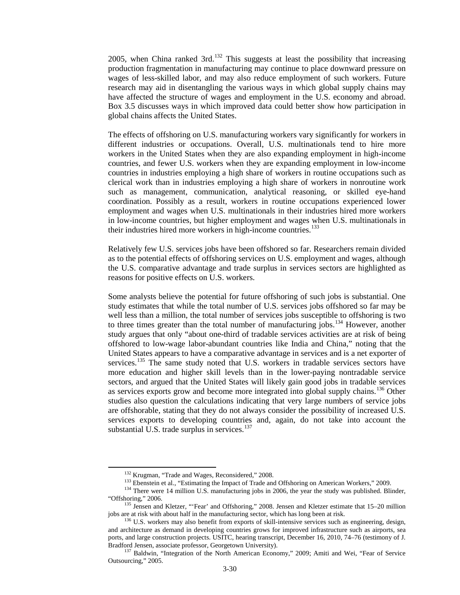2005, when China ranked 3rd.<sup>[132](#page-29-0)</sup> This suggests at least the possibility that increasing production fragmentation in manufacturing may continue to place downward pressure on wages of less-skilled labor, and may also reduce employment of such workers. Future research may aid in disentangling the various ways in which global supply chains may have affected the structure of wages and employment in the U.S. economy and abroad. Box 3.5 discusses ways in which improved data could better show how participation in global chains affects the United States.

The effects of offshoring on U.S. manufacturing workers vary significantly for workers in different industries or occupations. Overall, U.S. multinationals tend to hire more workers in the United States when they are also expanding employment in high-income countries, and fewer U.S. workers when they are expanding employment in low-income countries in industries employing a high share of workers in routine occupations such as clerical work than in industries employing a high share of workers in nonroutine work such as management, communication, analytical reasoning, or skilled eye-hand coordination. Possibly as a result, workers in routine occupations experienced lower employment and wages when U.S. multinationals in their industries hired more workers in low-income countries, but higher employment and wages when U.S. multinationals in their industries hired more workers in high-income countries.<sup>[133](#page-29-1)</sup>

Relatively few U.S. services jobs have been offshored so far. Researchers remain divided as to the potential effects of offshoring services on U.S. employment and wages, although the U.S. comparative advantage and trade surplus in services sectors are highlighted as reasons for positive effects on U.S. workers.

Some analysts believe the potential for future offshoring of such jobs is substantial. One study estimates that while the total number of U.S. services jobs offshored so far may be well less than a million, the total number of services jobs susceptible to offshoring is two to three times greater than the total number of manufacturing jobs.<sup>[134](#page-29-2)</sup> However, another study argues that only "about one-third of tradable services activities are at risk of being offshored to low-wage labor-abundant countries like India and China," noting that the United States appears to have a comparative advantage in services and is a net exporter of services.<sup>[135](#page-29-3)</sup> The same study noted that U.S. workers in tradable services sectors have more education and higher skill levels than in the lower-paying nontradable service sectors, and argued that the United States will likely gain good jobs in tradable services as services exports grow and become more integrated into global supply chains.<sup>[136](#page-29-4)</sup> Other studies also question the calculations indicating that very large numbers of service jobs are offshorable, stating that they do not always consider the possibility of increased U.S. services exports to developing countries and, again, do not take into account the substantial U.S. trade surplus in services.<sup>[137](#page-29-5)</sup>

<sup>&</sup>lt;sup>132</sup> Krugman, "Trade and Wages, Reconsidered," 2008.<br><sup>133</sup> Ebenstein et al., "Estimating the Impact of Trade and Offshoring on American Workers," 2009.<br><sup>134</sup> There were 14 million U.S. manufacturing jobs in 2006, the yea

<span id="page-29-3"></span><span id="page-29-2"></span><span id="page-29-1"></span><span id="page-29-0"></span><sup>&</sup>quot;Offshoring," 2006.<br>
<sup>135</sup> Jensen and Kletzer, "'Fear' and Offshoring," 2008. Jensen and Kletzer estimate that 15–20 million<br>
jobs are at risk with about half in the manufacturing sector, which has long been at risk.

<span id="page-29-4"></span> $136$  U.S. workers may also benefit from exports of skill-intensive services such as engineering, design, and architecture as demand in developing countries grows for improved infrastructure such as airports, sea ports, and large construction projects. USITC, hearing transcript, December 16, 2010, 74–76 (testimony of J. Bradford Jensen, associate professor, Georgetown University).<br><sup>137</sup> Baldwin, "Integration of the North American Economy," 2009; Amiti and Wei, "Fear of Service

<span id="page-29-5"></span>Outsourcing," 2005.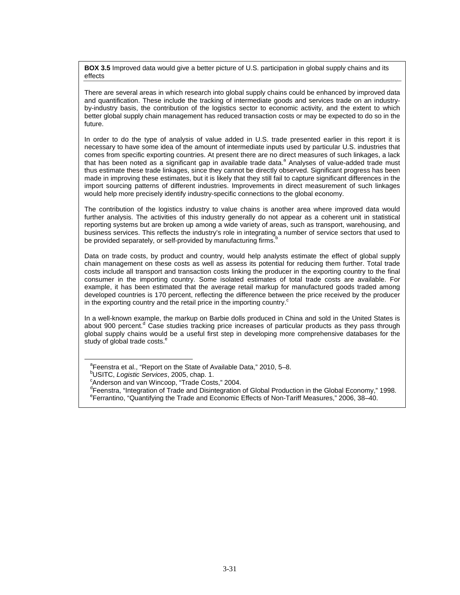**BOX 3.5** Improved data would give a better picture of U.S. participation in global supply chains and its effects

There are several areas in which research into global supply chains could be enhanced by improved data and quantification. These include the tracking of intermediate goods and services trade on an industryby-industry basis, the contribution of the logistics sector to economic activity, and the extent to which better global supply chain management has reduced transaction costs or may be expected to do so in the future.

In order to do the type of analysis of value added in U.S. trade presented earlier in this report it is necessary to have some idea of the amount of intermediate inputs used by particular U.S. industries that comes from specific exporting countries. At present there are no direct measures of such linkages, a lack that has been noted as a significant gap in available trade data.<sup>a</sup> Analyses of value-added trade must thus estimate these trade linkages, since they cannot be directly observed. Significant progress has been made in improving these estimates, but it is likely that they still fail to capture significant differences in the import sourcing patterns of different industries. Improvements in direct measurement of such linkages would help more precisely identify industry-specific connections to the global economy.

The contribution of the logistics industry to value chains is another area where improved data would further analysis. The activities of this industry generally do not appear as a coherent unit in statistical reporting systems but are broken up among a wide variety of areas, such as transport, warehousing, and business services. This reflects the industry's role in integrating a number of service sectors that used to be provided separately, or self-provided by manufacturing firms.

Data on trade costs, by product and country, would help analysts estimate the effect of global supply chain management on these costs as well as assess its potential for reducing them further. Total trade costs include all transport and transaction costs linking the producer in the exporting country to the final consumer in the importing country. Some isolated estimates of total trade costs are available. For example, it has been estimated that the average retail markup for manufactured goods traded among developed countries is 170 percent, reflecting the difference between the price received by the producer in the exporting country and the retail price in the importing country. $\degree$ 

In a well-known example, the markup on Barbie dolls produced in China and sold in the United States is about 900 percent.<sup>d</sup> Case studies tracking price increases of particular products as they pass through global supply chains would be a useful first step in developing more comprehensive databases for the study of global trade costs.<sup>e</sup>

<sup>&</sup>lt;sup>a</sup>Feenstra et al., "Report on the State of Available Data," 2010, 5-8.

b USITC, *Logistic Services*, 2005, chap. 1.

<sup>&</sup>lt;sup>c</sup>Anderson and van Wincoop, "Trade Costs," 2004.

<sup>&</sup>lt;sup>d</sup>Feenstra, "Integration of Trade and Disintegration of Global Production in the Global Economy," 1998. e Ferrantino, "Quantifying the Trade and Economic Effects of Non-Tariff Measures," 2006, 38–40.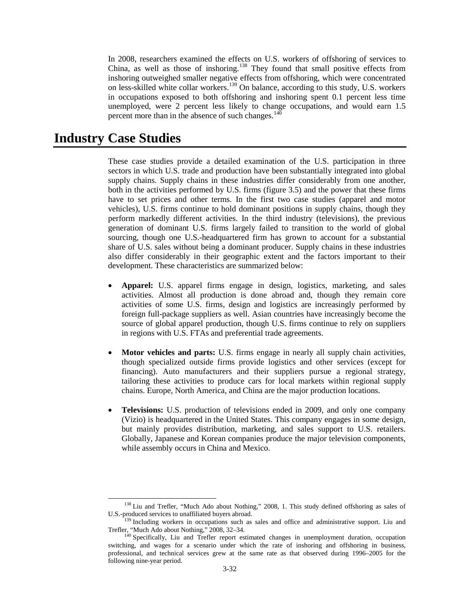In 2008, researchers examined the effects on U.S. workers of offshoring of services to China, as well as those of inshoring.[138](#page-31-0) They found that small positive effects from inshoring outweighed smaller negative effects from offshoring, which were concentrated on less-skilled white collar workers.<sup>[139](#page-31-1)</sup> On balance, according to this study, U.S. workers in occupations exposed to both offshoring and inshoring spent 0.1 percent less time unemployed, were 2 percent less likely to change occupations, and would earn 1.5 percent more than in the absence of such changes. $140$ 

# **Industry Case Studies**

These case studies provide a detailed examination of the U.S. participation in three sectors in which U.S. trade and production have been substantially integrated into global supply chains. Supply chains in these industries differ considerably from one another, both in the activities performed by U.S. firms (figure 3.5) and the power that these firms have to set prices and other terms. In the first two case studies (apparel and motor vehicles), U.S. firms continue to hold dominant positions in supply chains, though they perform markedly different activities. In the third industry (televisions), the previous generation of dominant U.S. firms largely failed to transition to the world of global sourcing, though one U.S.-headquartered firm has grown to account for a substantial share of U.S. sales without being a dominant producer. Supply chains in these industries also differ considerably in their geographic extent and the factors important to their development. These characteristics are summarized below:

- **Apparel:** U.S. apparel firms engage in design, logistics, marketing, and sales activities. Almost all production is done abroad and, though they remain core activities of some U.S. firms, design and logistics are increasingly performed by foreign full-package suppliers as well. Asian countries have increasingly become the source of global apparel production, though U.S. firms continue to rely on suppliers in regions with U.S. FTAs and preferential trade agreements.
- **Motor vehicles and parts:** U.S. firms engage in nearly all supply chain activities, though specialized outside firms provide logistics and other services (except for financing). Auto manufacturers and their suppliers pursue a regional strategy, tailoring these activities to produce cars for local markets within regional supply chains. Europe, North America, and China are the major production locations.
- **Televisions:** U.S. production of televisions ended in 2009, and only one company (Vizio) is headquartered in the United States. This company engages in some design, but mainly provides distribution, marketing, and sales support to U.S. retailers. Globally, Japanese and Korean companies produce the major television components, while assembly occurs in China and Mexico.

<span id="page-31-0"></span><sup>&</sup>lt;sup>138</sup> Liu and Trefler, "Much Ado about Nothing," 2008, 1. This study defined offshoring as sales of U.S.-produced services to unaffiliated buyers abroad.

<span id="page-31-1"></span><sup>&</sup>lt;sup>139</sup> Including workers in occupations such as sales and office and administrative support. Liu and Trefler, "Much Ado about Nothing," 2008, 32–34.<br><sup>140</sup> Specifically, Liu and Trefler report estimated changes in unemployment duration, occupation

<span id="page-31-2"></span>switching, and wages for a scenario under which the rate of inshoring and offshoring in business, professional, and technical services grew at the same rate as that observed during 1996–2005 for the following nine-year period.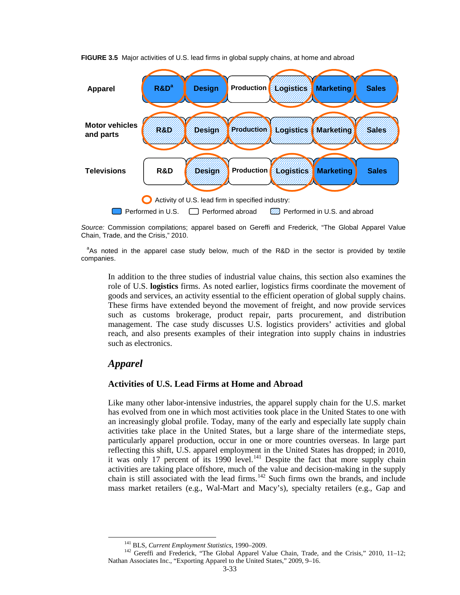

**FIGURE 3.5** Major activities of U.S. lead firms in global supply chains, at home and abroad

*Source:* Commission compilations; apparel based on Gereffi and Frederick, "The Global Apparel Value Chain, Trade, and the Crisis," 2010.

<sup>a</sup>As noted in the apparel case study below, much of the R&D in the sector is provided by textile companies.

In addition to the three studies of industrial value chains, this section also examines the role of U.S. **logistics** firms. As noted earlier, logistics firms coordinate the movement of goods and services, an activity essential to the efficient operation of global supply chains. These firms have extended beyond the movement of freight, and now provide services such as customs brokerage, product repair, parts procurement, and distribution management. The case study discusses U.S. logistics providers' activities and global reach, and also presents examples of their integration into supply chains in industries such as electronics.

### *Apparel*

### **Activities of U.S. Lead Firms at Home and Abroad**

Like many other labor-intensive industries, the apparel supply chain for the U.S. market has evolved from one in which most activities took place in the United States to one with an increasingly global profile. Today, many of the early and especially late supply chain activities take place in the United States, but a large share of the intermediate steps, particularly apparel production, occur in one or more countries overseas. In large part reflecting this shift, U.S. apparel employment in the United States has dropped; in 2010, it was only 17 percent of its 1990 level. $^{141}$  $^{141}$  $^{141}$  Despite the fact that more supply chain activities are taking place offshore, much of the value and decision-making in the supply chain is still associated with the lead firms.<sup>[142](#page-32-1)</sup> Such firms own the brands, and include mass market retailers (e.g., Wal-Mart and Macy's), specialty retailers (e.g., Gap and

<span id="page-32-1"></span><span id="page-32-0"></span><sup>&</sup>lt;sup>141</sup> BLS, *Current Employment Statistics*, 1990–2009.<br><sup>142</sup> Gereffi and Frederick, "The Global Apparel Value Chain, Trade, and the Crisis," 2010, 11–12; Nathan Associates Inc., "Exporting Apparel to the United States," 2009, 9–16.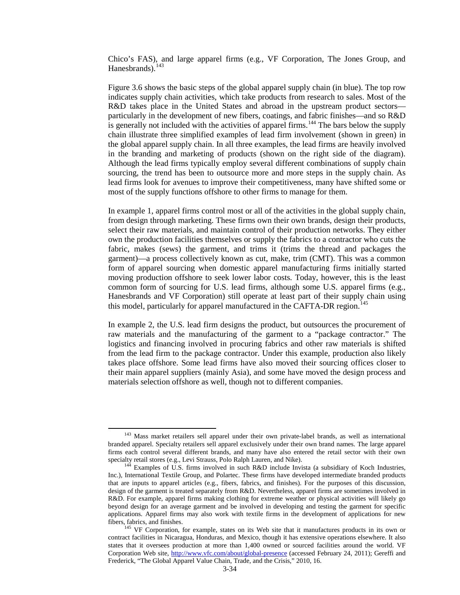Chico's FAS), and large apparel firms (e.g., VF Corporation, The Jones Group, and Hanesbrands).<sup>[143](#page-33-0)</sup>

Figure 3.6 shows the basic steps of the global apparel supply chain (in blue). The top row indicates supply chain activities, which take products from research to sales. Most of the R&D takes place in the United States and abroad in the upstream product sectors particularly in the development of new fibers, coatings, and fabric finishes—and so R&D is generally not included with the activities of apparel firms.<sup>[144](#page-33-1)</sup> The bars below the supply chain illustrate three simplified examples of lead firm involvement (shown in green) in the global apparel supply chain. In all three examples, the lead firms are heavily involved in the branding and marketing of products (shown on the right side of the diagram). Although the lead firms typically employ several different combinations of supply chain sourcing, the trend has been to outsource more and more steps in the supply chain. As lead firms look for avenues to improve their competitiveness, many have shifted some or most of the supply functions offshore to other firms to manage for them.

In example 1, apparel firms control most or all of the activities in the global supply chain, from design through marketing. These firms own their own brands, design their products, select their raw materials, and maintain control of their production networks. They either own the production facilities themselves or supply the fabrics to a contractor who cuts the fabric, makes (sews) the garment, and trims it (trims the thread and packages the garment)—a process collectively known as cut, make, trim (CMT). This was a common form of apparel sourcing when domestic apparel manufacturing firms initially started moving production offshore to seek lower labor costs. Today, however, this is the least common form of sourcing for U.S. lead firms, although some U.S. apparel firms (e.g., Hanesbrands and VF Corporation) still operate at least part of their supply chain using this model, particularly for apparel manufactured in the CAFTA-DR region.<sup>[145](#page-33-2)</sup>

In example 2, the U.S. lead firm designs the product, but outsources the procurement of raw materials and the manufacturing of the garment to a "package contractor." The logistics and financing involved in procuring fabrics and other raw materials is shifted from the lead firm to the package contractor. Under this example, production also likely takes place offshore. Some lead firms have also moved their sourcing offices closer to their main apparel suppliers (mainly Asia), and some have moved the design process and materials selection offshore as well, though not to different companies.

<span id="page-33-0"></span><sup>&</sup>lt;sup>143</sup> Mass market retailers sell apparel under their own private-label brands, as well as international branded apparel. Specialty retailers sell apparel exclusively under their own brand names. The large apparel firms each control several different brands, and many have also entered the retail sector with their own

<span id="page-33-1"></span>specialty retail stores (e.g., Levi Strauss, Polo Ralph Lauren, and Nike).<br><sup>144</sup> Examples of U.S. firms involved in such R&D include Invista (a subsidiary of Koch Industries, Inc.), International Textile Group, and Polartec. These firms have developed intermediate branded products that are inputs to apparel articles (e.g., fibers, fabrics, and finishes). For the purposes of this discussion, design of the garment is treated separately from R&D. Nevertheless, apparel firms are sometimes involved in R&D. For example, apparel firms making clothing for extreme weather or physical activities will likely go beyond design for an average garment and be involved in developing and testing the garment for specific applications. Apparel firms may also work with textile firms in the development of applications for new fibers, fabrics, and finishes.<br><sup>145</sup> VF Corporation, for example, states on its Web site that it manufactures products in its own or

<span id="page-33-2"></span>contract facilities in Nicaragua, Honduras, and Mexico, though it has extensive operations elsewhere. It also states that it oversees production at more than 1,400 owned or sourced facilities around the world. VF Corporation Web site,<http://www.vfc.com/about/global-presence> (accessed February 24, 2011); Gereffi and Frederick, "The Global Apparel Value Chain, Trade, and the Crisis," 2010, 16.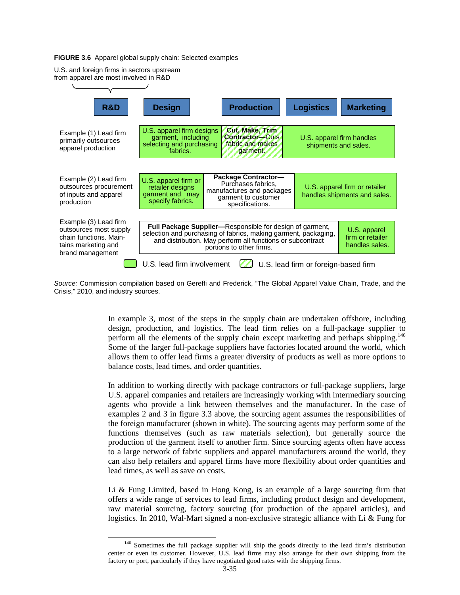#### **FIGURE 3.6** Apparel global supply chain: Selected examples



*Source:* Commission compilation based on Gereffi and Frederick, "The Global Apparel Value Chain, Trade, and the Crisis," 2010, and industry sources.

> In example 3, most of the steps in the supply chain are undertaken offshore, including design, production, and logistics. The lead firm relies on a full-package supplier to perform all the elements of the supply chain except marketing and perhaps shipping.<sup>[146](#page-34-0)</sup> Some of the larger full-package suppliers have factories located around the world, which allows them to offer lead firms a greater diversity of products as well as more options to balance costs, lead times, and order quantities.

> In addition to working directly with package contractors or full-package suppliers, large U.S. apparel companies and retailers are increasingly working with intermediary sourcing agents who provide a link between themselves and the manufacturer. In the case of examples 2 and 3 in figure 3.3 above, the sourcing agent assumes the responsibilities of the foreign manufacturer (shown in white). The sourcing agents may perform some of the functions themselves (such as raw materials selection), but generally source the production of the garment itself to another firm. Since sourcing agents often have access to a large network of fabric suppliers and apparel manufacturers around the world, they can also help retailers and apparel firms have more flexibility about order quantities and lead times, as well as save on costs.

> Li & Fung Limited, based in Hong Kong, is an example of a large sourcing firm that offers a wide range of services to lead firms, including product design and development, raw material sourcing, factory sourcing (for production of the apparel articles), and logistics. In 2010, Wal-Mart signed a non-exclusive strategic alliance with Li & Fung for

<span id="page-34-0"></span><sup>&</sup>lt;sup>146</sup> Sometimes the full package supplier will ship the goods directly to the lead firm's distribution center or even its customer. However, U.S. lead firms may also arrange for their own shipping from the factory or port, particularly if they have negotiated good rates with the shipping firms.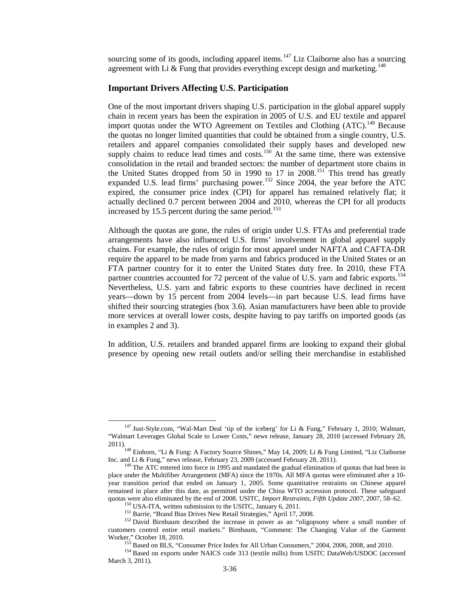sourcing some of its goods, including apparel items.<sup>[147](#page-35-0)</sup> Liz Claiborne also has a sourcing agreement with Li  $\&$  Fung that provides everything except design and marketing.<sup>[148](#page-35-1)</sup>

### **Important Drivers Affecting U.S. Participation**

One of the most important drivers shaping U.S. participation in the global apparel supply chain in recent years has been the expiration in 2005 of U.S. and EU textile and apparel import quotas under the WTO Agreement on Textiles and Clothing (ATC).<sup>[149](#page-35-2)</sup> Because the quotas no longer limited quantities that could be obtained from a single country, U.S. retailers and apparel companies consolidated their supply bases and developed new supply chains to reduce lead times and costs.<sup>[150](#page-35-3)</sup> At the same time, there was extensive consolidation in the retail and branded sectors: the number of department store chains in the United States dropped from 50 in 1990 to 17 in 2008.<sup>[151](#page-35-4)</sup> This trend has greatly expanded U.S. lead firms' purchasing power.<sup>[152](#page-35-5)</sup> Since 2004, the year before the ATC expired, the consumer price index (CPI) for apparel has remained relatively flat; it actually declined 0.7 percent between 2004 and 2010, whereas the CPI for all products increased by 15.5 percent during the same period.<sup>[153](#page-35-6)</sup>

Although the quotas are gone, the rules of origin under U.S. FTAs and preferential trade arrangements have also influenced U.S. firms' involvement in global apparel supply chains. For example, the rules of origin for most apparel under NAFTA and CAFTA-DR require the apparel to be made from yarns and fabrics produced in the United States or an FTA partner country for it to enter the United States duty free. In 2010, these FTA partner countries accounted for 72 percent of the value of U.S. yarn and fabric exports.<sup>[154](#page-35-7)</sup> Nevertheless, U.S. yarn and fabric exports to these countries have declined in recent years—down by 15 percent from 2004 levels—in part because U.S. lead firms have shifted their sourcing strategies (box 3.6). Asian manufacturers have been able to provide more services at overall lower costs, despite having to pay tariffs on imported goods (as in examples 2 and 3).

In addition, U.S. retailers and branded apparel firms are looking to expand their global presence by opening new retail outlets and/or selling their merchandise in established

 $147$  Just-Style.com, "Wal-Mart Deal 'tip of the iceberg' for Li & Fung," February 1, 2010; Walmart, "Walmart Leverages Global Scale to Lower Costs," news release, January 28, 2010 (accessed February 28,

<span id="page-35-1"></span><span id="page-35-0"></span><sup>2011).&</sup>lt;br><sup>148</sup> Einhorn, "Li & Fung: A Factory Source Shines," May 14, 2009; Li & Fung Limited, "Liz Claiborne<br>Inc. and Li & Fung," news release, February 23, 2009 (accessed February 28, 2011).

<span id="page-35-2"></span> $149$  The ATC entered into force in 1995 and mandated the gradual elimination of quotas that had been in place under the Multifiber Arrangement (MFA) since the 1970s. All MFA quotas were eliminated after a 10 year transition period that ended on January 1, 2005. Some quantitative restraints on Chinese apparel remained in place after this date, as permitted under the China WTO accession protocol. These safeguard quotas were also eliminated by the end of 2008. USITC, *Import Restraints*, *Fifth Update 2007*, 2007, 58–62.

<span id="page-35-5"></span><span id="page-35-4"></span><span id="page-35-3"></span><sup>&</sup>lt;sup>150</sup> USA-ITA, written submission to the USITC, January 6, 2011.<br><sup>151</sup> Barrie, "Brand Bias Drives New Retail Strategies," April 17, 2008.<br><sup>152</sup> David Birnbaum described the increase in power as an "oligopsony where a smal customers control entire retail markets." Birnbaum, "Comment: The Changing Value of the Garment

<span id="page-35-7"></span><span id="page-35-6"></span>Worker," October 18, 2010. <sup>153</sup> Based on BLS, "Consumer Price Index for All Urban Consumers," 2004, 2006, 2008, and 2010. <sup>154</sup> Based on exports under NAICS code 313 (textile mills) from USITC DataWeb/USDOC (accessed March 3, 2011).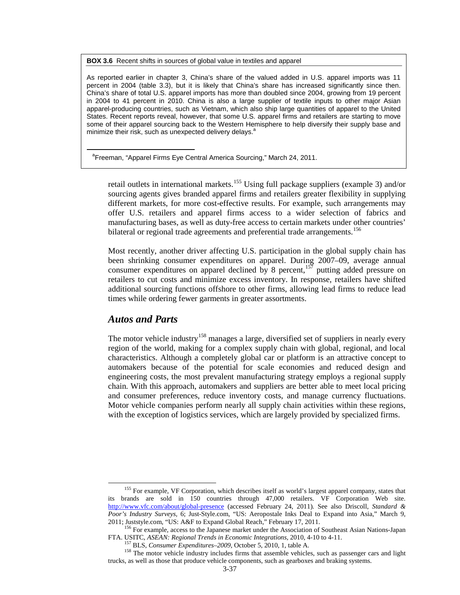**BOX 3.6** Recent shifts in sources of global value in textiles and apparel

As reported earlier in chapter 3, China's share of the valued added in U.S. apparel imports was 11 percent in 2004 (table 3.3), but it is likely that China's share has increased significantly since then. China's share of total U.S. apparel imports has more than doubled since 2004, growing from 19 percent in 2004 to 41 percent in 2010. China is also a large supplier of textile inputs to other major Asian apparel-producing countries, such as Vietnam, which also ship large quantities of apparel to the United States. Recent reports reveal, however, that some U.S. apparel firms and retailers are starting to move some of their apparel sourcing back to the Western Hemisphere to help diversify their supply base and minimize their risk, such as unexpected delivery delays.<sup>a</sup>

<sup>a</sup>Freeman, "Apparel Firms Eye Central America Sourcing," March 24, 2011.

retail outlets in international markets.<sup>[155](#page-36-0)</sup> Using full package suppliers (example 3) and/or sourcing agents gives branded apparel firms and retailers greater flexibility in supplying different markets, for more cost-effective results. For example, such arrangements may offer U.S. retailers and apparel firms access to a wider selection of fabrics and manufacturing bases, as well as duty-free access to certain markets under other countries' bilateral or regional trade agreements and preferential trade arrangements.<sup>[156](#page-36-1)</sup>

Most recently, another driver affecting U.S. participation in the global supply chain has been shrinking consumer expenditures on apparel. During 2007–09, average annual consumer expenditures on apparel declined by 8 percent,  $157$  putting added pressure on retailers to cut costs and minimize excess inventory. In response, retailers have shifted additional sourcing functions offshore to other firms, allowing lead firms to reduce lead times while ordering fewer garments in greater assortments.

### *Autos and Parts*

The motor vehicle industry<sup>[158](#page-36-3)</sup> manages a large, diversified set of suppliers in nearly every region of the world, making for a complex supply chain with global, regional, and local characteristics. Although a completely global car or platform is an attractive concept to automakers because of the potential for scale economies and reduced design and engineering costs, the most prevalent manufacturing strategy employs a regional supply chain. With this approach, automakers and suppliers are better able to meet local pricing and consumer preferences, reduce inventory costs, and manage currency fluctuations. Motor vehicle companies perform nearly all supply chain activities within these regions, with the exception of logistics services, which are largely provided by specialized firms.

<span id="page-36-0"></span><sup>&</sup>lt;sup>155</sup> For example, VF Corporation, which describes itself as world's largest apparel company, states that its brands are sold in 150 countries through 47,000 retailers. VF Corporation Web site. <http://www.vfc.com/about/global-presence> (accessed February 24, 2011). See also Driscoll, *Standard & Poor's Industry Surveys,* 6; Just-Style.com, "US: Aeropostale Inks Deal to Expand into Asia," March 9, 2011; Juststyle.com, "US: A&F to Expand Global Reach," February 17, 2011.

<span id="page-36-1"></span><sup>&</sup>lt;sup>156</sup> For example, access to the Japanese market under the Association of Southeast Asian Nations-Japan FTA. USITC, *ASEAN: Regional Trends in Economic Integrations*, 2010, 4-10 to 4-11.

<span id="page-36-3"></span><span id="page-36-2"></span><sup>&</sup>lt;sup>157</sup> BLS, *Consumer Expenditures-2009*, October 5, 2010, 1, table A.<br><sup>158</sup> The motor vehicle industry includes firms that assemble vehicles, such as passenger cars and light trucks, as well as those that produce vehicle components, such as gearboxes and braking systems.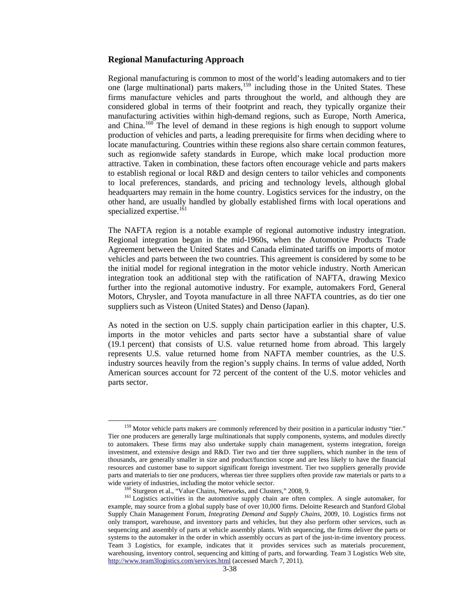### **Regional Manufacturing Approach**

Regional manufacturing is common to most of the world's leading automakers and to tier one (large multinational) parts makers,[159](#page-37-0) including those in the United States. These firms manufacture vehicles and parts throughout the world, and although they are considered global in terms of their footprint and reach, they typically organize their manufacturing activities within high-demand regions, such as Europe, North America, and China.<sup>[160](#page-37-1)</sup> The level of demand in these regions is high enough to support volume production of vehicles and parts, a leading prerequisite for firms when deciding where to locate manufacturing. Countries within these regions also share certain common features, such as regionwide safety standards in Europe, which make local production more attractive. Taken in combination, these factors often encourage vehicle and parts makers to establish regional or local R&D and design centers to tailor vehicles and components to local preferences, standards, and pricing and technology levels, although global headquarters may remain in the home country. Logistics services for the industry, on the other hand, are usually handled by globally established firms with local operations and specialized expertise.<sup>[161](#page-37-2)</sup>

The NAFTA region is a notable example of regional automotive industry integration. Regional integration began in the mid-1960s, when the Automotive Products Trade Agreement between the United States and Canada eliminated tariffs on imports of motor vehicles and parts between the two countries. This agreement is considered by some to be the initial model for regional integration in the motor vehicle industry. North American integration took an additional step with the ratification of NAFTA, drawing Mexico further into the regional automotive industry. For example, automakers Ford, General Motors, Chrysler, and Toyota manufacture in all three NAFTA countries, as do tier one suppliers such as Visteon (United States) and Denso (Japan).

As noted in the section on U.S. supply chain participation earlier in this chapter, U.S. imports in the motor vehicles and parts sector have a substantial share of value (19.1 percent) that consists of U.S. value returned home from abroad. This largely represents U.S. value returned home from NAFTA member countries, as the U.S. industry sources heavily from the region's supply chains. In terms of value added, North American sources account for 72 percent of the content of the U.S. motor vehicles and parts sector.

<span id="page-37-0"></span><sup>&</sup>lt;sup>159</sup> Motor vehicle parts makers are commonly referenced by their position in a particular industry "tier." Tier one producers are generally large multinationals that supply components, systems, and modules directly to automakers. These firms may also undertake supply chain management, systems integration, foreign investment, and extensive design and R&D. Tier two and tier three suppliers, which number in the tens of thousands, are generally smaller in size and product/function scope and are less likely to have the financial resources and customer base to support significant foreign investment. Tier two suppliers generally provide parts and materials to tier one producers, whereas tier three suppliers often provide raw materials or parts to a

<span id="page-37-2"></span><span id="page-37-1"></span>wide variety of industries, including the motor vehicle sector.<br><sup>160</sup> Sturgeon et al., "Value Chains, Networks, and Clusters," 2008, 9.<br><sup>161</sup> Logistics activities in the automotive supply chain are often complex. A single example, may source from a global supply base of over 10,000 firms. Deloitte Research and Stanford Global Supply Chain Management Forum, *Integrating Demand and Supply Chains*, 2009, 10*.* Logistics firms not only transport, warehouse, and inventory parts and vehicles, but they also perform other services, such as sequencing and assembly of parts at vehicle assembly plants. With sequencing, the firms deliver the parts or systems to the automaker in the order in which assembly occurs as part of the just-in-time inventory process. Team 3 Logistics, for example, indicates that it provides services such as materials procurement, warehousing, inventory control, sequencing and kitting of parts, and forwarding. Team 3 Logistics Web site, <http://www.team3logistics.com/services.html> (accessed March 7, 2011).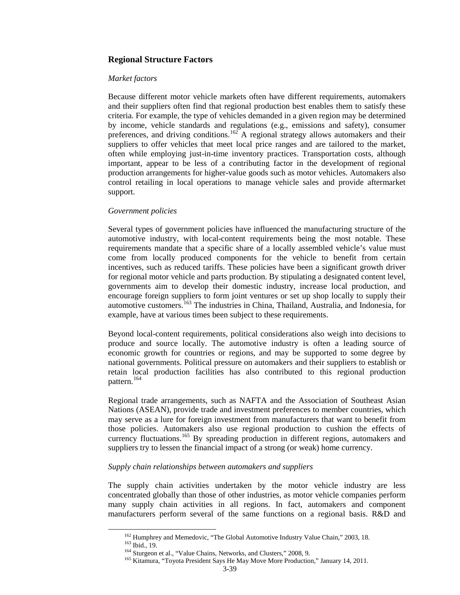### **Regional Structure Factors**

### *Market factors*

Because different motor vehicle markets often have different requirements, automakers and their suppliers often find that regional production best enables them to satisfy these criteria. For example, the type of vehicles demanded in a given region may be determined by income, vehicle standards and regulations (e.g., emissions and safety), consumer preferences, and driving conditions.<sup>[162](#page-38-0)</sup> A regional strategy allows automakers and their suppliers to offer vehicles that meet local price ranges and are tailored to the market, often while employing just-in-time inventory practices. Transportation costs, although important, appear to be less of a contributing factor in the development of regional production arrangements for higher-value goods such as motor vehicles. Automakers also control retailing in local operations to manage vehicle sales and provide aftermarket support.

### *Government policies*

Several types of government policies have influenced the manufacturing structure of the automotive industry, with local-content requirements being the most notable. These requirements mandate that a specific share of a locally assembled vehicle's value must come from locally produced components for the vehicle to benefit from certain incentives, such as reduced tariffs. These policies have been a significant growth driver for regional motor vehicle and parts production. By stipulating a designated content level, governments aim to develop their domestic industry, increase local production, and encourage foreign suppliers to form joint ventures or set up shop locally to supply their automotive customers.[163](#page-38-1) The industries in China, Thailand, Australia, and Indonesia, for example, have at various times been subject to these requirements.

Beyond local-content requirements, political considerations also weigh into decisions to produce and source locally. The automotive industry is often a leading source of economic growth for countries or regions, and may be supported to some degree by national governments. Political pressure on automakers and their suppliers to establish or retain local production facilities has also contributed to this regional production pattern.<sup>[164](#page-38-2)</sup>

Regional trade arrangements, such as NAFTA and the Association of Southeast Asian Nations (ASEAN), provide trade and investment preferences to member countries, which may serve as a lure for foreign investment from manufacturers that want to benefit from those policies. Automakers also use regional production to cushion the effects of currency fluctuations.<sup>[165](#page-38-3)</sup> By spreading production in different regions, automakers and suppliers try to lessen the financial impact of a strong (or weak) home currency.

### *Supply chain relationships between automakers and suppliers*

<span id="page-38-1"></span><span id="page-38-0"></span>The supply chain activities undertaken by the motor vehicle industry are less concentrated globally than those of other industries, as motor vehicle companies perform many supply chain activities in all regions. In fact, automakers and component manufacturers perform several of the same functions on a regional basis. R&D and

 $^{162}$  Humphrey and Memedovic, "The Global Automotive Industry Value Chain," 2003, 18.<br> $^{163}$  Ibid., 19.<br> $^{164}$  Sturgeon et al., "Value Chains, Networks, and Clusters," 2008, 9.<br> $^{164}$  Sturgeon et al., "Value Chains,

<span id="page-38-3"></span><span id="page-38-2"></span>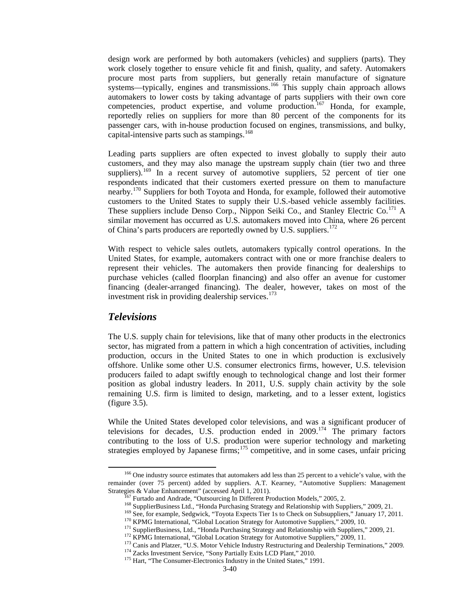design work are performed by both automakers (vehicles) and suppliers (parts). They work closely together to ensure vehicle fit and finish, quality, and safety. Automakers procure most parts from suppliers, but generally retain manufacture of signature systems—typically, engines and transmissions.<sup>[166](#page-39-0)</sup> This supply chain approach allows automakers to lower costs by taking advantage of parts suppliers with their own core competencies, product expertise, and volume production.<sup>[167](#page-39-1)</sup> Honda, for example, reportedly relies on suppliers for more than 80 percent of the components for its passenger cars, with in-house production focused on engines, transmissions, and bulky, capital-intensive parts such as stampings. $168$ 

Leading parts suppliers are often expected to invest globally to supply their auto customers, and they may also manage the upstream supply chain (tier two and three suppliers).<sup>[169](#page-39-3)</sup> In a recent survey of automotive suppliers, 52 percent of tier one respondents indicated that their customers exerted pressure on them to manufacture nearby.<sup>[170](#page-39-4)</sup> Suppliers for both Toyota and Honda, for example, followed their automotive customers to the United States to supply their U.S.-based vehicle assembly facilities. These suppliers include Denso Corp., Nippon Seiki Co., and Stanley Electric Co.<sup>[171](#page-39-5)</sup> A similar movement has occurred as U.S. automakers moved into China, where 26 percent of China's parts producers are reportedly owned by U.S. suppliers.<sup>[172](#page-39-6)</sup>

With respect to vehicle sales outlets, automakers typically control operations. In the United States, for example, automakers contract with one or more franchise dealers to represent their vehicles. The automakers then provide financing for dealerships to purchase vehicles (called floorplan financing) and also offer an avenue for customer financing (dealer-arranged financing). The dealer, however, takes on most of the investment risk in providing dealership services. $173$ 

### *Televisions*

The U.S. supply chain for televisions, like that of many other products in the electronics sector, has migrated from a pattern in which a high concentration of activities, including production, occurs in the United States to one in which production is exclusively offshore. Unlike some other U.S. consumer electronics firms, however, U.S. television producers failed to adapt swiftly enough to technological change and lost their former position as global industry leaders. In 2011, U.S. supply chain activity by the sole remaining U.S. firm is limited to design, marketing, and to a lesser extent, logistics (figure 3.5).

While the United States developed color televisions, and was a significant producer of televisions for decades, U.S. production ended in  $2009$ .<sup>[174](#page-39-8)</sup> The primary factors contributing to the loss of U.S. production were superior technology and marketing strategies employed by Japanese firms; $175$  competitive, and in some cases, unfair pricing

<span id="page-39-5"></span><span id="page-39-4"></span><span id="page-39-3"></span><span id="page-39-2"></span><span id="page-39-1"></span><span id="page-39-0"></span><sup>&</sup>lt;sup>166</sup> One industry source estimates that automakers add less than 25 percent to a vehicle's value, with the remainder (over 75 percent) added by suppliers. A.T. Kearney, "Automotive Suppliers: Management Strategies & Value Enhancement" (accessed April 1, 2011).

<sup>&</sup>lt;sup>167</sup> Furtado and Andrade, "Outsourcing In Different Production Models," 2005, 2.<br><sup>168</sup> SupplierBusiness Ltd., "Honda Purchasing Strategy and Relationship with Suppliers," 2009, 21.<br><sup>169</sup> See, for example, Sedgwick, "Toyo

<span id="page-39-9"></span><span id="page-39-8"></span><span id="page-39-7"></span><span id="page-39-6"></span>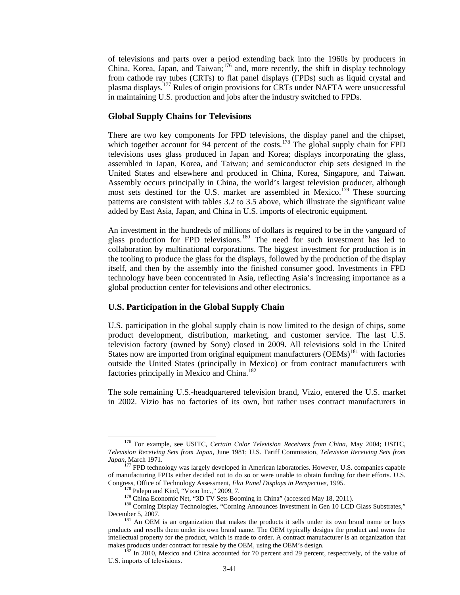of televisions and parts over a period extending back into the 1960s by producers in China, Korea, Japan, and Taiwan;[176](#page-40-0) and, more recently, the shift in display technology from cathode ray tubes (CRTs) to flat panel displays (FPDs) such as liquid crystal and plasma displays.[177](#page-40-1) Rules of origin provisions for CRTs under NAFTA were unsuccessful in maintaining U.S. production and jobs after the industry switched to FPDs.

#### **Global Supply Chains for Televisions**

There are two key components for FPD televisions, the display panel and the chipset, which together account for 94 percent of the costs.<sup>[178](#page-40-2)</sup> The global supply chain for  $FPD$ televisions uses glass produced in Japan and Korea; displays incorporating the glass, assembled in Japan, Korea, and Taiwan; and semiconductor chip sets designed in the United States and elsewhere and produced in China, Korea, Singapore, and Taiwan. Assembly occurs principally in China, the world's largest television producer, although most sets destined for the U.S. market are assembled in Mexico.<sup>[179](#page-40-3)</sup> These sourcing patterns are consistent with tables 3.2 to 3.5 above, which illustrate the significant value added by East Asia, Japan, and China in U.S. imports of electronic equipment.

An investment in the hundreds of millions of dollars is required to be in the vanguard of glass production for FPD televisions.<sup>[180](#page-40-4)</sup> The need for such investment has led to collaboration by multinational corporations. The biggest investment for production is in the tooling to produce the glass for the displays, followed by the production of the display itself, and then by the assembly into the finished consumer good. Investments in FPD technology have been concentrated in Asia, reflecting Asia's increasing importance as a global production center for televisions and other electronics.

#### **U.S. Participation in the Global Supply Chain**

U.S. participation in the global supply chain is now limited to the design of chips, some product development, distribution, marketing, and customer service. The last U.S. television factory (owned by Sony) closed in 2009. All televisions sold in the United States now are imported from original equipment manufacturers (OEMs)<sup>[181](#page-40-5)</sup> with factories outside the United States (principally in Mexico) or from contract manufacturers with factories principally in Mexico and China.<sup>[182](#page-40-6)</sup>

The sole remaining U.S.-headquartered television brand, Vizio, entered the U.S. market in 2002. Vizio has no factories of its own, but rather uses contract manufacturers in

<span id="page-40-0"></span><sup>176</sup> For example, see USITC, *Certain Color Television Receivers from China*, May 2004; USITC, *Television Receiving Sets from Japan*, June 1981; U.S. Tariff Commission, *Television Receiving Sets from Japan*, March 1971.

<span id="page-40-1"></span><sup>&</sup>lt;sup>177</sup> FPD technology was largely developed in American laboratories. However, U.S. companies capable of manufacturing FPDs either decided not to do so or were unable to obtain funding for their efforts. U.S.

<span id="page-40-3"></span><span id="page-40-2"></span>Congress, Office of Technology Assessment, *Flat Panel Displays in Perspective*, 1995.<br><sup>178</sup> Palepu and Kind, "Vizio Inc.," 2009, 7.<br><sup>179</sup> China Economic Net, "3D TV Sets Booming in China" (accessed May 18, 2011).<br><sup>180</sup> Co

<span id="page-40-5"></span><span id="page-40-4"></span> $181$  An OEM is an organization that makes the products it sells under its own brand name or buys products and resells them under its own brand name. The OEM typically designs the product and owns the intellectual property for the product, which is made to order. A contract manufacturer is an organization that makes products under contract for resale by the OEM, using the OEM's design.<br><sup>182</sup> In 2010, Mexico and China accounted for 70 percent and 29 percent, respectively, of the value of

<span id="page-40-6"></span>U.S. imports of televisions.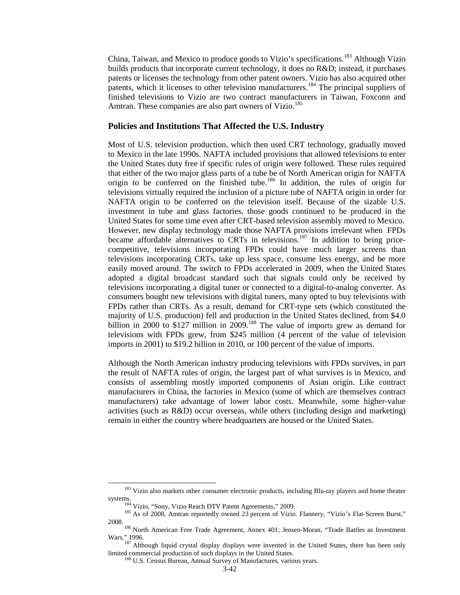China, Taiwan, and Mexico to produce goods to Vizio's specifications.<sup>[183](#page-41-0)</sup> Although Vizio builds products that incorporate current technology, it does no R&D; instead, it purchases patents or licenses the technology from other patent owners. Vizio has also acquired other patents, which it licenses to other television manufacturers.<sup>[184](#page-41-1)</sup> The principal suppliers of finished televisions to Vizio are two contract manufacturers in Taiwan, Foxconn and Amtran. These companies are also part owners of Vizio.<sup>[185](#page-41-2)</sup>

### **Policies and Institutions That Affected the U.S. Industry**

Most of U.S. television production, which then used CRT technology, gradually moved to Mexico in the late 1990s. NAFTA included provisions that allowed televisions to enter the United States duty free if specific rules of origin were followed. These rules required that either of the two major glass parts of a tube be of North American origin for NAFTA origin to be conferred on the finished tube.<sup>[186](#page-41-3)</sup> In addition, the rules of origin for televisions virtually required the inclusion of a picture tube of NAFTA origin in order for NAFTA origin to be conferred on the television itself. Because of the sizable U.S. investment in tube and glass factories, those goods continued to be produced in the United States for some time even after CRT-based television assembly moved to Mexico. However, new display technology made those NAFTA provisions irrelevant when FPDs became affordable alternatives to CRTs in televisions.<sup>[187](#page-41-4)</sup> In addition to being pricecompetitive, televisions incorporating FPDs could have much larger screens than televisions incorporating CRTs, take up less space, consume less energy, and be more easily moved around. The switch to FPDs accelerated in 2009, when the United States adopted a digital broadcast standard such that signals could only be received by televisions incorporating a digital tuner or connected to a digital-to-analog converter. As consumers bought new televisions with digital tuners, many opted to buy televisions with FPDs rather than CRTs. As a result, demand for CRT-type sets (which constituted the majority of U.S. production) fell and production in the United States declined, from \$4.0 billion in 2000 to \$127 million in 2009.<sup>[188](#page-41-5)</sup> The value of imports grew as demand for televisions with FPDs grew, from \$245 million (4 percent of the value of television imports in 2001) to \$19.2 billion in 2010, or 100 percent of the value of imports.

Although the North American industry producing televisions with FPDs survives, in part the result of NAFTA rules of origin, the largest part of what survives is in Mexico, and consists of assembling mostly imported components of Asian origin. Like contract manufacturers in China, the factories in Mexico (some of which are themselves contract manufacturers) take advantage of lower labor costs. Meanwhile, some higher-value activities (such as R&D) occur overseas, while others (including design and marketing) remain in either the country where headquarters are housed or the United States.

<sup>&</sup>lt;sup>183</sup> Vizio also markets other consumer electronic products, including Blu-ray players and home theater

<span id="page-41-2"></span><span id="page-41-1"></span><span id="page-41-0"></span>systems.<br><sup>184</sup> Vizio, "Sony, Vizio Reach DTV Patent Agreements," 2009.<br><sup>185</sup> As of 2008, Amtran reportedly owned 23 percent of Vizio. Flannery, "Vizio's Flat-Screen Burst,"<br>2008.

<sup>&</sup>lt;sup>186</sup> North American Free Trade Agreement, Annex 401; Jensen-Moran, "Trade Battles as Investment Wars," 1996.<br><sup>187</sup> Although liquid crystal display displays were invented in the United States, there has been only

<span id="page-41-5"></span><span id="page-41-4"></span><span id="page-41-3"></span>limited commercial production of such displays in the United States.<br><sup>188</sup> U.S. Census Bureau, Annual Survey of Manufactures, various years.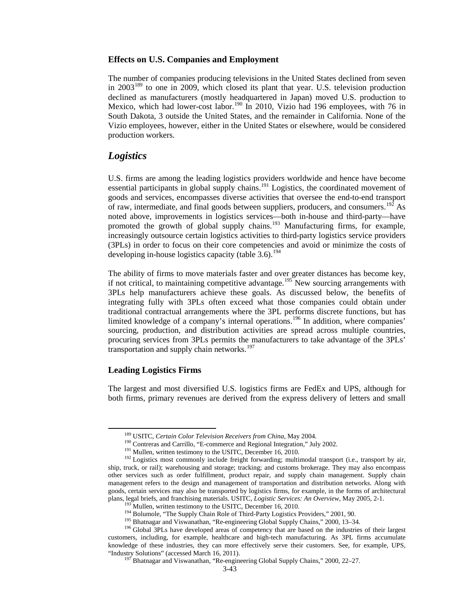### **Effects on U.S. Companies and Employment**

The number of companies producing televisions in the United States declined from seven in 2003<sup>[189](#page-42-0)</sup> to one in 2009, which closed its plant that year. U.S. television production declined as manufacturers (mostly headquartered in Japan) moved U.S. production to Mexico, which had lower-cost labor.<sup>[190](#page-42-1)</sup> In 2010, Vizio had 196 employees, with 76 in South Dakota, 3 outside the United States, and the remainder in California. None of the Vizio employees, however, either in the United States or elsewhere, would be considered production workers.

### *Logistics*

U.S. firms are among the leading logistics providers worldwide and hence have become essential participants in global supply chains.<sup>[191](#page-42-2)</sup> Logistics, the coordinated movement of goods and services, encompasses diverse activities that oversee the end-to-end transport of raw, intermediate, and final goods between suppliers, producers, and consumers.<sup>[192](#page-42-3)</sup> As noted above, improvements in logistics services—both in-house and third-party—have promoted the growth of global supply chains.<sup>[193](#page-42-4)</sup> Manufacturing firms, for example, increasingly outsource certain logistics activities to third-party logistics service providers (3PLs) in order to focus on their core competencies and avoid or minimize the costs of developing in-house logistics capacity (table  $3.6$ ).<sup>[194](#page-42-5)</sup>

The ability of firms to move materials faster and over greater distances has become key, if not critical, to maintaining competitive advantage.<sup>[195](#page-42-6)</sup> New sourcing arrangements with 3PLs help manufacturers achieve these goals. As discussed below, the benefits of integrating fully with 3PLs often exceed what those companies could obtain under traditional contractual arrangements where the 3PL performs discrete functions, but has limited knowledge of a company's internal operations.<sup>[196](#page-42-7)</sup> In addition, where companies' sourcing, production, and distribution activities are spread across multiple countries, procuring services from 3PLs permits the manufacturers to take advantage of the 3PLs' transportation and supply chain networks.<sup>[197](#page-42-8)</sup>

### **Leading Logistics Firms**

The largest and most diversified U.S. logistics firms are FedEx and UPS, although for both firms, primary revenues are derived from the express delivery of letters and small

<span id="page-42-3"></span><span id="page-42-2"></span><span id="page-42-1"></span><span id="page-42-0"></span><sup>&</sup>lt;sup>189</sup> USITC, *Certain Color Television Receivers from China*, May 2004.<br><sup>190</sup> Contreras and Carrillo, "E-commerce and Regional Integration," July 2002.<br><sup>191</sup> Mullen, written testimony to the USITC, December 16, 2010.<br><sup>192</sup> ship, truck, or rail); warehousing and storage; tracking; and customs brokerage. They may also encompass other services such as order fulfillment, product repair, and supply chain management. Supply chain management refers to the design and management of transportation and distribution networks. Along with goods, certain services may also be transported by logistics firms, for example, in the forms of architectural plans, legal briefs, and franchising materials. USITC, *Logistic Services: An Overview*, May 2005, 2-1.<br><sup>193</sup> Mullen, written testimony to the USITC, December 16, 2010.<br><sup>194</sup> Bolumole, "The Supply Chain Role of Third-Party

<span id="page-42-8"></span><span id="page-42-7"></span><span id="page-42-6"></span><span id="page-42-5"></span><span id="page-42-4"></span>customers, including, for example, healthcare and high-tech manufacturing. As 3PL firms accumulate knowledge of these industries, they can more effectively serve their customers. See, for example, UPS, "Industry Solutions" (accessed March 16, 2011). <sup>197</sup> Bhatnagar and Viswanathan, "Re-engineering Global Supply Chains," 2000, 22–27.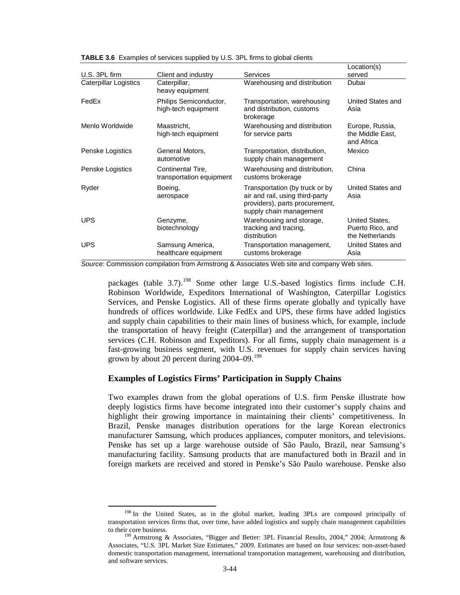|                              |                                               |                                                                                                                                | Location(s)                                           |
|------------------------------|-----------------------------------------------|--------------------------------------------------------------------------------------------------------------------------------|-------------------------------------------------------|
| U.S. 3PL firm                | Client and industry                           | <b>Services</b>                                                                                                                | served                                                |
| <b>Caterpillar Logistics</b> | Caterpillar,<br>heavy equipment               | Warehousing and distribution                                                                                                   | Dubai                                                 |
| FedEx                        | Philips Semiconductor,<br>high-tech equipment | Transportation, warehousing<br>and distribution, customs<br>brokerage                                                          | United States and<br>Asia                             |
| Menlo Worldwide              | Maastricht.<br>high-tech equipment            | Warehousing and distribution<br>for service parts                                                                              | Europe, Russia,<br>the Middle East,<br>and Africa     |
| Penske Logistics             | General Motors,<br>automotive                 | Transportation, distribution,<br>supply chain management                                                                       | Mexico                                                |
| Penske Logistics             | Continental Tire,<br>transportation equipment | Warehousing and distribution,<br>customs brokerage                                                                             | China                                                 |
| Ryder                        | Boeing,<br>aerospace                          | Transportation (by truck or by<br>air and rail, using third-party<br>providers), parts procurement,<br>supply chain management | United States and<br>Asia                             |
| <b>UPS</b>                   | Genzyme,<br>biotechnology                     | Warehousing and storage,<br>tracking and tracing,<br>distribution                                                              | United States,<br>Puerto Rico, and<br>the Netherlands |
| <b>UPS</b>                   | Samsung America,<br>healthcare equipment      | Transportation management,<br>customs brokerage                                                                                | United States and<br>Asia                             |

**TABLE 3.6** Examples of services supplied by U.S. 3PL firms to global clients

*Source:* Commission compilation from Armstrong & Associates Web site and company Web sites.

packages (table  $3.7$ ).<sup>[198](#page-43-0)</sup> Some other large U.S.-based logistics firms include C.H. Robinson Worldwide, Expeditors International of Washington, Caterpillar Logistics Services, and Penske Logistics. All of these firms operate globally and typically have hundreds of offices worldwide. Like FedEx and UPS, these firms have added logistics and supply chain capabilities to their main lines of business which, for example, include the transportation of heavy freight (Caterpillar) and the arrangement of transportation services (C.H. Robinson and Expeditors). For all firms, supply chain management is a fast-growing business segment, with U.S. revenues for supply chain services having grown by about 20 percent during  $2004 - 09$ .<sup>[199](#page-43-1)</sup>

### **Examples of Logistics Firms' Participation in Supply Chains**

Two examples drawn from the global operations of U.S. firm Penske illustrate how deeply logistics firms have become integrated into their customer's supply chains and highlight their growing importance in maintaining their clients' competitiveness. In Brazil, Penske manages distribution operations for the large Korean electronics manufacturer Samsung, which produces appliances, computer monitors, and televisions. Penske has set up a large warehouse outside of São Paulo, Brazil, near Samsung's manufacturing facility. Samsung products that are manufactured both in Brazil and in foreign markets are received and stored in Penske's São Paulo warehouse. Penske also

<span id="page-43-0"></span><sup>&</sup>lt;sup>198</sup> In the United States, as in the global market, leading 3PLs are composed principally of transportation services firms that, over time, have added logistics and supply chain management capabilities to their core business.<br><sup>199</sup> Armstrong & Associates, "Bigger and Better: 3PL Financial Results, 2004," 2004; Armstrong &

<span id="page-43-1"></span>Associates, "U.S. 3PL Market Size Estimates," 2009. Estimates are based on four services: non-asset-based domestic transportation management, international transportation management, warehousing and distribution, and software services.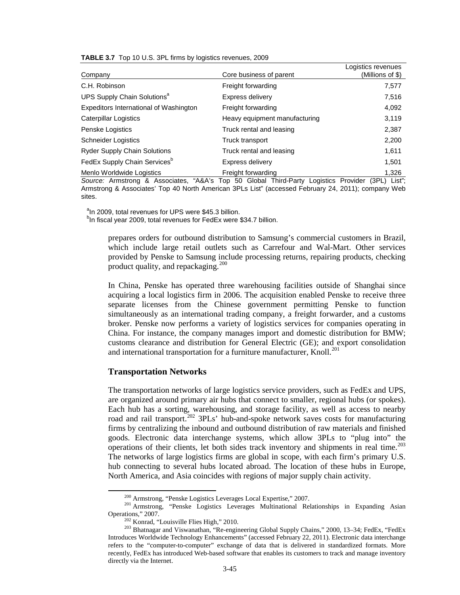|  |  |  | TABLE 3.7 Top 10 U.S. 3PL firms by logistics revenues, 2009 |  |
|--|--|--|-------------------------------------------------------------|--|
|--|--|--|-------------------------------------------------------------|--|

| Company                                  | Core business of parent       | Logistics revenues<br>(Millions of \$) |
|------------------------------------------|-------------------------------|----------------------------------------|
| C.H. Robinson                            | Freight forwarding            | 7,577                                  |
| UPS Supply Chain Solutions <sup>a</sup>  | Express delivery              | 7,516                                  |
| Expeditors International of Washington   | Freight forwarding            | 4,092                                  |
| Caterpillar Logistics                    | Heavy equipment manufacturing | 3,119                                  |
| Penske Logistics                         | Truck rental and leasing      | 2,387                                  |
| <b>Schneider Logistics</b>               | Truck transport               | 2,200                                  |
| <b>Ryder Supply Chain Solutions</b>      | Truck rental and leasing      | 1,611                                  |
| FedEx Supply Chain Services <sup>b</sup> | Express delivery              | 1,501                                  |
| Menlo Worldwide Logistics                | Freight forwarding            | 1.326                                  |

*Source:* Armstrong & Associates, "A&A's Top 50 Global Third-Party Logistics Provider (3PL) List"; Armstrong & Associates' Top 40 North American 3PLs List" (accessed February 24, 2011); company Web sites.

<sup>a</sup>In 2009, total revenues for UPS were \$45.3 billion.

<sup>b</sup>In fiscal year 2009, total revenues for FedEx were \$34.7 billion.

prepares orders for outbound distribution to Samsung's commercial customers in Brazil, which include large retail outlets such as Carrefour and Wal-Mart. Other services provided by Penske to Samsung include processing returns, repairing products, checking product quality, and repackaging.<sup>[200](#page-44-0)</sup>

In China, Penske has operated three warehousing facilities outside of Shanghai since acquiring a local logistics firm in 2006. The acquisition enabled Penske to receive three separate licenses from the Chinese government permitting Penske to function simultaneously as an international trading company, a freight forwarder, and a customs broker. Penske now performs a variety of logistics services for companies operating in China. For instance, the company manages import and domestic distribution for BMW; customs clearance and distribution for General Electric (GE); and export consolidation and international transportation for a furniture manufacturer, Knoll.<sup>[201](#page-44-1)</sup>

### **Transportation Networks**

The transportation networks of large logistics service providers, such as FedEx and UPS, are organized around primary air hubs that connect to smaller, regional hubs (or spokes). Each hub has a sorting, warehousing, and storage facility, as well as access to nearby road and rail transport.<sup>[202](#page-44-2)</sup> 3PLs' hub-and-spoke network saves costs for manufacturing firms by centralizing the inbound and outbound distribution of raw materials and finished goods. Electronic data interchange systems, which allow 3PLs to "plug into" the operations of their clients, let both sides track inventory and shipments in real time.<sup>[203](#page-44-3)</sup> The networks of large logistics firms are global in scope, with each firm's primary U.S. hub connecting to several hubs located abroad. The location of these hubs in Europe, North America, and Asia coincides with regions of major supply chain activity.

<span id="page-44-1"></span><span id="page-44-0"></span><sup>&</sup>lt;sup>200</sup> Armstrong, "Penske Logistics Leverages Local Expertise," 2007.<br><sup>201</sup> Armstrong, "Penske Logistics Leverages Multinational Relationships in Expanding Asian Operations," 2007.<br><sup>202</sup> Konrad, "Louisville Flies High," 20

<span id="page-44-3"></span><span id="page-44-2"></span><sup>&</sup>lt;sup>203</sup> Bhatnagar and Viswanathan, "Re-engineering Global Supply Chains," 2000, 13–34; FedEx, "FedEx Introduces Worldwide Technology Enhancements" (accessed February 22, 2011). Electronic data interchange refers to the "computer-to-computer" exchange of data that is delivered in standardized formats. More recently, FedEx has introduced Web-based software that enables its customers to track and manage inventory directly via the Internet.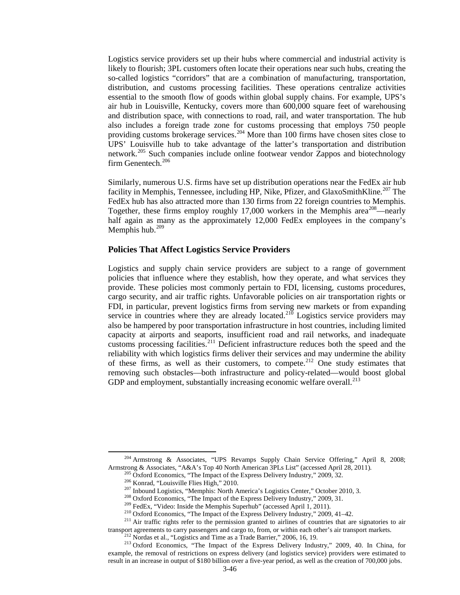Logistics service providers set up their hubs where commercial and industrial activity is likely to flourish; 3PL customers often locate their operations near such hubs, creating the so-called logistics "corridors" that are a combination of manufacturing, transportation, distribution, and customs processing facilities. These operations centralize activities essential to the smooth flow of goods within global supply chains. For example, UPS's air hub in Louisville, Kentucky, covers more than 600,000 square feet of warehousing and distribution space, with connections to road, rail, and water transportation. The hub also includes a foreign trade zone for customs processing that employs 750 people providing customs brokerage services.<sup>[204](#page-45-0)</sup> More than 100 firms have chosen sites close to UPS' Louisville hub to take advantage of the latter's transportation and distribution network.<sup>[205](#page-45-1)</sup> Such companies include online footwear vendor Zappos and biotechnology firm Genentech.<sup>[206](#page-45-2)</sup>

Similarly, numerous U.S. firms have set up distribution operations near the FedEx air hub facility in Memphis, Tennessee, including HP, Nike, Pfizer, and GlaxoSmithKline.<sup>[207](#page-45-3)</sup> The FedEx hub has also attracted more than 130 firms from 22 foreign countries to Memphis. Together, these firms employ roughly  $17,000$  workers in the Memphis area<sup>[208](#page-45-4)</sup>—nearly half again as many as the approximately 12,000 FedEx employees in the company's Memphis hub. $209$ 

### **Policies That Affect Logistics Service Providers**

Logistics and supply chain service providers are subject to a range of government policies that influence where they establish, how they operate, and what services they provide. These policies most commonly pertain to FDI, licensing, customs procedures, cargo security, and air traffic rights. Unfavorable policies on air transportation rights or FDI, in particular, prevent logistics firms from serving new markets or from expanding service in countries where they are already located.<sup>[210](#page-45-6)</sup> Logistics service providers may also be hampered by poor transportation infrastructure in host countries, including limited capacity at airports and seaports, insufficient road and rail networks, and inadequate customs processing facilities.[211](#page-45-7) Deficient infrastructure reduces both the speed and the reliability with which logistics firms deliver their services and may undermine the ability of these firms, as well as their customers, to compete.[212](#page-45-8) One study estimates that removing such obstacles—both infrastructure and policy-related—would boost global GDP and employment, substantially increasing economic welfare overall.<sup>[213](#page-45-9)</sup>

<span id="page-45-0"></span><sup>&</sup>lt;sup>204</sup> Armstrong & Associates, "UPS Revamps Supply Chain Service Offering," April 8, 2008; Armstrong & Associates, "A&A's Top 40 North American 3PLs List" (accessed April 28, 2011).

<span id="page-45-5"></span><span id="page-45-4"></span><span id="page-45-3"></span><span id="page-45-2"></span><span id="page-45-1"></span><sup>&</sup>lt;sup>205</sup> Oxford Economics, "The Impact of the Express Delivery Industry," 2009, 32.<br><sup>206</sup> Konrad, "Louisville Flies High," 2010.<br><sup>207</sup> Inbound Logistics, "Memphis: North America's Logistics Center," October 2010, 3.<br><sup>208</sup> Ox transport agreements to carry passengers and cargo to, from, or within each other's air transport markets.<br><sup>212</sup> Nordas et al., "Logistics and Time as a Trade Barrier," 2006, 16, 19.<br><sup>213</sup> Oxford Economics, "The Impact of

<span id="page-45-9"></span><span id="page-45-8"></span><span id="page-45-7"></span><span id="page-45-6"></span>example, the removal of restrictions on express delivery (and logistics service) providers were estimated to result in an increase in output of \$180 billion over a five-year period, as well as the creation of 700,000 jobs.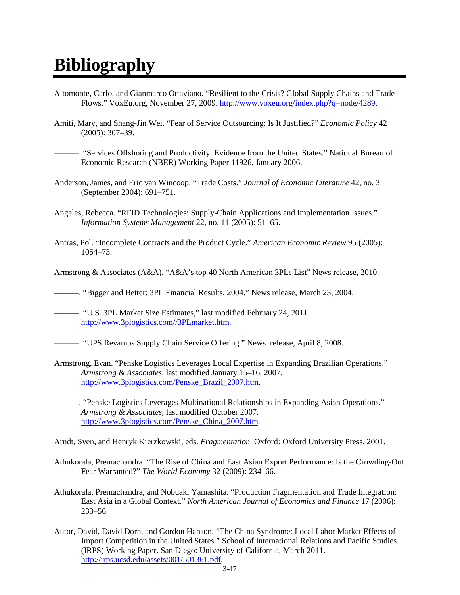# **Bibliography**

- Altomonte, Carlo, and Gianmarco Ottaviano. "Resilient to the Crisis? Global Supply Chains and Trade Flows." VoxEu.org, November 27, 2009. [http://www.voxeu.org/index.php?q=node/4289.](http://www.voxeu.org/index.php?q=node/4289)
- Amiti, Mary, and Shang-Jin Wei. "Fear of Service Outsourcing: Is It Justified?" *Economic Policy* 42 (2005): 307–39.

———. "Services Offshoring and Productivity: Evidence from the United States." National Bureau of Economic Research (NBER) Working Paper 11926, January 2006.

- Anderson, James, and Eric van Wincoop. "Trade Costs." *Journal of Economic Literature* 42, no. 3 (September 2004): 691–751.
- Angeles, Rebecca. "RFID Technologies: Supply-Chain Applications and Implementation Issues." *Information Systems Management* 22, no. 11 (2005): 51–65.
- Antras, Pol. "Incomplete Contracts and the Product Cycle." *American Economic Review* 95 (2005): 1054–73.
- Armstrong & Associates (A&A). "A&A's top 40 North American 3PLs List" News release, 2010.

———. "Bigger and Better: 3PL Financial Results, 2004." News release, March 23, 2004.

———. "U.S. 3PL Market Size Estimates," last modified February 24, 2011. [http://www.3plogistics.com//3PLmarket.htm.](http://www.3plogistics.com/3PLmarket.htm)

- ———. "UPS Revamps Supply Chain Service Offering." News release, April 8, 2008.
- Armstrong, Evan. "Penske Logistics Leverages Local Expertise in Expanding Brazilian Operations." *Armstrong & Associates*, last modified January 15–16, 2007. [http://www.3plogistics.com/Penske\\_Brazil\\_2007.htm.](http://www.3plogistics.com/Penske_Brazil_2007.htm)

———. "Penske Logistics Leverages Multinational Relationships in Expanding Asian Operations." *Armstrong & Associates,* last modified October 2007. [http://www.3plogistics.com/Penske\\_China\\_2007.htm.](http://www.3plogistics.com/Penske_China_2007.htm)

Arndt, Sven, and Henryk Kierzkowski, eds. *Fragmentation*. Oxford: Oxford University Press, 2001.

- Athukorala, Premachandra. "The Rise of China and East Asian Export Performance: Is the Crowding-Out Fear Warranted?" *The World Economy* 32 (2009): 234–66.
- Athukorala, Premachandra, and Nobuaki Yamashita. "Production Fragmentation and Trade Integration: East Asia in a Global Context." *North American Journal of Economics and Finance* 17 (2006): 233–56.
- Autor, David, David Dorn, and Gordon Hanson. "The China Syndrome: Local Labor Market Effects of Import Competition in the United States." School of International Relations and Pacific Studies (IRPS) Working Paper. San Diego: University of California, March 2011. [http://irps.ucsd.edu/assets/001/501361.pdf.](http://irps.ucsd.edu/assets/001/501361.pdf)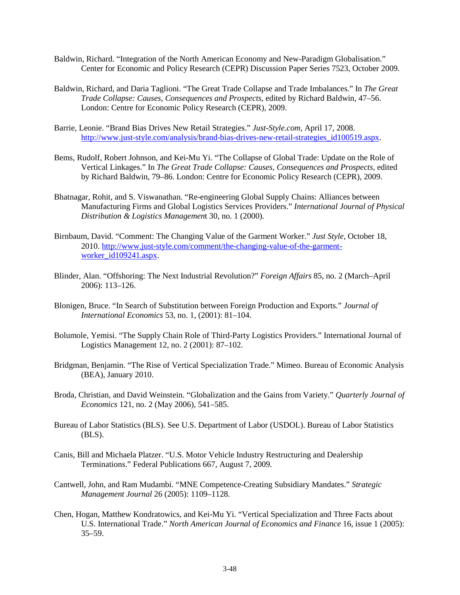- Baldwin, Richard. "Integration of the North American Economy and New-Paradigm Globalisation." Center for Economic and Policy Research (CEPR) Discussion Paper Series 7523, October 2009.
- Baldwin, Richard, and Daria Taglioni. "The Great Trade Collapse and Trade Imbalances." In *The Great Trade Collapse: Causes, Consequences and Prospects,* edited by Richard Baldwin, 47–56. London: Centre for Economic Policy Research (CEPR), 2009.
- Barrie, Leonie. "Brand Bias Drives New Retail Strategies." *Just-Style.com,* April 17, 2008. http://www.just-style.com/analysis/brand-bias-drives-new-retail-strategies id100519.aspx.
- Bems, Rudolf, Robert Johnson, and Kei-Mu Yi. "The Collapse of Global Trade: Update on the Role of Vertical Linkages." In *The Great Trade Collapse: Causes, Consequences and Prospects,* edited by Richard Baldwin, 79–86. London: Centre for Economic Policy Research (CEPR), 2009.
- Bhatnagar, Rohit, and S. Viswanathan. "Re-engineering Global Supply Chains: Alliances between Manufacturing Firms and Global Logistics Services Providers." *International Journal of Physical Distribution & Logistics Managemen*t 30, no. 1 (2000).
- Birnbaum, David. "Comment: The Changing Value of the Garment Worker." *Just Style*, October 18, 2010. [http://www.just-style.com/comment/the-changing-value-of-the-garment](http://www.just-style.com/comment/the-changing-value-of-the-garment-worker_id109241.aspx)[worker\\_id109241.aspx.](http://www.just-style.com/comment/the-changing-value-of-the-garment-worker_id109241.aspx)
- Blinder, Alan. "Offshoring: The Next Industrial Revolution?" *Foreign Affairs* 85, no. 2 (March–April 2006): 113–126.
- Blonigen, Bruce. "In Search of Substitution between Foreign Production and Exports." *Journal of International Economics* 53, no. 1, (2001): 81–104.
- Bolumole, Yemisi. "The Supply Chain Role of Third-Party Logistics Providers." International Journal of Logistics Management 12, no. 2 (2001): 87–102.
- Bridgman, Benjamin. "The Rise of Vertical Specialization Trade." Mimeo. Bureau of Economic Analysis (BEA), January 2010.
- Broda, Christian, and David Weinstein. "Globalization and the Gains from Variety." *Quarterly Journal of Economics* 121, no. 2 (May 2006), 541–585.
- Bureau of Labor Statistics (BLS). See U.S. Department of Labor (USDOL). Bureau of Labor Statistics (BLS).
- Canis, Bill and Michaela Platzer. "U.S. Motor Vehicle Industry Restructuring and Dealership Terminations." Federal Publications 667, August 7, 2009.
- Cantwell, John, and Ram Mudambi. "MNE Competence-Creating Subsidiary Mandates." *Strategic Management Journal* 26 (2005): 1109–1128.
- Chen, Hogan, Matthew Kondratowics, and Kei-Mu Yi. "Vertical Specialization and Three Facts about U.S. International Trade." *North American Journal of Economics and Finance* 16, issue 1 (2005): 35–59.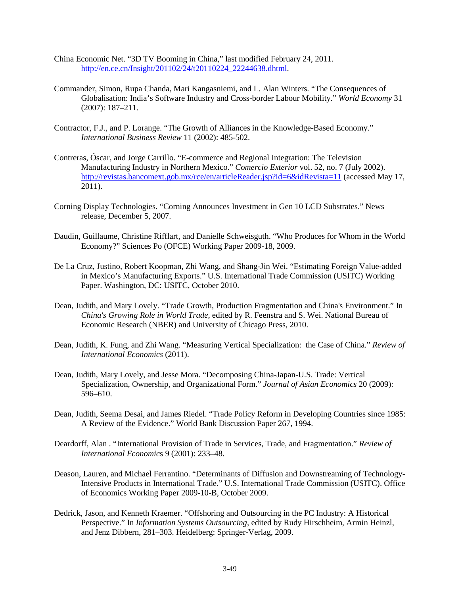- China Economic Net. "3D TV Booming in China," last modified February 24, 2011. [http://en.ce.cn/Insight/201102/24/t20110224\\_22244638.dhtml.](http://en.ce.cn/Insight/201102/24/t20110224_22244638.dhtml)
- Commander, Simon, Rupa Chanda, Mari Kangasniemi, and L. Alan Winters. "The Consequences of Globalisation: India's Software Industry and Cross-border Labour Mobility." *World Economy* 31 (2007): 187–211.
- Contractor, F.J., and P. Lorange. "The Growth of Alliances in the Knowledge-Based Economy." *International Business Review* 11 (2002): 485-502.
- Contreras, Óscar, and Jorge Carrillo. "E-commerce and Regional Integration: The Television Manufacturing Industry in Northern Mexico." *Comercio Exterior* vol. 52, no. 7 (July 2002). <http://revistas.bancomext.gob.mx/rce/en/articleReader.jsp?id=6&idRevista=11> (accessed May 17, 2011).
- Corning Display Technologies. "Corning Announces Investment in Gen 10 LCD Substrates." News release, December 5, 2007.
- Daudin, Guillaume, Christine Rifflart, and Danielle Schweisguth. "Who Produces for Whom in the World Economy?" Sciences Po (OFCE) Working Paper 2009-18, 2009.
- De La Cruz, Justino, Robert Koopman, Zhi Wang, and Shang-Jin Wei. "Estimating Foreign Value-added in Mexico's Manufacturing Exports." U.S. International Trade Commission (USITC) Working Paper. Washington, DC: USITC, October 2010.
- Dean, Judith, and Mary Lovely. "Trade Growth, Production Fragmentation and China's Environment." In *China's Growing Role in World Trade,* edited by R. Feenstra and S. Wei. National Bureau of Economic Research (NBER) and University of Chicago Press, 2010.
- Dean, Judith, K. Fung, and Zhi Wang. "Measuring Vertical Specialization: the Case of China." *Review of International Economics* (2011).
- Dean, Judith, Mary Lovely, and Jesse Mora. "Decomposing China-Japan-U.S. Trade: Vertical Specialization, Ownership, and Organizational Form." *Journal of Asian Economics* 20 (2009): 596–610.
- Dean, Judith, Seema Desai, and James Riedel. "Trade Policy Reform in Developing Countries since 1985: A Review of the Evidence." World Bank Discussion Paper 267, 1994.
- Deardorff, Alan . "International Provision of Trade in Services, Trade, and Fragmentation." *Review of International Economic*s 9 (2001): 233–48.
- Deason, Lauren, and Michael Ferrantino. "Determinants of Diffusion and Downstreaming of Technology-Intensive Products in International Trade." U.S. International Trade Commission (USITC). Office of Economics Working Paper 2009-10-B, October 2009.
- Dedrick, Jason, and Kenneth Kraemer. "Offshoring and Outsourcing in the PC Industry: A Historical Perspective." In *Information Systems Outsourcing,* edited by Rudy Hirschheim, Armin Heinzl, and Jenz Dibbern, 281–303. Heidelberg: Springer-Verlag, 2009.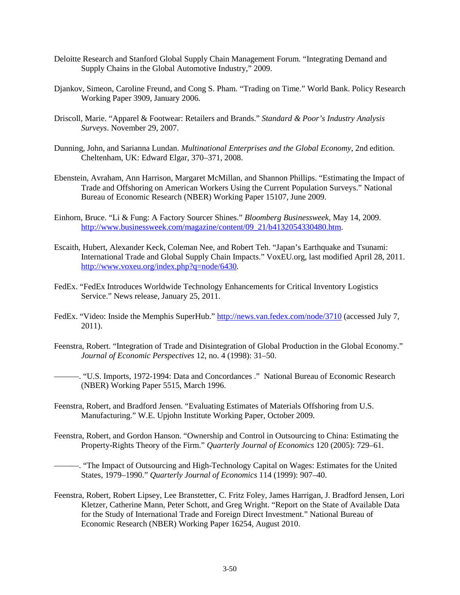- Deloitte Research and Stanford Global Supply Chain Management Forum. "Integrating Demand and Supply Chains in the Global Automotive Industry," 2009.
- Djankov, Simeon, Caroline Freund, and Cong S. Pham. "Trading on Time." World Bank. Policy Research Working Paper 3909, January 2006.
- Driscoll, Marie. "Apparel & Footwear: Retailers and Brands." *Standard & Poor's Industry Analysis Surveys*. November 29, 2007.
- Dunning, John, and Sarianna Lundan. *Multinational Enterprises and the Global Economy*, 2nd edition. Cheltenham, UK: Edward Elgar, 370–371, 2008.
- Ebenstein, Avraham, Ann Harrison, Margaret McMillan, and Shannon Phillips. "Estimating the Impact of Trade and Offshoring on American Workers Using the Current Population Surveys." National Bureau of Economic Research (NBER) Working Paper 15107, June 2009.
- Einhorn, Bruce. "Li & Fung: A Factory Sourcer Shines." *Bloomberg Businessweek,* May 14, 2009. [http://www.businessweek.com/magazine/content/09\\_21/b4132054330480.htm.](http://www.businessweek.com/magazine/content/09_21/b4132054330480.htm)
- Escaith, Hubert, Alexander Keck, Coleman Nee, and Robert Teh. "Japan's Earthquake and Tsunami: International Trade and Global Supply Chain Impacts." VoxEU.org, last modified April 28, 2011. [http://www.voxeu.org/index.php?q=node/6430.](http://www.voxeu.org/index.php?q=node/6430)
- FedEx. "FedEx Introduces Worldwide Technology Enhancements for Critical Inventory Logistics Service." News release, January 25, 2011.
- FedEx. "Video: Inside the Memphis SuperHub." <http://news.van.fedex.com/node/3710> (accessed July 7, 2011).
- Feenstra, Robert. "Integration of Trade and Disintegration of Global Production in the Global Economy." *Journal of Economic Perspectives* 12, no. 4 (1998): 31–50.

———. "U.S. Imports, 1972-1994: Data and Concordances ." National Bureau of Economic Research (NBER) Working Paper 5515, March 1996.

- Feenstra, Robert, and Bradford Jensen. "Evaluating Estimates of Materials Offshoring from U.S. Manufacturing." W.E. Upjohn Institute Working Paper, October 2009.
- Feenstra, Robert, and Gordon Hanson. "Ownership and Control in Outsourcing to China: Estimating the Property-Rights Theory of the Firm." *Quarterly Journal of Economics* 120 (2005): 729–61.

———. "The Impact of Outsourcing and High-Technology Capital on Wages: Estimates for the United States, 1979–1990." *Quarterly Journal of Economics* 114 (1999): 907–40.

Feenstra, Robert, Robert Lipsey, Lee Branstetter, C. Fritz Foley, James Harrigan, J. Bradford Jensen, Lori Kletzer, Catherine Mann, Peter Schott, and Greg Wright. "Report on the State of Available Data for the Study of International Trade and Foreign Direct Investment." National Bureau of Economic Research (NBER) Working Paper 16254, August 2010.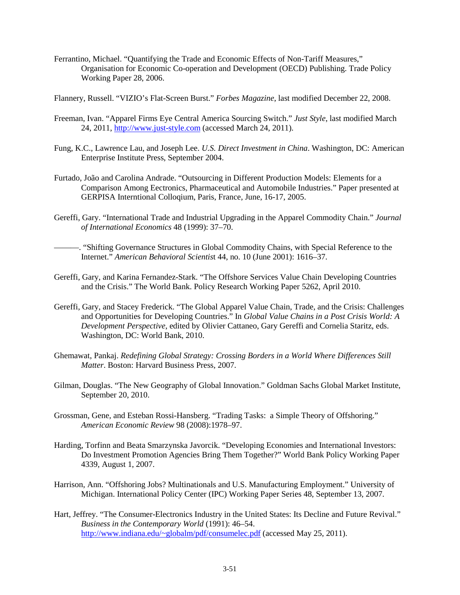Ferrantino, Michael. "Quantifying the Trade and Economic Effects of Non-Tariff Measures," Organisation for Economic Co-operation and Development (OECD) Publishing. Trade Policy Working Paper 28, 2006.

Flannery, Russell. "VIZIO's Flat-Screen Burst." *Forbes Magazine*, last modified December 22, 2008.

- Freeman, Ivan. "Apparel Firms Eye Central America Sourcing Switch." *Just Style*, last modified March 24, 2011, [http://www.just-style.com](http://www.just-style.com/) (accessed March 24, 2011).
- Fung, K.C., Lawrence Lau, and Joseph Lee. *U.S. Direct Investment in China*. Washington, DC: American Enterprise Institute Press, September 2004.
- Furtado, João and Carolina Andrade. "Outsourcing in Different Production Models: Elements for a Comparison Among Eectronics, Pharmaceutical and Automobile Industries." Paper presented at GERPISA Interntional Colloqium, Paris, France, June, 16-17, 2005.
- Gereffi, Gary. "International Trade and Industrial Upgrading in the Apparel Commodity Chain." *Journal of International Economics* 48 (1999): 37–70.
- ———. "Shifting Governance Structures in Global Commodity Chains, with Special Reference to the Internet." *American Behavioral Scientis*t 44, no. 10 (June 2001): 1616–37.
- Gereffi, Gary, and Karina Fernandez-Stark. "The Offshore Services Value Chain Developing Countries and the Crisis." The World Bank. Policy Research Working Paper 5262, April 2010.
- Gereffi, Gary, and Stacey Frederick. "The Global Apparel Value Chain, Trade, and the Crisis: Challenges and Opportunities for Developing Countries." In *Global Value Chains in a Post Crisis World: A Development Perspective*, edited by Olivier Cattaneo, Gary Gereffi and Cornelia Staritz, eds. Washington, DC: World Bank, 2010.
- Ghemawat, Pankaj. *Redefining Global Strategy: Crossing Borders in a World Where Differences Still Matter*. Boston: Harvard Business Press, 2007.
- Gilman, Douglas. "The New Geography of Global Innovation." Goldman Sachs Global Market Institute, September 20, 2010.
- Grossman, Gene, and Esteban Rossi-Hansberg. "Trading Tasks: a Simple Theory of Offshoring." *American Economic Review* 98 (2008):1978–97.
- Harding, Torfinn and Beata Smarzynska Javorcik. "Developing Economies and International Investors: Do Investment Promotion Agencies Bring Them Together?" World Bank Policy Working Paper 4339, August 1, 2007.
- Harrison, Ann. "Offshoring Jobs? Multinationals and U.S. Manufacturing Employment." University of Michigan. International Policy Center (IPC) Working Paper Series 48, September 13, 2007.
- Hart, Jeffrey. "The Consumer-Electronics Industry in the United States: Its Decline and Future Revival." *Business in the Contemporary World* (1991): 46–54. <http://www.indiana.edu/~globalm/pdf/consumelec.pdf> (accessed May 25, 2011).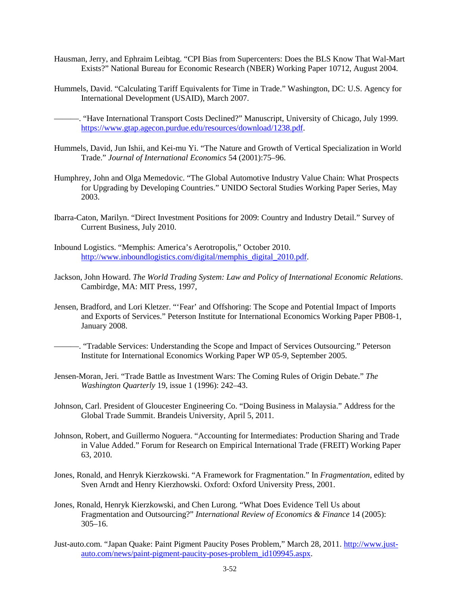- Hausman, Jerry, and Ephraim Leibtag. "CPI Bias from Supercenters: Does the BLS Know That Wal-Mart Exists?" National Bureau for Economic Research (NBER) Working Paper 10712, August 2004.
- Hummels, David. "Calculating Tariff Equivalents for Time in Trade." Washington, DC: U.S. Agency for International Development (USAID), March 2007.

———. "Have International Transport Costs Declined?" Manuscript, University of Chicago, July 1999. [https://www.gtap.agecon.purdue.edu/resources/download/1238.pdf.](https://www.gtap.agecon.purdue.edu/resources/download/1238.pdf)

- Hummels, David, Jun Ishii, and Kei-mu Yi. "The Nature and Growth of Vertical Specialization in World Trade." *Journal of International Economics* 54 (2001):75–96.
- Humphrey, John and Olga Memedovic. "The Global Automotive Industry Value Chain: What Prospects for Upgrading by Developing Countries." UNIDO Sectoral Studies Working Paper Series, May 2003.
- Ibarra-Caton, Marilyn. "Direct Investment Positions for 2009: Country and Industry Detail." Survey of Current Business, July 2010.
- Inbound Logistics. "Memphis: America's Aerotropolis," October 2010. [http://www.inboundlogistics.com/digital/memphis\\_digital\\_2010.pdf.](http://www.inboundlogistics.com/digital/memphis_digital_2010.pdf)
- Jackson, John Howard. *The World Trading System: Law and Policy of International Economic Relations*. Cambirdge, MA: MIT Press, 1997,
- Jensen, Bradford, and Lori Kletzer. "'Fear' and Offshoring: The Scope and Potential Impact of Imports and Exports of Services." Peterson Institute for International Economics Working Paper PB08-1, January 2008.
- ———. "Tradable Services: Understanding the Scope and Impact of Services Outsourcing." Peterson Institute for International Economics Working Paper WP 05-9, September 2005.
- Jensen-Moran, Jeri. "Trade Battle as Investment Wars: The Coming Rules of Origin Debate." *The Washington Quarterly* 19, issue 1 (1996): 242–43.
- Johnson, Carl. President of Gloucester Engineering Co. "Doing Business in Malaysia." Address for the Global Trade Summit. Brandeis University, April 5, 2011.
- Johnson, Robert, and Guillermo Noguera. "Accounting for Intermediates: Production Sharing and Trade in Value Added." Forum for Research on Empirical International Trade (FREIT) Working Paper 63, 2010.
- Jones, Ronald, and Henryk Kierzkowski. "A Framework for Fragmentation." In *Fragmentation*, edited by Sven Arndt and Henry Kierzhowski. Oxford: Oxford University Press, 2001.
- Jones, Ronald, Henryk Kierzkowski, and Chen Lurong. "What Does Evidence Tell Us about Fragmentation and Outsourcing?" *International Review of Economics & Finance* 14 (2005):  $305-16.$
- Just-auto.com. "Japan Quake: Paint Pigment Paucity Poses Problem," March 28, 2011[. http://www.just](http://www.just-auto.com/news/paint-pigment-paucity-poses-problem_id109945.aspx)[auto.com/news/paint-pigment-paucity-poses-problem\\_id109945.aspx.](http://www.just-auto.com/news/paint-pigment-paucity-poses-problem_id109945.aspx)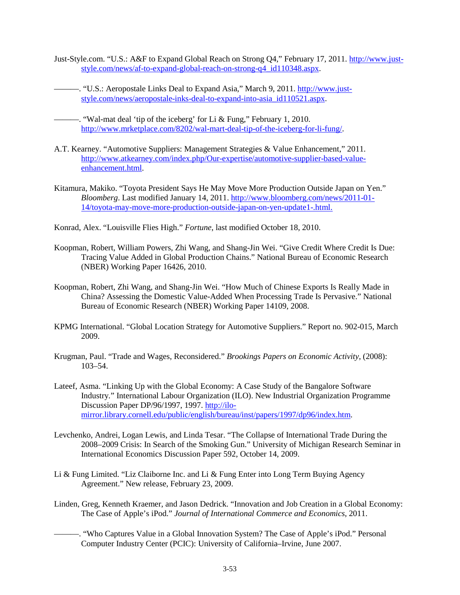- Just-Style.com. "U.S.: A&F to Expand Global Reach on Strong Q4," February 17, 2011. [http://www.just](http://www.just-style.com/news/af-to-expand-global-reach-on-strong-q4_id110348.aspx)[style.com/news/af-to-expand-global-reach-on-strong-q4\\_id110348.aspx.](http://www.just-style.com/news/af-to-expand-global-reach-on-strong-q4_id110348.aspx)
- ——. "U.S.: Aeropostale Links Deal to Expand Asia," March 9, 2011. [http://www.just](http://www.just-style.com/news/aeropostale-inks-deal-to-expand-into-asia_id110521.aspx)[style.com/news/aeropostale-inks-deal-to-expand-into-asia\\_id110521.aspx](http://www.just-style.com/news/aeropostale-inks-deal-to-expand-into-asia_id110521.aspx).
- $-$ . "Wal-mat deal 'tip of the iceberg' for Li & Fung," February 1, 2010. [http://www.mrketplace.com/8202/wal-mart-deal-tip-of-the-iceberg-for-li-fung/.](http://www.mrketplace.com/8202/wal-mart-deal-tip-of-the-iceberg-for-li-fung/)
- A.T. Kearney. "Automotive Suppliers: Management Strategies & Value Enhancement," 2011. [http://www.atkearney.com/index.php/Our-expertise/automotive-supplier-based-value](http://www.atkearney.com/index.php/Our-expertise/automotive-supplier-based-value-enhancement.html)[enhancement.html.](http://www.atkearney.com/index.php/Our-expertise/automotive-supplier-based-value-enhancement.html)
- Kitamura, Makiko. "Toyota President Says He May Move More Production Outside Japan on Yen." *Bloomberg*. Last modified January 14, 2011. [http://www.bloomberg.com/news/2011-01-](http://www.bloomberg.com/news/2011-01-14/toyota-may-move-more-production-outside-japan-on-yen-update1-.html) [14/toyota-may-move-more-production-outside-japan-on-yen-update1-.html.](http://www.bloomberg.com/news/2011-01-14/toyota-may-move-more-production-outside-japan-on-yen-update1-.html)
- Konrad, Alex. "Louisville Flies High." *Fortune*, last modified October 18, 2010.
- Koopman, Robert, William Powers, Zhi Wang, and Shang-Jin Wei. "Give Credit Where Credit Is Due: Tracing Value Added in Global Production Chains." National Bureau of Economic Research (NBER) Working Paper 16426, 2010.
- Koopman, Robert, Zhi Wang, and Shang-Jin Wei. "How Much of Chinese Exports Is Really Made in China? Assessing the Domestic Value-Added When Processing Trade Is Pervasive." National Bureau of Economic Research (NBER) Working Paper 14109, 2008.
- KPMG International. "Global Location Strategy for Automotive Suppliers." Report no. 902-015, March 2009.
- Krugman, Paul. "Trade and Wages, Reconsidered." *Brookings Papers on Economic Activity*, (2008): 103–54.
- Lateef, Asma. "Linking Up with the Global Economy: A Case Study of the Bangalore Software Industry*.*" International Labour Organization (ILO). New Industrial Organization Programme Discussion Paper DP/96/1997, 1997. [http://ilo](http://ilo-mirror.library.cornell.edu/public/english/bureau/inst/papers/1997/dp96/index.htm)[mirror.library.cornell.edu/public/english/bureau/inst/papers/1997/dp96/index.htm.](http://ilo-mirror.library.cornell.edu/public/english/bureau/inst/papers/1997/dp96/index.htm)
- Levchenko, Andrei, Logan Lewis, and Linda Tesar. "The Collapse of International Trade During the 2008–2009 Crisis: In Search of the Smoking Gun." University of Michigan Research Seminar in International Economics Discussion Paper 592, October 14, 2009.
- Li & Fung Limited. "Liz Claiborne Inc. and Li & Fung Enter into Long Term Buying Agency Agreement." New release, February 23, 2009.
- Linden, Greg, Kenneth Kraemer, and Jason Dedrick. "Innovation and Job Creation in a Global Economy: The Case of Apple's iPod." *Journal of International Commerce and Economics*, 2011.
	- ———. "Who Captures Value in a Global Innovation System? The Case of Apple's iPod." Personal Computer Industry Center (PCIC): University of California–Irvine, June 2007.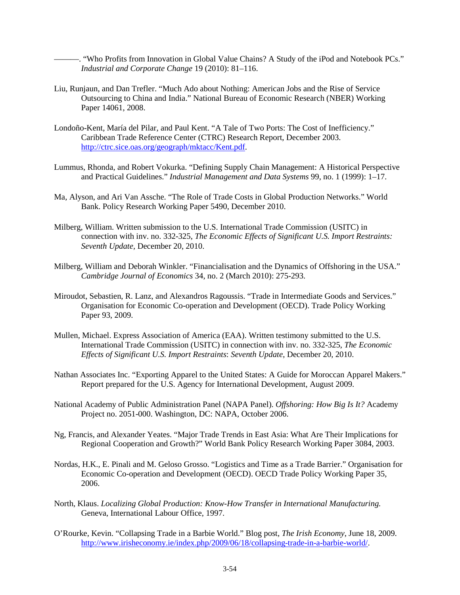———. "Who Profits from Innovation in Global Value Chains? A Study of the iPod and Notebook PCs." *Industrial and Corporate Change* 19 (2010): 81–116.

- Liu, Runjaun, and Dan Trefler. "Much Ado about Nothing: American Jobs and the Rise of Service Outsourcing to China and India." National Bureau of Economic Research (NBER) Working Paper 14061, 2008.
- Londoño-Kent, María del Pilar, and Paul Kent. "A Tale of Two Ports: The Cost of Inefficiency." Caribbean Trade Reference Center (CTRC) Research Report, December 2003. [http://ctrc.sice.oas.org/geograph/mktacc/Kent.pdf.](http://ctrc.sice.oas.org/geograph/mktacc/Kent.pdf)
- Lummus, Rhonda, and Robert Vokurka. "Defining Supply Chain Management: A Historical Perspective and Practical Guidelines." *Industrial Management and Data Systems* 99, no. 1 (1999): 1–17.
- Ma, Alyson, and Ari Van Assche. "The Role of Trade Costs in Global Production Networks." World Bank. Policy Research Working Paper 5490, December 2010.
- Milberg, William. Written submission to the U.S. International Trade Commission (USITC) in connection with inv. no. 332-325, *The Economic Effects of Significant U.S. Import Restraints: Seventh Update,* December 20, 2010.
- Milberg, William and Deborah Winkler. "Financialisation and the Dynamics of Offshoring in the USA." *Cambridge Journal of Economics* 34, no. 2 (March 2010): 275-293.
- Miroudot, Sebastien, R. Lanz, and Alexandros Ragoussis. "Trade in Intermediate Goods and Services." Organisation for Economic Co-operation and Development (OECD). Trade Policy Working Paper 93, 2009.
- Mullen, Michael. Express Association of America (EAA). Written testimony submitted to the U.S. International Trade Commission (USITC) in connection with inv. no. 332-325, *The Economic Effects of Significant U.S. Import Restraints*: *Seventh Update*, December 20, 2010.
- Nathan Associates Inc. "Exporting Apparel to the United States: A Guide for Moroccan Apparel Makers." Report prepared for the U.S. Agency for International Development, August 2009.
- National Academy of Public Administration Panel (NAPA Panel). *Offshoring: How Big Is It?* Academy Project no. 2051-000. Washington, DC: NAPA, October 2006.
- Ng, Francis, and Alexander Yeates. "Major Trade Trends in East Asia: What Are Their Implications for Regional Cooperation and Growth?" World Bank Policy Research Working Paper 3084, 2003.
- Nordas, H.K., E. Pinali and M. Geloso Grosso. "Logistics and Time as a Trade Barrier." Organisation for Economic Co-operation and Development (OECD). OECD Trade Policy Working Paper 35, 2006.
- North, Klaus. *Localizing Global Production: Know-How Transfer in International Manufacturing.* Geneva, International Labour Office, 1997.
- O'Rourke, Kevin. "Collapsing Trade in a Barbie World." Blog post, *The Irish Economy*, June 18, 2009. [http://www.irisheconomy.ie/index.php/2009/06/18/collapsing-trade-in-a-barbie-world/.](http://www.irisheconomy.ie/index.php/2009/06/18/collapsing-trade-in-a-barbie-world/)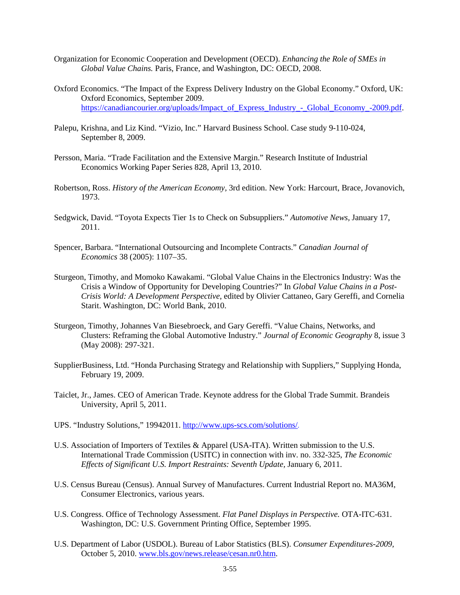- Organization for Economic Cooperation and Development (OECD). *Enhancing the Role of SMEs in Global Value Chains.* Paris, France, and Washington, DC: OECD, 2008.
- Oxford Economics. "The Impact of the Express Delivery Industry on the Global Economy." Oxford, UK: Oxford Economics, September 2009. [https://canadiancourier.org/uploads/Impact\\_of\\_Express\\_Industry\\_-\\_Global\\_Economy\\_-2009.pdf.](https://canadiancourier.org/uploads/Impact_of_Express_Industry_-_Global_Economy_-2009.pdf)
- Palepu, Krishna, and Liz Kind. "Vizio, Inc." Harvard Business School. Case study 9-110-024, September 8, 2009.
- Persson, Maria. "Trade Facilitation and the Extensive Margin." Research Institute of Industrial Economics Working Paper Series 828, April 13, 2010.
- Robertson, Ross. *History of the American Economy,* 3rd edition. New York: Harcourt, Brace, Jovanovich, 1973.
- Sedgwick, David. "Toyota Expects Tier 1s to Check on Subsuppliers." *Automotive News,* January 17, 2011.
- Spencer, Barbara. "International Outsourcing and Incomplete Contracts." *Canadian Journal of Economics* 38 (2005): 1107–35.
- Sturgeon, Timothy, and Momoko Kawakami. "Global Value Chains in the Electronics Industry: Was the Crisis a Window of Opportunity for Developing Countries?" In *Global Value Chains in a Post-Crisis World: A Development Perspective*, edited by Olivier Cattaneo, Gary Gereffi, and Cornelia Starit. Washington, DC: World Bank, 2010.
- Sturgeon, Timothy, Johannes Van Biesebroeck, and Gary Gereffi. "Value Chains, Networks, and Clusters: Reframing the Global Automotive Industry." *Journal of Economic Geography* 8, issue 3 (May 2008): 297-321.
- SupplierBusiness, Ltd. "Honda Purchasing Strategy and Relationship with Suppliers," Supplying Honda, February 19, 2009.
- Taiclet, Jr., James. CEO of American Trade. Keynote address for the Global Trade Summit. Brandeis University, April 5, 2011.
- UPS. "Industry Solutions," 19942011. <http://www.ups-scs.com/solutions/>.
- U.S. Association of Importers of Textiles & Apparel (USA-ITA). Written submission to the U.S. International Trade Commission (USITC) in connection with inv. no. 332-325, *The Economic Effects of Significant U.S. Import Restraints: Seventh Update,* January 6, 2011.
- U.S. Census Bureau (Census). Annual Survey of Manufactures. Current Industrial Report no. MA36M, Consumer Electronics, various years.
- U.S. Congress. Office of Technology Assessment. *Flat Panel Displays in Perspective.* OTA-ITC-631. Washington, DC: U.S. Government Printing Office, September 1995.
- U.S. Department of Labor (USDOL). Bureau of Labor Statistics (BLS). *Consumer Expenditures-2009,*  October 5, 2010. [www.bls.gov/news.release/cesan.nr0.htm.](http://www.bls.gov/news.release/cesan.nr0.htm)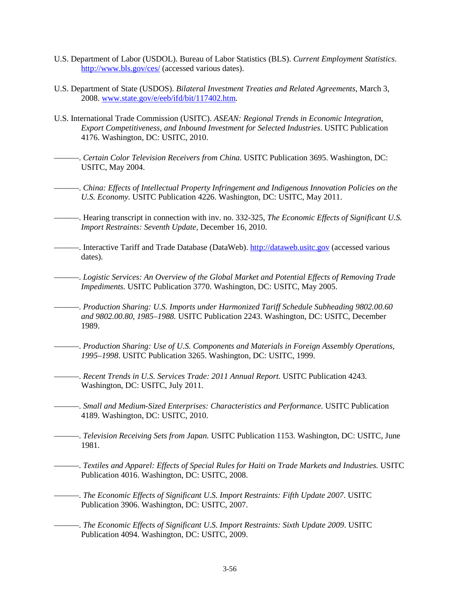- U.S. Department of Labor (USDOL). Bureau of Labor Statistics (BLS). *Current Employment Statistics*. <http://www.bls.gov/ces/> (accessed various dates).
- U.S. Department of State (USDOS). *Bilateral Investment Treaties and Related Agreements*, March 3, 2008. [www.state.gov/e/eeb/ifd/bit/117402.htm.](http://www.state.gov/e/eeb/ifd/bit/117402.htm)
- U.S. International Trade Commission (USITC). *ASEAN: Regional Trends in Economic Integration, Export Competitiveness, and Inbound Investment for Selected Industries*. USITC Publication 4176. Washington, DC: USITC, 2010.
	- ———. *Certain Color Television Receivers from China.* USITC Publication 3695. Washington, DC: USITC, May 2004.
- ———. *China: Effects of Intellectual Property Infringement and Indigenous Innovation Policies on the U.S. Economy.* USITC Publication 4226. Washington, DC: USITC, May 2011.
- ———. Hearing transcript in connection with inv. no. 332-325, *The Economic Effects of Significant U.S. Import Restraints: Seventh Update,* December 16, 2010.
- -. Interactive Tariff and Trade Database (DataWeb). [http://dataweb.usitc.gov](http://dataweb.usitc.gov/) (accessed various dates).
	- ———. *Logistic Services: An Overview of the Global Market and Potential Effects of Removing Trade Impediments.* USITC Publication 3770. Washington, DC: USITC, May 2005.
- ———. *Production Sharing: U.S. Imports under Harmonized Tariff Schedule Subheading 9802.00.60 and 9802.00.80, 1985–1988.* USITC Publication 2243. Washington, DC: USITC, December 1989.
- ———. *Production Sharing: Use of U.S. Components and Materials in Foreign Assembly Operations, 1995–1998*. USITC Publication 3265. Washington, DC: USITC, 1999.
	- ———. *Recent Trends in U.S. Services Trade: 2011 Annual Report.* USITC Publication 4243. Washington, DC: USITC, July 2011.
- ———. *Small and Medium-Sized Enterprises: Characteristics and Performance.* USITC Publication 4189. Washington, DC: USITC, 2010.
- ———. *Television Receiving Sets from Japan.* USITC Publication 1153. Washington, DC: USITC, June 1981.
- ———. *Textiles and Apparel: Effects of Special Rules for Haiti on Trade Markets and Industries.* USITC Publication 4016. Washington, DC: USITC, 2008.
- ———. *The Economic Effects of Significant U.S. Import Restraints: Fifth Update 2007*. USITC Publication 3906. Washington, DC: USITC, 2007.
	- ———. *The Economic Effects of Significant U.S. Import Restraints: Sixth Update 2009*. USITC Publication 4094. Washington, DC: USITC, 2009.